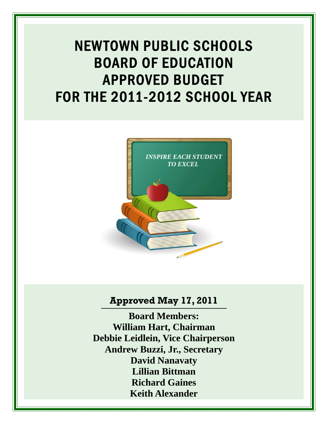# NEWTOWN PUBLIC SCHOOLS BOARD OF EDUCATION APPROVED BUDGET FOR THE 2011-2012 SCHOOL YEAR



# **Approved May 17, 2011**

**Board Members: William Hart, Chairman Debbie Leidlein, Vice Chairperson Andrew Buzzi, Jr., Secretary David Nanavaty Lillian Bittman Richard Gaines Keith Alexander**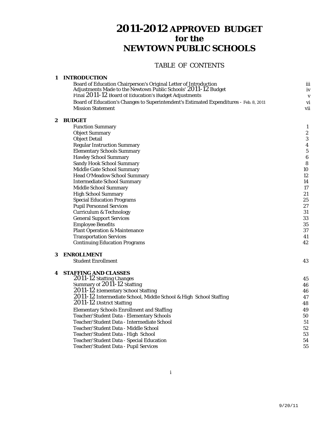# TABLE OF CONTENTS

# **1 INTRODUCTION**

| Board of Education Chairperson's Original Letter of Introduction                       | iii |
|----------------------------------------------------------------------------------------|-----|
| Adjustments Made to the Newtown Public Schools' 2011-12 Budget                         | iv  |
| Final 2011-12 Board of Education's Budget Adjustments                                  |     |
| Board of Education's Changes to Superintendent's Estimated Expenditures - Feb. 8, 2011 | vi  |
| <b>Mission Statement</b>                                                               | vii |

# **2 BUDGET**

|   | <b>Function Summary</b>                                           | 1                       |
|---|-------------------------------------------------------------------|-------------------------|
|   | <b>Object Summary</b>                                             | $\overline{c}$          |
|   | <b>Object Detail</b>                                              | 3                       |
|   | <b>Regular Instruction Summary</b>                                | $\overline{\mathbf{4}}$ |
|   | <b>Elementary Schools Summary</b>                                 | $\overline{5}$          |
|   | <b>Hawley School Summary</b>                                      | $\boldsymbol{6}$        |
|   | <b>Sandy Hook School Summary</b>                                  | 8                       |
|   | Middle Gate School Summary                                        | 10                      |
|   | <b>Head O'Meadow School Summary</b>                               | 12                      |
|   | <b>Intermediate School Summary</b>                                | 14                      |
|   | <b>Middle School Summary</b>                                      | 17                      |
|   | <b>High School Summary</b>                                        | 21                      |
|   | <b>Special Education Programs</b>                                 | 25                      |
|   | <b>Pupil Personnel Services</b>                                   | 27                      |
|   | <b>Curriculum &amp; Technology</b>                                | 31                      |
|   | <b>General Support Services</b>                                   | 33                      |
|   | <b>Employee Benefits</b>                                          | 35                      |
|   | <b>Plant Operation &amp; Maintenance</b>                          | 37                      |
|   | <b>Transportation Services</b>                                    | 41                      |
|   | <b>Continuing Education Programs</b>                              | 42                      |
| 3 | <b>ENROLLMENT</b>                                                 |                         |
|   | <b>Student Enrollment</b>                                         | 43                      |
| 4 | <b>STAFFING AND CLASSES</b>                                       |                         |
|   | 2011-12 Staffing Changes                                          | 45                      |
|   | Summary of 2011-12 Staffing                                       | 46                      |
|   | 2011-12 Elementary School Staffing                                | 46                      |
|   | 2011-12 Intermediate School, Middle School & High School Staffing | 47                      |
|   | 2011-12 District Staffing                                         | 48                      |
|   | <b>Elementary Schools Enrollment and Staffing</b>                 | 49                      |
|   | Teacher/Student Data - Elementary Schools                         | 50                      |
|   | Teacher/Student Data - Intermediate School                        | 51                      |
|   | Teacher/Student Data - Middle School                              | 52                      |
|   | Teacher/Student Data - High School                                | 53                      |
|   | Teacher/Student Data - Special Education                          | 54                      |
|   | Teacher/Student Data - Pupil Services                             | 55                      |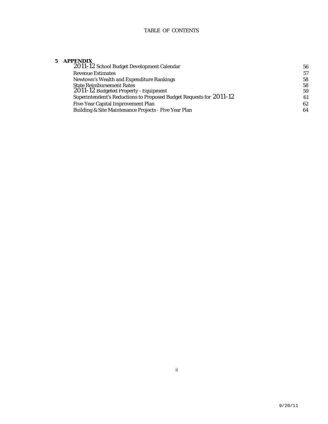# TABLE OF CONTENTS

# **5 APPENDIX**

| 2011-12 School Budget Development Calendar                          | 56 |
|---------------------------------------------------------------------|----|
| <b>Revenue Estimates</b>                                            | 57 |
| Newtown's Wealth and Expenditure Rankings                           | 58 |
| <b>State Reimbursement Rates</b>                                    | 58 |
| 2011-12 Budgeted Property - Equipment                               | 59 |
| Superintendent's Reductions to Proposed Budget Requests for 2011-12 | 61 |
| Five-Year Capital Improvement Plan                                  | 62 |
| Building & Site Maintenance Projects - Five Year Plan               | 64 |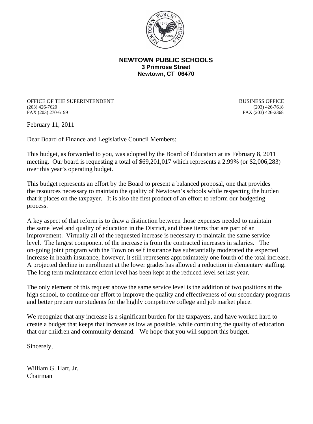

# **NEWTOWN PUBLIC SCHOOLS 3 Primrose Street Newtown, CT 06470**

OFFICE OF THE SUPERINTENDENT<br>
(203) 426-7620<br>
(203) 426-7618 (203) 426-7620 (203) 426-7618

FAX (203) 426-2368

February 11, 2011

Dear Board of Finance and Legislative Council Members:

This budget, as forwarded to you, was adopted by the Board of Education at its February 8, 2011 meeting. Our board is requesting a total of \$69,201,017 which represents a 2.99% (or \$2,006,283) over this year's operating budget.

This budget represents an effort by the Board to present a balanced proposal, one that provides the resources necessary to maintain the quality of Newtown's schools while respecting the burden that it places on the taxpayer. It is also the first product of an effort to reform our budgeting process.

A key aspect of that reform is to draw a distinction between those expenses needed to maintain the same level and quality of education in the District, and those items that are part of an improvement. Virtually all of the requested increase is necessary to maintain the same service level. The largest component of the increase is from the contracted increases in salaries. The on-going joint program with the Town on self insurance has substantially moderated the expected increase in health insurance; however, it still represents approximately one fourth of the total increase. A projected decline in enrollment at the lower grades has allowed a reduction in elementary staffing. The long term maintenance effort level has been kept at the reduced level set last year.

The only element of this request above the same service level is the addition of two positions at the high school, to continue our effort to improve the quality and effectiveness of our secondary programs and better prepare our students for the highly competitive college and job market place.

We recognize that any increase is a significant burden for the taxpayers, and have worked hard to create a budget that keeps that increase as low as possible, while continuing the quality of education that our children and community demand. We hope that you will support this budget.

Sincerely,

William G. Hart, Jr. Chairman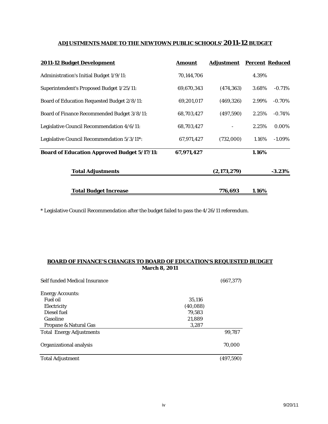# **ADJUSTMENTS MADE TO THE NEWTOWN PUBLIC SCHOOLS' 2011-12 BUDGET**

| 2011-12 Budget Development                         | Amount     | <b>Adjustment</b> |       | <b>Percent Reduced</b> |
|----------------------------------------------------|------------|-------------------|-------|------------------------|
| Administration's Initial Budget 1/9/11:            | 70,144,706 |                   | 4.39% |                        |
| Superintendent's Proposed Budget 1/25/11:          | 69,670,343 | (474, 363)        | 3.68% | $-0.71%$               |
| <b>Board of Education Requested Budget 2/8/11:</b> | 69,201,017 | (469, 326)        | 2.99% | $-0.70\%$              |
| Board of Finance Recommended Budget 3/8/11:        | 68,703,427 | (497,590)         | 2.25% | $-0.74%$               |
| Legislative Council Recommendation 4/6/11:         | 68,703,427 |                   | 2.25% | 0.00%                  |
| Legislative Council Recommendation 5/3/11*:        | 67,971,427 | (732,000)         | 1.16% | $-1.09\%$              |
| <b>Board of Education Approved Budget 5/17/11:</b> | 67,971,427 |                   | 1.16% |                        |
| <b>Total Adjustments</b>                           |            | (2,173,279)       |       | $-3.23\%$              |
| <b>Total Budget Increase</b>                       |            | 776,693           | 1.16% |                        |

\* Legislative Council Recommendation after the budget failed to pass the 4/26/11 referendum.

# **March 8, 2011 BOARD OF FINANCE'S CHANGES TO BOARD OF EDUCATION'S REQUESTED BUDGET**

| Self funded Medical Insurance   |          | (667, 377) |
|---------------------------------|----------|------------|
| <b>Energy Accounts:</b>         |          |            |
| <b>Fuel oil</b>                 | 35,116   |            |
| Electricity                     | (40,088) |            |
| Diesel fuel                     | 79,583   |            |
| Gasoline                        | 21,889   |            |
| Propane & Natural Gas           | 3,287    |            |
| <b>Total Energy Adjustments</b> |          | 99.787     |
| Organizational analysis         |          | 70.000     |
| <b>Total Adjustment</b>         |          | (497,590)  |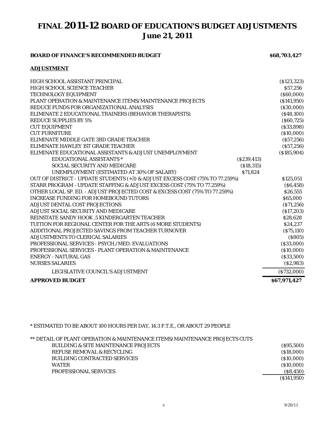# **FINAL 2011-12 BOARD OF EDUCATION'S BUDGET ADJUSTMENTS June 21, 2011**

# **BOARD OF FINANCE'S RECOMMENDED BUDGET \$68,703,427**

# **ADJUSTMENT**

| HIGH SCHOOL ASSISTANT PRINCIPAL<br><b>HIGH SCHOOL SCIENCE TEACHER</b><br>TECHNOLOGY EQUIPMENT<br><b>PLANT OPERATION &amp; MAINTENANCE ITEMS/MAINTENANCE PROJECTS</b><br>REDUCE FUNDS FOR ORGANIZATIONAL ANALYSIS<br>ELIMINATE 2 EDUCATIONAL TRAINERS (BEHAVIOR THERAPISTS)<br><b>REDUCE SUPPLIES BY 5%</b><br><b>CUT EQUIPMENT</b><br><b>CUT FURNITURE</b><br>ELIMINATE MIDDLE GATE 3RD GRADE TEACHER<br>ELIMINATE HAWLEY 1ST GRADE TEACHER<br>ELIMINATE EDUCATIONAL ASSISTANTS & ADJUST UNEMPLOYMENT | ( \$123, 323)<br>\$57,256<br>(S60,000)<br>( \$141, 950)<br>( \$30,000)<br>$($ \$48,100)<br>(S60, 725)<br>$($ \$33,898 $)$<br>(\$10,000)<br>(S57, 256)<br>(S57, 256)<br>(S185, 904) |
|-------------------------------------------------------------------------------------------------------------------------------------------------------------------------------------------------------------------------------------------------------------------------------------------------------------------------------------------------------------------------------------------------------------------------------------------------------------------------------------------------------|------------------------------------------------------------------------------------------------------------------------------------------------------------------------------------|
| <b>EDUCATIONAL ASSISTANTS *</b>                                                                                                                                                                                                                                                                                                                                                                                                                                                                       | (S239, 413)                                                                                                                                                                        |
| <b>SOCIAL SECURITY AND MEDICARE</b><br>UNEMPLOYMENT (ESTIMATED AT 30% OF SALARY)                                                                                                                                                                                                                                                                                                                                                                                                                      | ( \$18, 315)<br>\$71,824                                                                                                                                                           |
| OUT OF DISTRICT - UPDATE STUDENTS (+3) & ADJUST EXCESS COST (75% TO 77.259%)                                                                                                                                                                                                                                                                                                                                                                                                                          | \$125,051                                                                                                                                                                          |
| STARR PROGRAM - UPDATE STAFFING & ADJUST EXCESS COST (75% TO 77.259%)                                                                                                                                                                                                                                                                                                                                                                                                                                 | (S6, 458)                                                                                                                                                                          |
| OTHER LOCAL SP. ED. - ADJUST PROJECTED COST & EXCESS COST (75% TO 77.259%)                                                                                                                                                                                                                                                                                                                                                                                                                            | \$26,555                                                                                                                                                                           |
| <b>INCREASE FUNDING FOR HOMEBOUND TUTORS</b>                                                                                                                                                                                                                                                                                                                                                                                                                                                          | \$65,000                                                                                                                                                                           |
| ADJUST DENTAL COST PROJECTIONS                                                                                                                                                                                                                                                                                                                                                                                                                                                                        | (S71, 256)                                                                                                                                                                         |
| ADJUST SOCIAL SECURITY AND MEDICARE                                                                                                                                                                                                                                                                                                                                                                                                                                                                   | ( \$17,203)                                                                                                                                                                        |
| REINSTATE SANDY HOOK .5 KINDERGARTEN TEACHER                                                                                                                                                                                                                                                                                                                                                                                                                                                          | \$28,628                                                                                                                                                                           |
| TUITION FOR REGIONAL CENTER FOR THE ARTS (6 MORE STUDENTS)                                                                                                                                                                                                                                                                                                                                                                                                                                            | \$24,237                                                                                                                                                                           |
| ADDITIONAL PROJECTED SAVINGS FROM TEACHER TURNOVER                                                                                                                                                                                                                                                                                                                                                                                                                                                    | (S75, 110)                                                                                                                                                                         |
| ADJUSTMENTS TO CLERICAL SALARIES                                                                                                                                                                                                                                                                                                                                                                                                                                                                      | (S805)                                                                                                                                                                             |
| PROFESSIONAL SERVICES - PSYCH./MED. EVALUATIONS                                                                                                                                                                                                                                                                                                                                                                                                                                                       | ( \$33,000)                                                                                                                                                                        |
| <b>PROFESSIONAL SERVICES - PLANT OPERATION &amp; MAINTENANCE</b>                                                                                                                                                                                                                                                                                                                                                                                                                                      | (\$10,000)                                                                                                                                                                         |
| <b>ENERGY - NATURAL GAS</b>                                                                                                                                                                                                                                                                                                                                                                                                                                                                           | $($ \$33,500 $)$                                                                                                                                                                   |
| <b>NURSES SALARIES</b>                                                                                                                                                                                                                                                                                                                                                                                                                                                                                | (S2,983)                                                                                                                                                                           |
| LEGISLATIVE COUNCIL'S ADJUSTMENT                                                                                                                                                                                                                                                                                                                                                                                                                                                                      | ( \$732,000)                                                                                                                                                                       |
| <b>APPROVED BUDGET</b>                                                                                                                                                                                                                                                                                                                                                                                                                                                                                | \$67,971,427                                                                                                                                                                       |

\* ESTIMATED TO BE ABOUT 100 HOURS PER DAY, 14.3 F.T.E., OR ABOUT 29 PEOPLE

| ** DETAIL OF PLANT OPERATION & MAINTENANCE ITEMS/MAINTENANCE PROJECTS CUTS |            |
|----------------------------------------------------------------------------|------------|
| <b>BUILDING &amp; SITE MAINTENANCE PROJECTS</b>                            | (S95,500)  |
| REFUSE REMOVAL & RECYCLING                                                 | (S18,000)  |
| <b>BUILDING CONTRACTED SERVICES</b>                                        | (S10,000)  |
| <b>WATER</b>                                                               | (S10,000)  |
| <b>PROFESSIONAL SERVICES</b>                                               | (S8, 450)  |
|                                                                            | (S141,950) |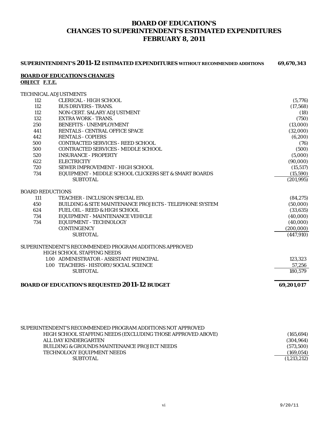# **BOARD OF EDUCATION'S CHANGES TO SUPERINTENDENT'S ESTIMATED EXPENDITURES FEBRUARY 8, 2011**

|                      | SUPERINTENDENT'S 2011-12 ESTIMATED EXPENDITURES WITHOUT RECOMMENDED ADDITIONS         | 69,670,343 |
|----------------------|---------------------------------------------------------------------------------------|------------|
| <b>OBJECT F.T.E.</b> | <b>BOARD OF EDUCATION'S CHANGES</b>                                                   |            |
|                      | TECHNICAL ADJUSTMENTS                                                                 |            |
| 112                  | <b>CLERICAL - HIGH SCHOOL</b>                                                         | (5,776)    |
| 112                  | <b>BUS DRIVERS - TRANS.</b>                                                           | (17, 568)  |
| 112                  | NON-CERT. SALARY ADJUSTMENT                                                           | (18)       |
| 132                  | <b>EXTRA WORK - TRANS.</b>                                                            | (750)      |
| 250                  | <b>BENEFITS - UNEMPLOYMENT</b>                                                        | (13,000)   |
| 441                  | RENTALS - CENTRAL OFFICE SPACE                                                        | (32,000)   |
| 442                  | <b>RENTALS - COPIERS</b>                                                              | (6, 200)   |
| 500                  | CONTRACTED SERVICES - REED SCHOOL                                                     | (76)       |
| 500                  | CONTRACTED SERVICES - MIDDLE SCHOOL                                                   | (500)      |
| 520                  | <b>INSURANCE - PROPERTY</b>                                                           | (5,000)    |
| 622                  | <b>ELECTRICITY</b>                                                                    | (90,000)   |
| 720                  | SEWER IMPROVEMENT - HIGH SCHOOL                                                       | (15, 517)  |
| 734                  | EQUIPMENT - MIDDLE SCHOOL CLICKERS SET & SMART BOARDS                                 | (15,590)   |
|                      | <b>SUBTOTAL</b>                                                                       | (201, 995) |
|                      | <b>BOARD REDUCTIONS</b>                                                               |            |
| 111                  | <b>TEACHER - INCLUSION SPECIAL ED.</b>                                                | (84, 275)  |
| 450                  | BUILDING & SITE MAINTENANCE PROJECTS - TELEPHONE SYSTEM                               | (50,000)   |
| 624                  | FUEL OIL - REED & HIGH SCHOOL                                                         | (33, 635)  |
| 734                  | EQUIPMENT - MAINTENANCE VEHICLE                                                       | (40,000)   |
| 734                  | EQUIPMENT - TECHNOLOGY                                                                | (40,000)   |
|                      | <b>CONTINGENCY</b>                                                                    | (200,000)  |
|                      | <b>SUBTOTAL</b>                                                                       | (447, 910) |
|                      | SUPERINTENDENT'S RECOMMENDED PROGRAM ADDITIONS APPROVED<br>HIGH SCHOOL STAFFING NEEDS |            |
|                      | 1.00 ADMINISTRATOR - ASSISTANT PRINCIPAL                                              | 123,323    |
|                      | 1.00 TEACHERS - HISTORY/SOCIAL SCIENCE                                                | 57,256     |
|                      | <b>SUBTOTAL</b>                                                                       | 180,579    |
|                      |                                                                                       |            |
|                      | <b>BOARD OF EDUCATION'S REQUESTED 2011-12 BUDGET</b>                                  | 69,201,017 |
|                      |                                                                                       |            |

| SUPERINTENDENT'S RECOMMENDED PROGRAM ADDITIONS NOT APPROVED |             |
|-------------------------------------------------------------|-------------|
| HIGH SCHOOL STAFFING NEEDS (EXCLUDING THOSE APPROVED ABOVE) | (165, 694)  |
| ALL DAY KINDERGARTEN                                        | (304, 964)  |
| <b>BUILDING &amp; GROUNDS MAINTENANCE PROJECT NEEDS</b>     | (573,500)   |
| TECHNOLOGY EQUIPMENT NEEDS                                  | (169, 054)  |
| <b>SUBTOTAL</b>                                             | (1,213,212) |
|                                                             |             |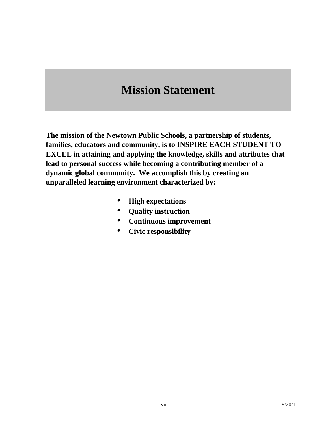# **Mission Statement**

**The mission of the Newtown Public Schools, a partnership of students, families, educators and community, is to INSPIRE EACH STUDENT TO EXCEL in attaining and applying the knowledge, skills and attributes that lead to personal success while becoming a contributing member of a dynamic global community. We accomplish this by creating an unparalleled learning environment characterized by:**

- **High expectations**
- **Quality instruction**
- **Continuous improvement**
- **Civic responsibility**  $\bullet$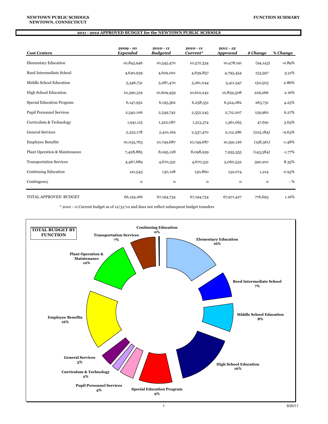| <b>Cost Centers</b>              | $2009 - 10$<br><b>Expended</b> | $2010 - 11$<br><b>Budgeted</b> | $2010 - 11$<br>Current* | $2011 - 12$<br><b>Approved</b> | \$ Change   | % Change  |
|----------------------------------|--------------------------------|--------------------------------|-------------------------|--------------------------------|-------------|-----------|
| <b>Elementary Education</b>      | 10,845,946                     | 10,545,470                     | 10,572,334              | 10,478,191                     | (94, 143)   | $-0.89%$  |
| Reed Intermediate School         | 4,640,939                      | 4,629,001                      | 4,639,857               | 4,793,454                      | 153,597     | 3.31%     |
| Middle School Education          | 5,346,731                      | 5,287,470                      | 5,261,044               | 5,411,547                      | 150,503     | 2.86%     |
| <b>High School Education</b>     | 10,390,319                     | 10,609,959                     | 10,610,242              | 10,839,508                     | 229,266     | 2.16%     |
| <b>Special Education Program</b> | 6,147,952                      | 6,195,562                      | 6,258,351               | 6,524,082                      | 265,731     | 4.25%     |
| <b>Pupil Personnel Services</b>  | 2,540,106                      | 2,549,742                      | 2,552,245               | 2,712,207                      | 159,962     | 6.27%     |
| Curriculum & Technology          | 1,941,115                      | 1,322,087                      | 1,313,374               | 1,361,065                      | 47,691      | 3.63%     |
| <b>General Services</b>          | 2,252,178                      | 2,410,169                      | 2,337,470               | 2,112,286                      | (225, 184)  | $-9.63%$  |
| <b>Employee Benefits</b>         | 10,035,763                     | 10,749,687                     | 10,749,687              | 10,591,126                     | (158, 561)  | $-1.48%$  |
| Plant Operation & Maintenance    | 7,428,885                      | 8,095,128                      | 8,098,939               | 7,955,355                      | (143,584)   | $-1.77\%$ |
| <b>Transportation Services</b>   | 4,467,689                      | 4,670,331                      | 4,670,331               | 5,060,532                      | 390,201     | 8.35%     |
| <b>Continuing Education</b>      | 121,543                        | 130,128                        | 130,860                 | 132,074                        | 1,214       | 0.93%     |
| Contingency                      | $\mathbf{o}$                   | $\mathbf 0$                    | $\mathbf 0$             | $\mathbf 0$                    | $\mathbf 0$ | $-$ %     |
| TOTAL APPROVED BUDGET            | 66,159,166                     | 67,194,734                     | 67,194,734              | 67,971,427                     | 776,693     | 1.16%     |

 $^\ast$  2010 - 11 Current budget as of 12/31/10 and does not reflect subsequent budget transfers

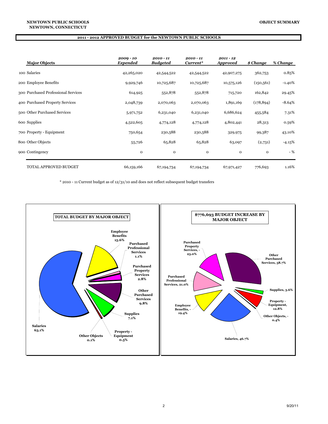| <b>Major Objects</b>                | $2009 - 10$<br><b>Expended</b> | $2010 - 11$<br><b>Budgeted</b> | $2010 - 11$<br>Current* | $2011 - 12$<br><b>Approved</b> | \$ Change  | % Change |
|-------------------------------------|--------------------------------|--------------------------------|-------------------------|--------------------------------|------------|----------|
| 100 Salaries                        | 42,265,020                     | 42,544,522                     | 42,544,522              | 42,907,275                     | 362,753    | 0.85%    |
| 200 Employee Benefits               | 9,929,746                      | 10,725,687                     | 10,725,687              | 10,575,126                     | (150, 561) | $-1.40%$ |
| 300 Purchased Professional Services | 614,925                        | 552,878                        | 552,878                 | 715,720                        | 162,842    | 29.45%   |
| 400 Purchased Property Services     | 2,048,739                      | 2,070,063                      | 2,070,063               | 1,891,169                      | (178, 894) | $-8.64%$ |
| 500 Other Purchased Services        | 5,971,752                      | 6,231,040                      | 6,231,040               | 6,686,624                      | 455,584    | 7.31%    |
| 600 Supplies                        | 4,522,605                      | 4,774,128                      | 4,774,128               | 4,802,441                      | 28,313     | 0.59%    |
| 700 Property - Equipment            | 750,654                        | 230,588                        | 230,588                 | 329,975                        | 99,387     | 43.10%   |
| 800 Other Objects                   | 55,726                         | 65,828                         | 65,828                  | 63,097                         | (2,731)    | $-4.15%$ |
| 900 Contingency                     | $\mathbf{o}$                   | $\mathbf 0$                    | 0                       | $\mathbf{o}$                   | 0          | $-$ %    |
| <b>TOTAL APPROVED BUDGET</b>        | 66,159,166                     | 67,194,734                     | 67,194,734              | 67,971,427                     | 776,693    | 1.16%    |

\* 2010 - 11 Current budget as of 12/31/10 and does not reflect subsequent budget transfers

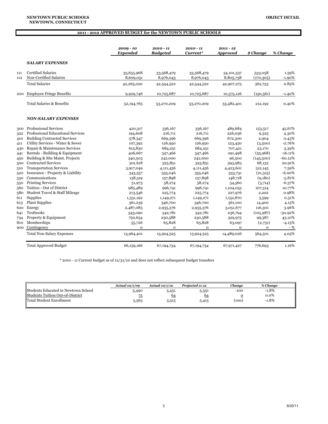|     |                                     | 2009 - 10<br>Expended | $2010 - 11$<br><b>Budgeted</b> | 2010 - 11<br>Current* | $2011 - 12$<br><b>Approved</b> | \$ Change    | % Change  |
|-----|-------------------------------------|-----------------------|--------------------------------|-----------------------|--------------------------------|--------------|-----------|
|     | <b>SALARY EXPENSES</b>              |                       |                                |                       |                                |              |           |
| 111 | <b>Certified Salaries</b>           | 33,655,968            | 33,568,479                     | 33,568,479            | 34,101,537                     | 533,058      | 1.59%     |
| 112 | Non-Certified Salaries              | 8,609,051             | 8,976,043                      | 8,976,043             | 8,805,738                      | (170, 305)   | $-1.90%$  |
|     | <b>Total Salaries</b>               | 42,265,020            | 42,544,522                     | 42,544,522            | 42,907,275                     | 362,753      | 0.85%     |
| 200 | <b>Employee Fringe Benefits</b>     | 9,929,746             | 10,725,687                     | 10,725,687            | 10,575,126                     | (150, 561)   | $-1.40%$  |
|     | Total Salaries & Benefits           | 52,194,765            | 53,270,209                     | 53,270,209            | 53,482,401                     | 212,192      | 0.40%     |
|     | <b>NON-SALARY EXPENSES</b>          |                       |                                |                       |                                |              |           |
| 300 | <b>Professional Services</b>        | 420,317               | 336,167                        | 336,167               | 489,684                        | 153,517      | 45.67%    |
| 322 | Professional Educational Services   | 194,608               | 216,711                        | 216,711               | 226,036                        | 9,325        | 4.30%     |
| 410 | <b>Building Contracted Services</b> | 578,347               | 669,396                        | 669,396               | 672,300                        | 2,904        | 0.43%     |
| 411 | Utility Services - Water & Sewer    | 107,392               | 126,950                        | 126,950               | 123,450                        | (3,500)      | $-2.76%$  |
| 430 | Repair & Maintenance Services       | 615,830               | 684,251                        | 684,251               | 707,421                        | 23,170       | 3.39%     |
| 441 | Rentals - Building & Equipment      | 406,667               | 347,466                        | 347,466               | 291,498                        | (55,968)     | $-16.11%$ |
| 450 | Building & Site Maint. Projects     | 340,503               | 242,000                        | 242,000               | 96,500                         | (145,500)    | $-60.12%$ |
| 500 | <b>Contracted Services</b>          | 301,618               | 325,851                        | 325,851               | 393,983                        | 68,132       | 20.91%    |
| 510 | <b>Transportation Services</b>      | 3,917,049             | 4,111,456                      | 4,111,456             | 4,423,601                      | 312,145      | 7.59%     |
| 520 | Insurance - Property & Liability    | 343,557               | 355,046                        | 355,046               | 333,731                        | (21,315)     | $-6.00%$  |
| 530 | Communications                      | 158,519               | 157,898                        | 157,898               | 148,718                        | (9,180)      | $-5.81%$  |
| 550 | <b>Printing Services</b>            | 51,973                | 58,274                         | 58,274                | 54,560                         | (3,714)      | $-6.37%$  |
| 560 | Tuition - Out of District           | 985,489               | 996,741                        | 996,741               | 1,104,055                      | 107,314      | 10.77%    |
| 580 | Student Travel & Staff Mileage      | 213,546               | 225,774                        | 225,774               | 227,976                        | 2,202        | 0.98%     |
| 611 | Supplies                            | 1,331,192             | 1,149,271                      | 1,149,271             | 1,152,870                      | 3,599        | 0.31%     |
| 613 | <b>Plant Supplies</b>               | 361,239               | 346,700                        | 346,700               | 361,100                        | 14,400       | 4.15%     |
| 620 | Energy                              | 2,487,083             | 2,935,376                      | 2,935,376             | 3,051,677                      | 116,301      | 3.96%     |
| 641 | <b>Textbooks</b>                    | 343,090               | 342,781                        | 342,781               | 236,794                        | (105, 987)   | $-30.92%$ |
| 734 | Property & Equipment                | 750,654               | 230,588                        | 230,588               | 329,975                        | 99,387       | 43.10%    |
| 810 | Memberships                         | 55,726                | 65,828                         | 65,828                | 63,097                         | (2,731)      | $-4.15%$  |
| 900 | Contingency                         | $\mathbf 0$           | $\mathbf{o}$                   | $\mathbf{o}$          | $\mathbf{O}$                   | $\mathbf{O}$ | $-$ %     |
|     | <b>Total Non-Salary Expenses</b>    | 13,964,401            | 13,924,525                     | 13,924,525            | 14,489,026                     | 564,501      | 4.05%     |
|     | <b>Total Approved Budget</b>        | 66,159,166            | 67,194,734                     | 67,194,734            | 67,971,427                     | 776,693      | 1.16%     |

 $^\ast$  2010 - 11 Current budget as of 12/31/10 and does not reflect subsequent budget transfers

|                                            | Actual $10/1/09$ | Actual $10/1/10$ | Projected 11-12 | Chanae | % Chanae |
|--------------------------------------------|------------------|------------------|-----------------|--------|----------|
| <b>Students Educated in Newtown School</b> | 5,490            | 5,451            | 5,351           | $-100$ | $-1.8%$  |
| <b>Students Tuition Out-of-District</b>    | Z <sub>5</sub>   | 64               | 64              |        | $0.0\%$  |
| Total Student Enrollment                   | 5,565            | 5,515            | 5,415           | (100)  | $-1.8%$  |
|                                            |                  |                  |                 |        |          |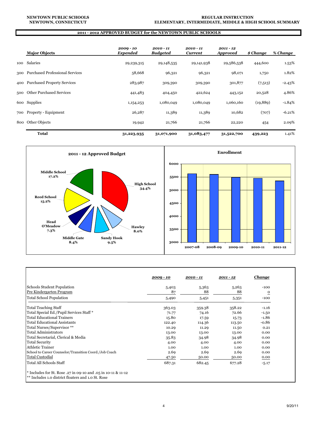|     | <b>Major Objects</b>                | $2009 - 10$<br>Expended | $2010 - 11$<br><b>Budgeted</b> | 2010 - 11<br>Current | $2011 - 12$<br><i><b>Approved</b></i> | \$ Change | % Change |
|-----|-------------------------------------|-------------------------|--------------------------------|----------------------|---------------------------------------|-----------|----------|
| 100 | Salaries                            | 29,239,315              | 29,148,535                     | 29, 141, 938         | 29,586,538                            | 444,600   | 1.53%    |
|     | 300 Purchased Professional Services | 58,668                  | 96,321                         | 96,321               | 98,071                                | 1,750     | 1.82%    |
|     | 400 Purchased Property Services     | 283,987                 | 309,390                        | 309,390              | 301,877                               | (7,513)   | $-2.43%$ |
| 500 | <b>Other Purchased Services</b>     | 441,483                 | 404,450                        | 422,624              | 443,152                               | 20,528    | 4.86%    |
|     | 600 Supplies                        | 1,154,253               | 1,080,049                      | 1,080,049            | 1,060,160                             | (19, 889) | $-1.84%$ |
|     | 700 Property - Equipment            | 26,287                  | 11,389                         | 11,389               | 10,682                                | (707)     | $-6.21%$ |
| 800 | Other Objects                       | 19,942                  | 21,766                         | 21,766               | 22,220                                | 454       | 2.09%    |
|     | <b>Total</b>                        | 31,223,935              | 31,071,900                     | 31,083,477           | 31,522,700                            | 439,223   | 1.41%    |



|                                                                                                                                | $2009 - 10$ | 2010 - 11 | $2011 - 12$ | <b>Change</b>  |
|--------------------------------------------------------------------------------------------------------------------------------|-------------|-----------|-------------|----------------|
| Schools Student Population                                                                                                     | 5,403       | 5,363     | 5,263       | $-100$         |
| Pre Kindergarten Program                                                                                                       | 87          | 88        | 88          | $\overline{O}$ |
| <b>Total School Population</b>                                                                                                 | 5,490       | 5,451     | 5,351       | $-100$         |
| <b>Total Teaching Staff</b>                                                                                                    | 363.03      | 359.38    | 358.22      | $-1.16$        |
| Total Special Ed./Pupil Services Staff*                                                                                        | 71.77       | 74.16     | 72.66       | $-1.50$        |
| Total Educational Trainers                                                                                                     | 15.80       | 17.59     | 15.73       | $-1.86$        |
| <b>Total Educational Assistants</b>                                                                                            | 122.40      | 114.36    | 113.50      | $-0.86$        |
| Total Nurses/Supervisor **                                                                                                     | 10.29       | 11.29     | 11.50       | 0.21           |
| <b>Total Administrators</b>                                                                                                    | 13.00       | 13.00     | 13.00       | 0.00           |
| Total Secretarial, Clerical & Media                                                                                            | 35.83       | 34.98     | 34.98       | 0.00           |
| <b>Total Security</b>                                                                                                          | 4.00        | 4.00      | 4.00        | 0.00           |
| <b>Athletic Trainer</b>                                                                                                        | 1.00        | 1.00      | 1.00        | 0.00           |
| School to Career Counselor/Transition Coord./Job Coach                                                                         | 2.69        | 2.69      | 2.69        | 0.00           |
| <b>Total Custodial</b>                                                                                                         | 47.50       | 50.00     | 50.00       | 0.00           |
| Total All Schools Staff                                                                                                        | 687.31      | 682.45    | 677.28      | $-5.17$        |
| * Includes for St. Rose .27 in 09-10 and .05 in 10-11 & 11-12<br><sup>**</sup> Includes 1.0 district floaters and 1.0 St. Rose |             |           |             |                |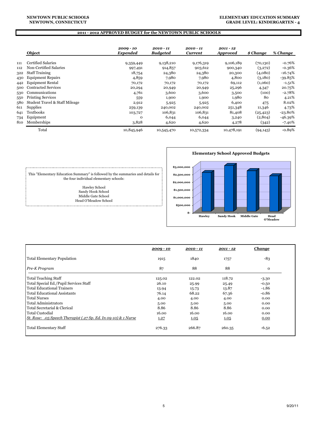#### **NEWTOWN, CONNECTICUT NEWTOWN PUBLIC SCHOOLS**

#### **ELEMENTARY EDUCATION SUMMARY GRADE LEVEL: KINDERGARTEN - 4**

#### **2011 - 2012 APPROVED BUDGET for the NEWTOWN PUBLIC SCHOOLS**

|     | Object                         | $2009 - 10$<br>Expended | $2010 - 11$<br><b>Budgeted</b> | $2010 - 11$<br><b>Current</b> | $2011 - 12$<br><b>Approved</b> | \$ Change | % Change  |
|-----|--------------------------------|-------------------------|--------------------------------|-------------------------------|--------------------------------|-----------|-----------|
| 111 | Certified Salaries             | 9,359,449               | 9,138,210                      | 9,176,319                     | 9,106,189                      | (70, 130) | $-0.76%$  |
| 112 | Non-Certified Salaries         | 997,491                 | 914,857                        | 903,612                       | 900,340                        | (3,272)   | $-0.36%$  |
| 322 | <b>Staff Training</b>          | 18,754                  | 24,380                         | 24,380                        | 20,300                         | (4,080)   | $-16.74%$ |
| 430 | <b>Equipment Repairs</b>       | 4,859                   | 7,980                          | 7,980                         | 4,800                          | (3,180)   | $-39.85%$ |
| 442 | <b>Equipment Rental</b>        | 70,172                  | 70,172                         | 70,172                        | 69,112                         | (1,060)   | $-1.51%$  |
| 500 | <b>Contracted Services</b>     | 20,294                  | 20,949                         | 20,949                        | 25,296                         | 4,347     | 20.75%    |
| 530 | Communications                 | 4,761                   | 3,600                          | 3,600                         | 3,500                          | (100)     | $-2.78%$  |
| 550 | <b>Printing Services</b>       | 559                     | 1,900                          | 1,900                         | 1,980                          | 80        | 4.21%     |
| 580 | Student Travel & Staff Mileage | 2,912                   | 5,925                          | 5,925                         | 6,400                          | 475       | 8.02%     |
| 611 | Supplies                       | 259,139                 | 240,002                        | 240,002                       | 251,348                        | 11,346    | 4.73%     |
| 641 | Textbooks                      | 103,727                 | 106,831                        | 106,831                       | 81,408                         | (25, 423) | -23.80%   |
| 734 | Equipment                      | $\Omega$                | 6,044                          | 6,044                         | 3,240                          | (2,804)   | -46.39%   |
| 810 | Memberships                    | 3,828                   | 4,620                          | 4,620                         | 4,278                          | (342)     | $-7.40\%$ |
|     | Total                          | 10,845,946              | 10,545,470                     | 10,572,334                    | 10,478,191                     | (94, 143) | $-0.89%$  |



This "Elementary Education Summary" is followed by the summaries and details for the four individual elementary schools:

Hawley School Sandy Hook School Middle Gate School Head O'Meadow School

i.

|                                                                 | $2009 - 10$ | $2010 - 11$ | $2011 - 12$ | <u>Change</u> |
|-----------------------------------------------------------------|-------------|-------------|-------------|---------------|
| <b>Total Elementary Population</b>                              | 1915        | 1840        | 1757        | $-83$         |
| Pre-K Program                                                   | 87          | 88          | 88          | $\mathbf 0$   |
| <b>Total Teaching Staff</b>                                     | 125.02      | 122.02      | 118.72      | $-3.30$       |
| Total Special Ed./Pupil Services Staff                          | 26.10       | 25.99       | 25.49       | $-0.50$       |
| Total Educational Trainers                                      | 13.94       | 15.73       | 13.87       | $-1.86$       |
| <b>Total Educational Assistants</b>                             | 76.14       | 68.22       | 67.36       | $-0.86$       |
| <b>Total Nurses</b>                                             | 4.00        | 4.00        | 4.00        | 0.00          |
| Total Administrators                                            | 5.00        | 5.00        | 5.00        | 0.00          |
| Total Secretarial & Clerical                                    | 8.86        | 8.86        | 8.86        | 0.00          |
| Total Custodial                                                 | 16.00       | 16.00       | 16.00       | 0.00          |
| St. Rose: .05 Speech Therapist (.27 Sp. Ed. In 09-10) & 1 Nurse | 1.27        | 1.05        | 1.05        | 0.00          |
| <b>Total Elementary Staff</b>                                   | 276.33      | 266.87      | 260.35      | $-6.52$       |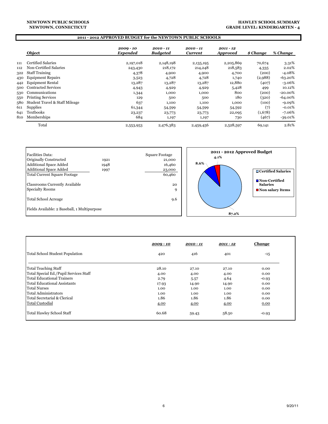#### **NEWTOWN PUBLIC SCHOOLS NEWTOWN, CONNECTICUT**

#### **HAWLEY SCHOOL SUMMARY GRADE LEVEL: KINDERGARTEN - 4**

|     |                                | 2011 - 2012 APPROVED BUDGET for the NEWTOWN PUBLIC SCHOOLS |                              |                               |                              |           |            |
|-----|--------------------------------|------------------------------------------------------------|------------------------------|-------------------------------|------------------------------|-----------|------------|
|     | Object                         | $2009 - 10$<br>Expended                                    | 2010 - 11<br><b>Budgeted</b> | $2010 - 11$<br><b>Current</b> | 2011 - 12<br><b>Approved</b> | \$ Change | % Change   |
| 111 | <b>Certified Salaries</b>      | 2,197,018                                                  | 2,148,198                    | 2,135,195                     | 2,205,869                    | 70,674    | 3.31%      |
| 112 | Non-Certified Salaries         | 243,430                                                    | 218,172                      | 214,248                       | 218,583                      | 4,335     | 2.02%      |
| 322 | <b>Staff Training</b>          | 4,378                                                      | 4,900                        | 4,900                         | 4,700                        | (200)     | $-4.08%$   |
| 430 | <b>Equipment Repairs</b>       | 3,523                                                      | 4,728                        | 4,728                         | 1,740                        | (2,988)   | $-63.20%$  |
| 442 | <b>Equipment Rental</b>        | 13,287                                                     | 13,287                       | 13,287                        | 12,880                       | (407)     | $-3.06\%$  |
| 500 | <b>Contracted Services</b>     | 4,943                                                      | 4,929                        | 4,929                         | 5,428                        | 499       | 10.12%     |
| 530 | Communications                 | 1,344                                                      | 1,000                        | 1,000                         | 800                          | (200)     | $-20.00\%$ |
| 550 | <b>Printing Services</b>       | 129                                                        | 500                          | 500                           | 180                          | (320)     | $-64.00\%$ |
| 580 | Student Travel & Staff Mileage | 637                                                        | 1,100                        | 1,100                         | 1,000                        | (100)     | $-9.09%$   |
| 611 | Supplies                       | 61,344                                                     | 54,599                       | 54,599                        | 54,592                       | (7)       | $-0.01%$   |
| 641 | Textbooks                      | 23,237                                                     | 23,773                       | 23,773                        | 22,095                       | (1,678)   | $-7.06%$   |
| 810 | Memberships                    | 684                                                        | 1,197                        | 1,197                         | 730                          | (467)     | $-39.01\%$ |
|     | Total                          | 2,553,953                                                  | 2,476,383                    | 2,459,456                     | 2,528,597                    | 69,141    | 2.81%      |



|                                        | $2009 - 10$ | $2010 - 11$ | $2011 - 12$ | <u>Change</u> |
|----------------------------------------|-------------|-------------|-------------|---------------|
| Total School Student Population        | 420         | 416         | 401         | $-15$         |
| Total Teaching Staff                   | 28.10       | 27.10       | 27.10       | 0.00          |
| Total Special Ed./Pupil Services Staff | 4.00        | 4.00        | 4.00        | 0.00          |
| Total Educational Trainers             | 2.79        | 5.57        | 4.64        | $-0.93$       |
| Total Educational Assistants           | 17.93       | 14.90       | 14.90       | 0.00          |
| <b>Total Nurses</b>                    | 1.00        | 1.00        | 1.00        | 0.00          |
| Total Administrators                   | 1.00        | 1.00        | 1.00        | 0.00          |
| Total Secretarial & Clerical           | 1.86        | 1.86        | 1.86        | 0.00          |
| <b>Total Custodial</b>                 | 4.00        | 4.00        | 4.00        | 0.00          |
| Total Hawley School Staff              | 60.68       | 59.43       | 58.50       | $-0.93$       |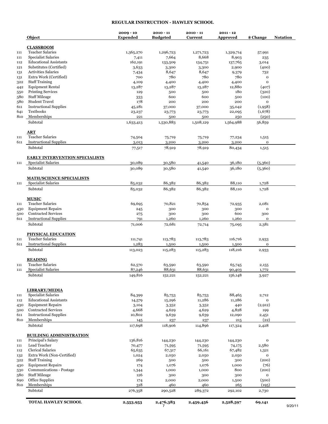# **REGULAR INSTRUCTION - HAWLEY SCHOOL**

|            | <b>Object</b>                                      | $2009 - 10$<br><b>Expended</b> | $2010 - 11$<br><b>Budgeted</b> | $2010 - 11$<br>Current | $2011 - 12$<br>Approved | \$ Change            | <b>Notation</b> |
|------------|----------------------------------------------------|--------------------------------|--------------------------------|------------------------|-------------------------|----------------------|-----------------|
|            | <b>CLASSROOM</b>                                   |                                |                                |                        |                         |                      |                 |
| 111        | <b>Teacher Salaries</b>                            | 1,365,270                      | 1,296,723                      | 1,271,723              | 1,329,714               | 57,991               |                 |
| 111        | <b>Specialist Salaries</b>                         | 7,411                          | 7,664                          | 8,668                  | 8,903                   | 235                  |                 |
| 112        | <b>Educational Assistants</b>                      | 162,191                        | 133,509                        | 134,751                | 137,765                 | 3,014                |                 |
| 121        | Substitutes (Certified)                            | 3,633                          | 3,300                          | 3,300                  | 2,900                   | (400)                |                 |
| 131        | <b>Activities Salaries</b>                         | 7,434                          | 8,647                          | 8,647                  | 9,379                   | 732                  |                 |
| 131        | Extra Work (Certified)                             | 700                            | 780                            | 780                    | 780                     | $\mathbf 0$          |                 |
| 322        | <b>Staff Training</b>                              | 4,109                          | 4,400                          | 4,400                  | 4,400                   | $\mathbf{o}$         |                 |
| 442        | <b>Equipment Rental</b>                            | 13,287                         | 13,287                         | 13,287                 | 12,880                  | (407)                |                 |
| 550        | <b>Printing Services</b>                           | 129                            | 500                            | 500                    | 180                     | (320)                |                 |
| 580        | <b>Staff Mileage</b>                               | 333                            | 600                            | 600                    | 500                     | (100)                |                 |
| 580        | <b>Student Travel</b>                              | 178                            | 200                            | 200                    | 200                     | $\mathbf{o}$         |                 |
| 611        | <b>Instructional Supplies</b>                      | 45,281                         | 37,000                         | 37,000                 | 35,042                  | (1,958)              |                 |
| 641        | Textbooks                                          | 23,237                         | 23,773                         | 23,773                 | 22,095                  | (1,678)              |                 |
| 810        | Memberships                                        | 221                            | 500                            | 500                    | 250                     | (250)                |                 |
|            | Subtotal                                           | 1,633,413                      | 1,530,883                      | 1,508,129              | 1,564,988               | 56,859               |                 |
|            | $\overline{\text{ART}}$                            |                                |                                |                        |                         |                      |                 |
| 111        | <b>Teacher Salaries</b>                            | 74,504                         | 75,719                         | 75,719                 | 77,234                  | 1,515                |                 |
| 611        | <b>Instructional Supplies</b>                      | 3,013                          | 3,200                          | 3,200                  | 3,200                   | $\mathbf 0$          |                 |
|            | Subtotal                                           | 77,517                         | 78,919                         | 78,919                 | 80,434                  | 1,515                |                 |
|            | <b>EARLY INTERVENTION SPECIALISTS</b>              |                                |                                |                        |                         |                      |                 |
| 111        | <b>Specialist Salaries</b>                         | 30,089                         | 30,580                         | 41,540                 | 36,180                  | (5,360)              |                 |
|            | Subtotal                                           | 30,089                         | 30,580                         | 41,540                 | 36,180                  | (5,360)              |                 |
|            | <b>MATH/SCIENCE SPECIALISTS</b>                    |                                |                                |                        |                         |                      |                 |
| 111        | <b>Specialist Salaries</b>                         | 85,032                         | 86,382                         | 86,382                 | 88,110                  | 1,728                |                 |
|            | Subtotal                                           | 85,032                         | 86,382                         | 86,382                 | 88,110                  | 1,728                |                 |
|            | <b>MUSIC</b>                                       |                                |                                |                        |                         |                      |                 |
| 111        | <b>Teacher Salaries</b>                            | 69,695                         | 70,821                         | 70,854                 | 72,935                  | 2,081                |                 |
| 430        | <b>Equipment Repairs</b>                           | 245                            | 300                            | 300                    | 300                     | $\mathbf 0$          |                 |
| 500        | <b>Contracted Services</b>                         | 275                            | 300                            | 300                    | 600                     | 300                  |                 |
| 611        | <b>Instructional Supplies</b>                      | 791                            | 1,260                          | 1,260                  | 1,260                   | $\mathbf 0$          |                 |
|            | Subtotal                                           | 71,006                         | 72,681                         | 72,714                 | 75,095                  | 2,381                |                 |
|            | PHYSICAL EDUCATION                                 |                                |                                |                        |                         |                      |                 |
| 111        | <b>Teacher Salaries</b>                            | 111,741                        | 113,783                        | 113,783                | 116,716                 | 2,933                |                 |
| 611        | <b>Instructional Supplies</b>                      | 1,283                          | 1,500                          | 1,500                  | 1,500                   | o                    |                 |
|            | Subtotal                                           | 113,023                        | 115,283                        | 115,283                | 118,216                 | 2,933                |                 |
|            | <b>READING</b>                                     |                                |                                |                        |                         |                      |                 |
| 111        | <b>Teacher Salaries</b>                            | 62,570                         | 63,590                         | 63,590                 | 65,745                  | 2,155                |                 |
| 111        | Specialist Salaries                                | 87,246                         | 88,631                         | 88,631                 | 90,403                  | 1,772                |                 |
|            | Subtotal                                           | 149,816                        | 152,221                        | 152,221                | 156,148                 | 3,927                |                 |
|            |                                                    |                                |                                |                        |                         |                      |                 |
|            | <b>LIBRARY/MEDIA</b><br><b>Specialist Salaries</b> |                                |                                |                        |                         |                      |                 |
| 111<br>112 | <b>Educational Assistants</b>                      | 84,399                         | 85,753                         | 85,753<br>11,286       | 88,465<br>11,286        | 2,712<br>$\mathbf 0$ |                 |
|            | <b>Equipment Repairs</b>                           | 14,579<br>3,104                | 15,296                         | 3,352                  |                         | (2,912)              |                 |
| 430        | <b>Contracted Services</b>                         | 4,668                          | 3,352<br>4,629                 | 4,629                  | 440<br>4,828            | 199                  |                 |
| 500<br>611 | <b>Instructional Supplies</b>                      | 10,802                         | 9,639                          | 9,639                  | 12,090                  | 2,451                |                 |
| 810        | Memberships                                        | 145                            | 237                            | 237                    | 215                     | (22)                 |                 |
|            | Subtotal                                           | 117,698                        | 118,906                        | 114,896                | 117,324                 | 2,428                |                 |
|            | <b>BUILDING ADMINISTRATION</b>                     |                                |                                |                        |                         |                      |                 |
| 111        | Principal's Salary                                 | 136,816                        | 144,230                        | 144,230                | 144,230                 | $\mathbf{o}$         |                 |
| 111        | Lead Teacher                                       | 70,477                         | 71,595                         | 71,595                 | 74,175                  | 2,580                |                 |
| 112        | <b>Clerical Salaries</b>                           | 65,635                         | 67,317                         | 66,161                 | 67,482                  | 1,321                |                 |
| 132        | Extra Work (Non-Certified)                         | 1,024                          | 2,050                          | 2,050                  | 2,050                   | $\mathbf 0$          |                 |
| 322        | <b>Staff Training</b>                              | 269                            | 500                            | 500                    | 300                     | (200)                |                 |
| 430        | <b>Equipment Repairs</b>                           | 174                            | 1,076                          | 1,076                  | 1,000                   | (76)                 |                 |
| 530        | Communications - Postage                           | 1,344                          | 1,000                          | 1,000                  | 800                     | (200)                |                 |
| 580        | <b>Staff Mileage</b>                               | 126                            | 300                            | 300                    | 300                     | $\mathbf{o}$         |                 |
| 690        | <b>Office Supplies</b>                             | 174                            | 2,000                          | 2,000                  | 1,500                   | (500)                |                 |
| 810        | Memberships                                        | 318                            | 460                            | 460                    | 265                     | (195)                |                 |
|            | Subtotal                                           | 276,358                        | 290,528                        | 289,372                | 292,102                 | 2,730                |                 |
|            | TOTAL HAWLEY SCHOOL                                | 2,553,953                      | 2,476,383<br>7                 | 2,459,456              | 2,528,597               | 69,141               | 9/20/11         |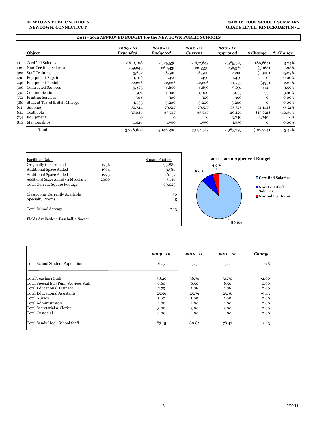#### **NEWTOWN PUBLIC SCHOOLS NEWTOWN, CONNECTICUT**

#### **SANDY HOOK SCHOOL SUMMARY GRADE LEVEL: KINDERGARTEN - 4**

### **2011 - 2012 APPROVED BUDGET for the NEWTOWN PUBLIC SCHOOLS**

|     | Object                         | $2009 - 10$<br><b>Expended</b> | $2010 - 11$<br><b>Budgeted</b> | 2010 - 11<br><b>Current</b> | $2011 - 12$<br><b>Approved</b> | \$ Change    | % Change   |
|-----|--------------------------------|--------------------------------|--------------------------------|-----------------------------|--------------------------------|--------------|------------|
| 111 | Certified Salaries             | 2,810,108                      | 2,725,530                      | 2,672,643                   | 2,585,979                      | (86, 664)    | $-3.24%$   |
| 112 | Non-Certified Salaries         | 259,643                        | 260,430                        | 261,530                     | 256,362                        | (5, 168)     | $-1.98%$   |
| 322 | <b>Staff Training</b>          | 3,637                          | 8,500                          | 8,500                       | 7,200                          | (1,300)      | $-15.29\%$ |
| 430 | <b>Equipment Repairs</b>       | 1,106                          | 1,450                          | 1,450                       | 1,450                          | 0            | 0.00%      |
| 442 | <b>Equipment Rental</b>        | 22,226                         | 22,226                         | 22,226                      | 21,733                         | (493)        | $-2.22%$   |
| 500 | <b>Contracted Services</b>     | 9,875                          | 8,850                          | 8,850                       | 9,691                          | 841          | 9.50%      |
| 530 | Communications                 | 971                            | 1,000                          | 1,000                       | 1,033                          | 33           | 3.30%      |
| 550 | <b>Printing Services</b>       | 308                            | 300                            | 300                         | 300                            | 0            | 0.00%      |
| 580 | Student Travel & Staff Mileage | 1,535                          | 3,200                          | 3,200                       | 3,200                          | $\mathbf{O}$ | 0.00%      |
| 611 | Supplies                       | 80,724                         | 79,517                         | 79,517                      | 75,375                         | (4,142)      | $-5.21\%$  |
| 641 | <b>Textbooks</b>               | 37,046                         | 33,747                         | 33,747                      | 20,126                         | (13, 621)    | -40.36%    |
| 734 | Equipment                      | O                              | $\Omega$                       | o                           | 3,240                          | 3,240        | $-$ %      |
| 810 | Memberships                    | 1,428                          | 1,550                          | 1,550                       | 1,550                          | o            | 0.00%      |
|     | Total                          | 3,228,607                      | 3,146,300                      | 3,094,513                   | 2,987,239                      | (107, 274)   | $-3.47%$   |



|                                        | $2009 - 10$ | $2010 - 11$ | $2011 - 12$ | <u>Change</u> |
|----------------------------------------|-------------|-------------|-------------|---------------|
| Total School Student Population        | 625         | 575         | 527         | $-48$         |
| Total Teaching Staff                   | 38.20       | 36.70       | 34.70       | $-2.00$       |
| Total Special Ed./Pupil Services Staff | 6.60        | 6.50        | 6.50        | 0.00          |
| Total Educational Trainers             | 2.79        | 1.86        | 1.86        | 0.00          |
| Total Educational Assistants           | 25.56       | 25.79       | 25.36       | $-0.43$       |
| <b>Total Nurses</b>                    | 1.00        | 1.00        | 1.00        | 0.00          |
| Total Administrators                   | 2.00        | 2.00        | 2.00        | 0.00          |
| Total Secretarial & Clerical           | 3.00        | 3.00        | 3.00        | 0.00          |
| <b>Total Custodial</b>                 | 4.00        | 4.00        | 4.00        | 0.00          |
| Total Sandy Hook School Staff          | 83.15       | 80.85       | 78.42       | $-2.43$       |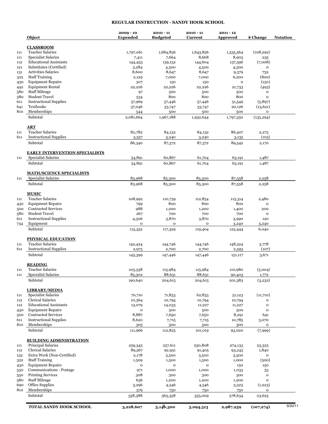## **REGULAR INSTRUCTION - SANDY HOOK SCHOOL**

|            | Object                                                        | $2009 - 10$<br><b>Expended</b> | $2010 - 11$<br><b>Budgeted</b> | $2010 - 11$<br>Current | $2011 - 12$<br><b>Approved</b> | \$ Change              | <b>Notation</b> |
|------------|---------------------------------------------------------------|--------------------------------|--------------------------------|------------------------|--------------------------------|------------------------|-----------------|
| 111        | <b>CLASSROOM</b><br><b>Teacher Salaries</b>                   | 1,797,061                      | 1,684,856                      | 1,643,856              | 1,535,564                      | (108, 292)             |                 |
| 111        | Specialist Salaries                                           |                                | 7,664                          | 8,668                  | 8,903                          |                        |                 |
| 112        | <b>Educational Assistants</b>                                 | 7,411                          | 139,152                        | 144,604                | 137,596                        | 235<br>(7,008)         |                 |
| 121        | Substitutes (Certified)                                       | 144,455                        |                                |                        |                                | $\mathbf{o}$           |                 |
|            | <b>Activities Salaries</b>                                    | 3,284                          | 4,500                          | 4,500                  | 4,500                          |                        |                 |
| 131        | <b>Staff Training</b>                                         | 8,600                          | 8,647                          | 8,647                  | 9,379                          | 732                    |                 |
| 322        |                                                               | 2,129                          | 7,000                          | 7,000                  | 6,200                          | (800)                  |                 |
| 430        | <b>Equipment Repairs</b>                                      | 307                            | 150                            | 150                    | $\mathbf{o}$                   | (150)                  |                 |
| 442        | <b>Equipment Rental</b>                                       | 22,226                         | 22,226                         | 22,226                 | 21,733                         | (493)                  |                 |
| 580        | <b>Staff Mileage</b>                                          | 97                             | 500                            | 500                    | 500                            | o                      |                 |
| 580        | <b>Student Travel</b>                                         | 534                            | 800                            | 800                    | 800                            | $\mathbf{o}$           |                 |
| 611        | <b>Instructional Supplies</b>                                 | 57,969                         | 57,446                         | 57,446                 | 51,549                         | (5,897)                |                 |
| 641        | <b>Textbooks</b>                                              | 37,046                         | 33,747                         | 33,747                 | 20,126                         | (13, 621)              |                 |
| 810        | Memberships                                                   | 544                            | 500                            | 500                    | 500                            | o                      |                 |
|            | Subtotal                                                      | 2,081,664                      | 1,967,188                      | 1,932,644              | 1,797,350                      | (135, 294)             |                 |
|            | $\overline{\text{ART}}$                                       |                                |                                |                        |                                |                        |                 |
| 111        | <b>Teacher Salaries</b>                                       | 82,782                         | 84,132                         | 84,132                 | 86,407                         | 2,275                  |                 |
| 611        | <b>Instructional Supplies</b>                                 | 3,557                          | 3,240                          | 3,240                  | 3,135                          | (105)                  |                 |
|            | Subtotal                                                      | 86,340                         | 87,372                         | 87,372                 | 89,542                         | 2,170                  |                 |
| 111        | <b>EARLY INTERVENTION SPECIALISTS</b>                         |                                |                                |                        |                                |                        |                 |
|            | <b>Specialist Salaries</b><br>Subtotal                        | 54,891<br>54,891               | 60,867<br>60,867               | 61,704<br>61,704       | 63,191<br>63,191               | 1,487<br>1,487         |                 |
|            |                                                               |                                |                                |                        |                                |                        |                 |
| 111        | <b>MATH/SCIENCE SPECIALISTS</b><br><b>Specialist Salaries</b> | 83,968                         | 85,300                         | 85,300                 | 87,558                         | 2,258                  |                 |
|            | Subtotal                                                      | 83,968                         | 85,300                         | 85,300                 | 87,558                         | 2,258                  |                 |
|            | <b>MUSIC</b>                                                  |                                |                                |                        |                                |                        |                 |
| 111        | <b>Teacher Salaries</b>                                       | 108,992                        | 110,759                        | 112,834                | 115,314                        | 2,480                  |                 |
| 430        | <b>Equipment Repairs</b>                                      | 799                            | 800                            | 800                    | 800                            | $\mathbf{o}$           |                 |
| 500        | <b>Contracted Services</b>                                    | 988                            | 1,200                          | 1,200                  | 1,400                          | 200                    |                 |
| 580        | <b>Student Travel</b>                                         | 267                            | 700                            | 700                    | 700                            | o                      |                 |
|            | <b>Instructional Supplies</b>                                 | 4,306                          | 3,870                          | 3,870                  | 3,990                          | 120                    |                 |
| 734        | Equipment                                                     | $\mathbf 0$                    | $\mathbf{o}$                   | $\mathbf 0$            | 3,240                          | 3,240                  |                 |
|            | Subtotal                                                      | 115,352                        | 117,329                        | 119,404                | 125,444                        | 6,040                  |                 |
|            | PHYSICAL EDUCATION                                            |                                |                                |                        |                                |                        |                 |
| 111<br>611 | <b>Teacher Salaries</b><br><b>Instructional Supplies</b>      | 142,424<br>2,975               | 144,746<br>2,700               | 144,746<br>2,700       | 148,524<br>2,593               | 3,778<br>(107)         |                 |
|            | Subtotal                                                      | 145,399                        | 147,446                        | 147,446                | 151,117                        | 3,671                  |                 |
|            | <b>READING</b>                                                |                                |                                |                        |                                |                        |                 |
| 111        | <b>Teacher Salaries</b>                                       | 105,338                        | 115,984                        | 115,984                | 110,980                        | (5,004)                |                 |
|            | <b>Specialist Salaries</b>                                    | 85,302                         | 88,631                         | 88,631                 | 90,403                         | 1,772                  |                 |
|            | Subtotal                                                      | 190,640                        | 204,615                        | 204,615                | 201,383                        | (3,232)                |                 |
|            | <b>LIBRARY/MEDIA</b>                                          |                                |                                |                        |                                |                        |                 |
|            | <b>Specialist Salaries</b>                                    | 70,710                         | 71,833                         | 62,833                 | 51,123                         | (11,710)               |                 |
|            | <b>Clerical Salaries</b>                                      | 10,364                         | 10,794                         | 10,794                 |                                | o                      |                 |
|            | <b>Educational Assistants</b>                                 |                                |                                |                        | 10,794                         | o                      |                 |
| 430        | <b>Equipment Repairs</b>                                      | 13,079                         | 14,033                         | 11,227                 | 11,227                         |                        |                 |
| 500        |                                                               | $\mathbf 0$                    | 500                            | 500                    | 500                            | $\mathbf{o}$           |                 |
|            | <b>Contracted Services</b>                                    | 8,887                          | 7,650                          | 7,650                  | 8,291                          | 641                    |                 |
|            | <b>Instructional Supplies</b>                                 | 8,620                          | 7,715                          | 7,715                  | 10,785                         | 3,070                  |                 |
|            | Memberships<br>Subtotal                                       | 305<br>111,966                 | 300<br>112,825                 | 300<br>101,019         | 300<br>93,020                  | o<br>(7,999)           |                 |
|            | <b>BUILDING ADMINISTRATION</b>                                |                                |                                |                        |                                |                        |                 |
|            | Principal Salaries                                            |                                | 257,611                        | 250,808                |                                |                        |                 |
|            | Clerical Salaries                                             | 259,345                        |                                |                        | 274,133                        | 23,325                 |                 |
|            | Extra Work (Non-Certified)                                    | 89,567                         | 92,951                         | 91,405                 | 93,245                         | 1,840                  |                 |
| 132<br>322 |                                                               | 2,178                          | 3,500                          | 3,500                  | 3,500                          | o                      |                 |
|            | <b>Staff Training</b>                                         | 1,509                          | 1,500                          | 1,500                  | 1,000                          | (500)                  |                 |
| 430        | <b>Equipment Repairs</b>                                      | o                              | $\mathbf{o}$                   | $\mathbf 0$            | 150                            | 150                    |                 |
| 530<br>550 | Communications - Postage                                      | 971                            | 1,000                          | 1,000                  | 1,033                          | 33                     |                 |
|            | <b>Printing Services</b>                                      | 308                            | 300                            | 300                    | 300                            | o                      |                 |
| 580        | <b>Staff Mileage</b>                                          | 636                            | 1,200                          | 1,200                  | 1,200                          | o                      |                 |
| 690<br>810 | <b>Office Supplies</b><br>Memberships                         | 3,296<br>579                   | 4,546<br>750                   | 4,546<br>750           | 3,323<br>750                   | (1,223)<br>$\mathbf 0$ |                 |
|            |                                                               | 358,388                        | 363,358                        | 355,009                | 378,634                        | 23,625                 |                 |
|            | Subtotal                                                      |                                |                                |                        |                                |                        |                 |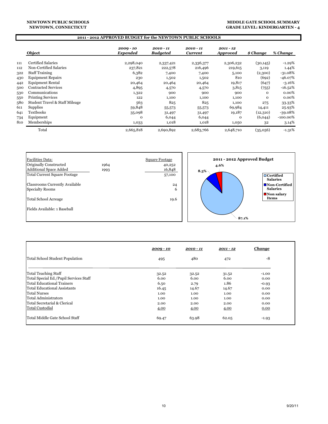#### **NEWTOWN PUBLIC SCHOOLS NEWTOWN, CONNECTICUT**

#### **MIDDLE GATE SCHOOL SUMMARY GRADE LEVEL: KINDERGARTEN - 4**

### **2011 - 2012 APPROVED BUDGET for the NEWTOWN PUBLIC SCHOOLS**

|     | Object                         | $2009 - 10$<br>Expended | $2010 - 11$<br><b>Budgeted</b> | $2010 - 11$<br><b>Current</b> | $2011 - 12$<br><b>Approved</b> | \$ Change    | % Change    |
|-----|--------------------------------|-------------------------|--------------------------------|-------------------------------|--------------------------------|--------------|-------------|
| 111 | <b>Certified Salaries</b>      | 2,298,040               | 2,337,421                      | 2,336,377                     | 2,306,232                      | (30, 145)    | $-1.29%$    |
| 112 | Non-Certified Salaries         | 237,821                 | 222,578                        | 216,496                       | 219,615                        | 3,119        | 1.44%       |
| 322 | <b>Staff Training</b>          | 6,382                   | 7,400                          | 7,400                         | 5,100                          | (2,300)      | $-31.08%$   |
| 430 | <b>Equipment Repairs</b>       | 230                     | 1,502                          | 1,502                         | 810                            | (692)        | $-46.07%$   |
| 442 | <b>Equipment Rental</b>        | 20,464                  | 20,464                         | 20,464                        | 19,817                         | (647)        | $-3.16%$    |
| 500 | <b>Contracted Services</b>     | 4,895                   | 4,570                          | 4,570                         | 3,815                          | (755)        | $-16.52\%$  |
| 530 | Communications                 | 1,322                   | 900                            | 900                           | 900                            | $\mathbf{O}$ | $0.00\%$    |
| 550 | <b>Printing Services</b>       | 122                     | 1,100                          | 1,100                         | 1,100                          | 0            | 0.00%       |
| 580 | Student Travel & Staff Mileage | 563                     | 825                            | 825                           | 1,100                          | 275          | 33.33%      |
| 611 | <b>Supplies</b>                | 59,848                  | 55,573                         | 55,573                        | 69,984                         | 14,411       | 25.93%      |
| 641 | <b>Textbooks</b>               | 35,098                  | 31,497                         | 31,497                        | 19,187                         | (12,310)     | $-39.08%$   |
| 734 | Equipment                      | $\Omega$                | 6,044                          | 6,044                         | $\mathbf 0$                    | (6,044)      | $-100.00\%$ |
| 810 | Memberships                    | 1,033                   | 1,018                          | 1,018                         | 1,050                          | 32           | 3.14%       |
|     | Total                          | 2,665,818               | 2,690,892                      | 2,683,766                     | 2,648,710                      | (35,056)     | $-1.31%$    |



|                                        | $2009 - 10$ | $2010 - 11$ | $2011 - 12$ | <u>Change</u> |
|----------------------------------------|-------------|-------------|-------------|---------------|
| Total School Student Population        | 495         | 480         | 472         | $-8$          |
| Total Teaching Staff                   | 32.52       | 32.52       | 31.52       | $-1.00$       |
| Total Special Ed./Pupil Services Staff | 6.00        | 6.00        | 6.00        | 0.00          |
| Total Educational Trainers             | 6.50        | 2.79        | 1.86        | $-0.93$       |
| <b>Total Educational Assistants</b>    | 16.45       | 14.67       | 14.67       | 0.00          |
| <b>Total Nurses</b>                    | 1.00        | 1.00        | 1.00        | 0.00          |
| Total Administrators                   | 1.00        | 1.00        | 1.00        | 0.00          |
| Total Secretarial & Clerical           | 2.00        | 2.00        | 2.00        | 0.00          |
| <b>Total Custodial</b>                 | 4.00        | 4.00        | 4.00        | 0.00          |
| Total Middle Gate School Staff         | 69.47       | 63.98       | 62.05       | $-1.93$       |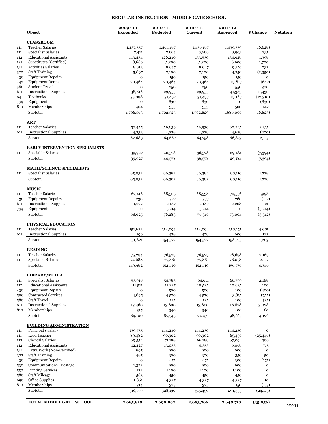### **REGULAR INSTRUCTION - MIDDLE GATE SCHOOL**

|     | Object                                                      | $2009 - 10$<br><b>Expended</b> | $2010 - 11$<br><b>Budgeted</b> | $2010 - 11$<br><b>Current</b> | $2011 - 12$<br><b>Approved</b> | \$ Change               | <b>Notation</b> |
|-----|-------------------------------------------------------------|--------------------------------|--------------------------------|-------------------------------|--------------------------------|-------------------------|-----------------|
|     | <b>CLASSROOM</b><br><b>Teacher Salaries</b>                 |                                |                                |                               |                                |                         |                 |
| 111 |                                                             | 1,437,557                      | 1,464,187                      | 1,456,187                     | 1,439,559                      | (16, 628)               |                 |
| 111 | <b>Specialist Salaries</b><br><b>Educational Assistants</b> | 7,411                          | 7,664                          | 8,668                         | 8,903                          | 235                     |                 |
| 112 | Substitutes (Certified)                                     | 143,434                        | 126,230                        | 133,530                       | 134,928                        | 1,398                   |                 |
| 121 | <b>Activities Salaries</b>                                  | 8,669<br>8,813                 | 5,200                          | 5,200                         | 6,900                          | 1,700                   |                 |
| 131 | <b>Staff Training</b>                                       |                                | 8,647                          | 8,647                         | 9,379                          | 732                     |                 |
| 322 | <b>Equipment Repairs</b>                                    | 5,897<br>$\mathbf 0$           | 7,100                          | 7,100                         | 4,750                          | (2,350)<br>$\mathbf{o}$ |                 |
| 430 | <b>Equipment Rental</b>                                     |                                | 150                            | 150                           | 150                            |                         |                 |
| 442 | <b>Student Travel</b>                                       | 20,464                         | 20,464                         | 20,464                        | 19,817                         | (647)                   |                 |
| 580 | <b>Instructional Supplies</b>                               | $\mathbf 0$                    | 250                            | 250                           | 550                            | 300                     |                 |
| 611 | <b>Textbooks</b>                                            | 38,816                         | 29,953                         | 29,953                        | 41,383                         | 11,430                  |                 |
| 641 |                                                             | 35,098                         | 31,497                         | 31,497                        | 19,187                         | (12, 310)               |                 |
| 734 | Equipment                                                   | o                              | 830                            | 830                           | o                              | (830)                   |                 |
| 810 | Memberships<br>Subtotal                                     | 404<br>1,706,563               | 353<br>1,702,525               | 353<br>1,702,829              | 500<br>1,686,006               | 147<br>(16, 823)        |                 |
|     | <b>ART</b>                                                  |                                |                                |                               |                                |                         |                 |
| 111 | <b>Teacher Salaries</b>                                     | 58,455                         | 59,839                         | 59,930                        | 62,245                         | 2,315                   |                 |
| 611 | <b>Instructional Supplies</b>                               | 4,233                          | 4,828                          | 4,828                         | 4,628                          | (200)                   |                 |
|     | Subtotal                                                    | 62,689                         | 64,667                         | 64,758                        | 66,873                         | 2,115                   |                 |
|     | <b>EARLY INTERVENTION SPECIALISTS</b>                       |                                |                                |                               |                                |                         |                 |
| 111 | <b>Specialist Salaries</b>                                  | 39,927                         | 40,578                         | 36,578                        | 29,184                         | (7,394)                 |                 |
|     | Subtotal                                                    | 39,927                         | 40,578                         | 36,578                        | 29,184                         | (7,394)                 |                 |
|     | <b>MATH/SCIENCE SPECIALISTS</b>                             |                                |                                |                               |                                |                         |                 |
| 111 | <b>Specialist Salaries</b>                                  | 85,032                         | 86,382                         | 86,382                        | 88,110                         | 1,728                   |                 |
|     | Subtotal                                                    | 85,032                         | 86,382                         | 86,382                        | 88,110                         | 1,728                   |                 |
|     | <b>MUSIC</b>                                                |                                |                                |                               |                                |                         |                 |
| 111 | <b>Teacher Salaries</b>                                     | 67,416                         | 68,505                         | 68,538                        | 70,536                         | 1,998                   |                 |
| 430 | <b>Equipment Repairs</b>                                    | 230                            | 377                            | 377                           | 260                            | (117)                   |                 |
| 611 | <b>Instructional Supplies</b>                               | 1,279                          | 2,187                          | 2,187                         | 2,208                          | 21                      |                 |
| 734 | Equipment<br>Subtotal                                       | $\mathbf O$<br>68,925          | 5,214<br>76,283                | 5,214<br>76,316               | $\mathbf 0$<br>73,004          | (5,214)<br>(3,312)      |                 |
|     |                                                             |                                |                                |                               |                                |                         |                 |
|     | <b>PHYSICAL EDUCATION</b><br><b>Teacher Salaries</b>        |                                |                                |                               |                                |                         |                 |
| 111 |                                                             | 151,622                        | 154,094                        | 154,094                       | 158,175                        | 4,081                   |                 |
| 611 | <b>Instructional Supplies</b><br>Subtotal                   | 199<br>151,821                 | 478<br>154,572                 | 478<br>154,572                | 600<br>158,775                 | 122<br>4,203            |                 |
|     | <b>READING</b>                                              |                                |                                |                               |                                |                         |                 |
|     | <b>Teacher Salaries</b>                                     |                                |                                |                               |                                |                         |                 |
| 111 | <b>Specialist Salaries</b>                                  | 75,294                         | 76,529                         | 76,529                        | 78,698                         | 2,169                   |                 |
| 111 | Subtotal                                                    | 74,688<br>149,982              | 75,881<br>152,410              | 75,881<br>152,410             | 78,058<br>156,756              | 2,177<br>4,346          |                 |
|     | <b>LIBRARY/MEDIA</b>                                        |                                |                                |                               |                                |                         |                 |
| 111 | <b>Specialist Salaries</b>                                  | 53,918                         | 54,783                         | 64,611                        | 66,799                         | 2,188                   |                 |
| 112 | <b>Educational Assistants</b>                               | 11,511                         | 11,227                         | 10,525                        | 10,625                         | 100                     |                 |
| 430 | <b>Equipment Repairs</b>                                    | o                              | 500                            | 500                           | 100                            | (400)                   |                 |
| 500 | <b>Contracted Services</b>                                  | 4,895                          | 4,570                          | 4,570                         | 3,815                          | (755)                   |                 |
| 580 | <b>Staff Travel</b>                                         | o                              | 125                            | 125                           | 100                            | (25)                    |                 |
| 611 | <b>Instructional Supplies</b>                               | 13,460                         | 13,800                         | 13,800                        | 16,828                         | 3,028                   |                 |
| 810 | Memberships                                                 | 315                            | 340                            | 340                           | 400                            | 60                      |                 |
|     | Subtotal                                                    | 84,100                         | 85,345                         | 94,471                        | 98,667                         | 4,196                   |                 |
|     | <b>BUILDING ADMINISTRATION</b>                              |                                |                                |                               |                                |                         |                 |
| 111 | Principal's Salary                                          | 139,755                        | 144,230                        | 144,230                       | 144,230                        | $\mathbf 0$             |                 |
| 111 | Lead Teacher                                                | 89,482                         | 90,902                         | 90,902                        | 65,456                         | (25, 446)               |                 |
| 112 | Clerical Salaries                                           | 69,554                         | 71,188                         | 66,188                        | 67,094                         | 906                     |                 |
| 112 | <b>Educational Assistants</b>                               | 12,427                         | 13,033                         | 5,353                         | 6,068                          | 715                     |                 |
| 132 | Extra Work (Non-Certified)                                  | 895                            | 900                            | 900                           | 900                            | $\mathbf{o}$            |                 |
| 322 | <b>Staff Training</b>                                       | 485                            | 300                            | 300                           | 350                            | 50                      |                 |
| 430 | <b>Equipment Repairs</b>                                    | o                              | 475                            | 475                           | 300                            | (175)                   |                 |
| 530 | Communications - Postage                                    | 1,322                          | 900                            | 900                           | 900                            | $\mathbf{o}$            |                 |
| 550 | <b>Printing Services</b>                                    | 122                            | 1,100                          | 1,100                         | 1,100                          | $\mathbf{o}$            |                 |
| 580 | <b>Staff Mileage</b>                                        | 563                            | 450                            | 450                           | 450                            | o                       |                 |
| 690 | Office Supplies                                             | 1,861                          | 4,327                          | 4,327                         | 4,337                          | 10                      |                 |
| 810 | Memberships<br>Subtotal                                     | 314                            | 325<br>328,130                 | 325                           | 150                            | (175)                   |                 |
|     |                                                             | 316,779                        |                                | 315,450                       | 291,335                        | (24, 115)               |                 |
|     | <b>TOTAL MIDDLE GATE SCHOOL</b>                             | 2,665,818                      | 2,690,892<br>11                | 2,683,766                     | 2,648,710                      | (35,056)                | 9/20/11         |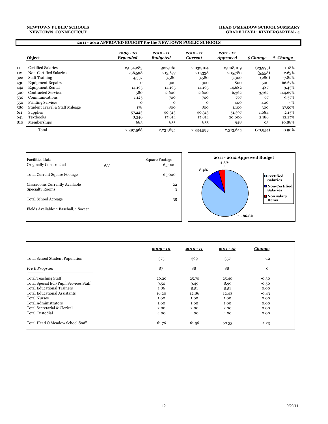#### **NEWTOWN, CONNECTICUT NEWTOWN PUBLIC SCHOOLS**

#### **HEAD O'MEADOW SCHOOL SUMMARY GRADE LEVEL: KINDERGARTEN - 4**

#### **2011 - 2012 APPROVED BUDGET for the NEWTOWN PUBLIC SCHOOLS**

|     | Object                         | $2009 - 10$<br><b>Expended</b> | $2010 - 11$<br><b>Budgeted</b> | $2010 - 11$<br><b>Current</b> | $2011 - 12$<br><b>Approved</b> | \$ Change | % Change  |
|-----|--------------------------------|--------------------------------|--------------------------------|-------------------------------|--------------------------------|-----------|-----------|
| 111 | Certified Salaries             | 2,054,283                      | 1,927,061                      | 2,032,104                     | 2,008,109                      | (23,995)  | $-1.18\%$ |
| 112 | Non-Certified Salaries         | 256,598                        | 213,677                        | 211,338                       | 205,780                        | (5,558)   | $-2.63%$  |
| 322 | <b>Staff Training</b>          | 4,357                          | 3,580                          | 3,580                         | 3,300                          | (280)     | $-7.82%$  |
| 430 | <b>Equipment Repairs</b>       | $\Omega$                       | 300                            | 300                           | 800                            | 500       | 166.67%   |
| 442 | <b>Equipment Rental</b>        | 14,195                         | 14,195                         | 14,195                        | 14,682                         | 487       | 3.43%     |
| 500 | <b>Contracted Services</b>     | 580                            | 2,600                          | 2,600                         | 6,362                          | 3,762     | 144.69%   |
| 530 | Communications                 | 1,125                          | 700                            | 700                           | 767                            | 67        | 9.57%     |
| 550 | <b>Printing Services</b>       | $\Omega$                       | $\mathbf{O}$                   | $\Omega$                      | 400                            | 400       | - %       |
| 580 | Student Travel & Staff Mileage | 178                            | 800                            | 800                           | 1,100                          | 300       | 37.50%    |
| 611 | Supplies                       | 57,223                         | 50,313                         | 50,313                        | 51,397                         | 1,084     | 2.15%     |
| 641 | <b>Textbooks</b>               | 8,346                          | 17,814                         | 17,814                        | 20,000                         | 2,186     | 12.27%    |
| 810 | Memberships                    | 683                            | 855                            | 855                           | 948                            | 93        | 10.88%    |
|     | Total                          | 2,397,568                      | 2,231,895                      | 2,334,599                     | 2,313,645                      | (20, 954) | $-0.90%$  |



|                                        | $2009 - 10$ | $2010 - 11$ | $2011 - 12$ | <b>Change</b> |
|----------------------------------------|-------------|-------------|-------------|---------------|
| Total School Student Population        | 375         | 369         | 357         | $-12$         |
| Pre K Program                          | 87          | 88          | 88          | $\mathbf{O}$  |
| Total Teaching Staff                   | 26.20       | 25.70       | 25.40       | $-0.30$       |
| Total Special Ed./Pupil Services Staff | 9.50        | 9.49        | 8.99        | $-0.50$       |
| Total Educational Trainers             | 1.86        | 5.51        | 5.51        | 0.00          |
| Total Educational Assistants           | 16.20       | 12.86       | 12.43       | $-0.43$       |
| <b>Total Nurses</b>                    | 1.00        | 1.00        | 1.00        | 0.00          |
| Total Administrators                   | 1.00        | 1.00        | 1.00        | 0.00          |
| Total Secretarial & Clerical           | 2.00        | 2.00        | 2.00        | 0.00          |
| <b>Total Custodial</b>                 | 4.00        | 4.00        | 4.00        | 0.00          |
| Total Head O'Meadow School Staff       | 61.76       | 61.56       | 60.33       | $-1.23$       |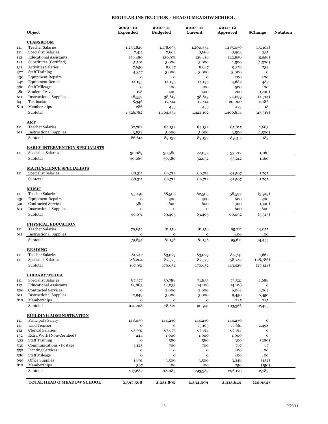### **REGULAR INSTRUCTION - HEAD O'MEADOW SCHOOL**

|            | Object                                                | $2009 - 10$<br><b>Expended</b> | $2010 - 11$<br><b>Budgeted</b> | $2010 - 11$<br><b>Current</b> | $2011 - 12$<br><b>Approved</b> | \$Change             | <b>Notation</b> |
|------------|-------------------------------------------------------|--------------------------------|--------------------------------|-------------------------------|--------------------------------|----------------------|-----------------|
|            | <b>CLASSROOM</b>                                      |                                |                                |                               |                                |                      |                 |
| 111        | <b>Teacher Salaries</b>                               | 1,253,826                      | 1,178,995                      | 1,200,354                     | 1,185,050                      | (15,304)             |                 |
| 111        | <b>Specialist Salaries</b>                            | 7,411                          | 7,664                          | 8,668                         | 8,903                          | 235                  |                 |
| 112        | <b>Educational Assistants</b>                         | 176,480                        | 130,971                        | 128,416                       | 122,858                        | (5,558)              |                 |
| 121        | Substitutes (Certified)<br><b>Activities Salaries</b> | 5,501                          | 3,000                          | 3,000                         | 1,500                          | (1,500)              |                 |
| 131        | <b>Staff Training</b>                                 | 7,650                          | 8,647                          | 8,647                         | 9,379                          | 732<br>$\mathbf{o}$  |                 |
| 322        | <b>Equipment Repairs</b>                              | 4,357                          | 3,000<br>$\mathbf 0$           | 3,000<br>$\mathbf{o}$         | 3,000<br>200                   | 200                  |                 |
| 430        | <b>Equipment Rental</b>                               | o                              |                                |                               | 14,682                         | 487                  |                 |
| 442<br>580 | <b>Staff Mileage</b>                                  | 14,195<br>o                    | 14,195<br>400                  | 14,195<br>400                 | 500                            | 100                  |                 |
| 580        | <b>Student Travel</b>                                 | 178                            | 400                            | 400                           | 200                            | (200)                |                 |
| 611        | <b>Instructional Supplies</b>                         | 48,552                         | 38,813                         | 38,813                        | 34,099                         | (4,714)              |                 |
| 641        | Textbooks                                             | 8,346                          | 17,814                         | 17,814                        | 20,000                         | 2,186                |                 |
| 810        | Memberships                                           | 286                            | 455                            | 455                           | 473                            | 18                   |                 |
|            | Subtotal                                              | 1,526,782                      | 1,404,354                      | 1,424,162                     | 1,400,844                      | (23,318)             |                 |
|            |                                                       |                                |                                |                               |                                |                      |                 |
| 111        | ART<br><b>Teacher Salaries</b>                        | 82,782                         | 84,132                         | 84,132                        | 85,815                         | 1,683                |                 |
| 611        | <b>Instructional Supplies</b>                         | 3,832                          | 5,000                          | 5,000                         | 3,500                          | (1,500)              |                 |
|            |                                                       |                                |                                |                               |                                |                      |                 |
|            | Subtotal                                              | 86,614                         | 89,132                         | 89,132                        | 89,315                         | 183                  |                 |
|            | <b>EARLY INTERVENTION SPECIALISTS</b>                 |                                |                                |                               |                                |                      |                 |
| 111        | <b>Specialist Salaries</b>                            | 30,089                         | 30,580                         | 32,052                        | 33,212                         | 1,160                |                 |
|            | Subtotal                                              | 30,089                         | 30,580                         | 32,052                        | 33,212                         | 1,160                |                 |
|            | <b>MATH/SCIENCE SPECIALISTS</b>                       |                                |                                |                               |                                |                      |                 |
| 111        | <b>Specialist Salaries</b>                            | 88,311                         | 89,712                         | 89,712                        | 91,507                         | 1,795                |                 |
|            | Subtotal                                              | 88,311                         | 89,712                         | 89,712                        | 91,507                         | 1,795                |                 |
|            | <b>MUSIC</b>                                          |                                |                                |                               |                                |                      |                 |
| 111        | <b>Teacher Salaries</b>                               | 95,491                         | 68,505                         | 62,505                        | 58,592                         | (3,913)              |                 |
| 430        | <b>Equipment Repairs</b>                              | o                              | 300                            | 300                           | 600                            | 300                  |                 |
| 500        | <b>Contracted Services</b>                            | 580                            | 600                            | 600                           | 300                            | (300)                |                 |
| 611        | <b>Instructional Supplies</b><br>Subtotal             | o<br>96,071                    | $\mathbf{o}$<br>69,405         | $\mathbf{o}$<br>63,405        | 600<br>60,092                  | 600<br>(3,313)       |                 |
|            |                                                       |                                |                                |                               |                                |                      |                 |
|            | <b>PHYSICAL EDUCATION</b>                             |                                |                                |                               |                                |                      |                 |
| 111        | <b>Teacher Salaries</b>                               | 79,854                         | 81,156                         | 81,156                        | 95,211                         | 14,055               |                 |
| 611        | <b>Instructional Supplies</b>                         | o                              | $\mathbf{o}$                   | $\mathbf{o}$                  | 400                            | 400                  |                 |
|            | Subtotal                                              | 79,854                         | 81,156                         | 81,156                        | 95,611                         | 14,455               |                 |
|            | <b>READING</b>                                        |                                |                                |                               |                                |                      |                 |
| 111        | <b>Teacher Salaries</b>                               | 81,747                         | 83,079                         | 83,079                        | 84,741                         | 1,662                |                 |
| 111        | <b>Specialist Salaries</b>                            | 86,204                         | 87,573                         | 87,573                        | 58,787                         | (28, 786)            |                 |
|            | Subtotal                                              | 167,951                        | 170,652                        | 170,652                       | 143,528                        | (27, 124)            |                 |
|            | <b>LIBRARY/MEDIA</b>                                  |                                |                                |                               |                                |                      |                 |
| 111        | Specialist Salaries                                   | 87,377                         | 59,788                         | 71,833                        | 73,521                         | 1,688                |                 |
| 112        | <b>Educational Assistants</b>                         | 13,883                         | 14,033                         | 14,108                        | 14,108                         | $\mathbf O$          |                 |
| 500        | <b>Contracted Services</b>                            | o                              | 2,000                          | 2,000                         | 6,062                          | 4,062                |                 |
| 611        | <b>Instructional Supplies</b>                         | 2,949                          | 3,000                          | 3,000                         | 9,450                          | 6,450                |                 |
| 810        | Memberships<br>Subtotal                               | o<br>104,208                   | o<br>78,821                    | o<br>90,941                   | 225<br>103,366                 | 225<br>12,425        |                 |
|            |                                                       |                                |                                |                               |                                |                      |                 |
|            | <b>BUILDING ADMINISTRATION</b>                        |                                |                                |                               |                                |                      |                 |
| 111<br>111 | Principal's Salary<br>Lead Teacher                    | 148,039<br>0                   | 144,230<br>0                   | 144,230<br>75,163             | 144,230<br>77,661              | $\mathbf O$<br>2,498 |                 |
| 112        | <b>Clerical Salaries</b>                              | 65,991                         | 67,673                         | 67,814                        | 67,814                         | o                    |                 |
| 132        | Extra Work (Non-Certified)                            | 244                            | 1,000                          | 1,000                         | 1,000                          | 0                    |                 |
| 322        | <b>Staff Training</b>                                 | o                              | 580                            | 580                           | 300                            | (280)                |                 |
| 530        | Communications - Postage                              | 1,125                          | 700                            | 700                           | 767                            | 67                   |                 |
| 550        | <b>Printing Services</b>                              | o                              | $\mathbf 0$                    | o                             | 400                            | 400                  |                 |
| 580        | <b>Staff Mileage</b>                                  | o                              | $\mathbf{o}$                   | $\mathbf o$                   | 400                            | 400                  |                 |
| 690        | Office Supplies                                       | 1,891                          | 3,500                          | 3,500                         | 3,348                          | (152)                |                 |
| 810        | Memberships                                           | 397                            | 400                            | 400                           | 250                            | (150)                |                 |
|            | Subtotal                                              | 217,687                        | 218,083                        | 293,387                       | 296,170                        | 2,783                |                 |
|            | TOTAL HEAD O'MEADOW SCHOOL                            | 2,397,568                      | 2,231,895                      | 2,334,599                     | 2,313,645                      | (20, 954)            |                 |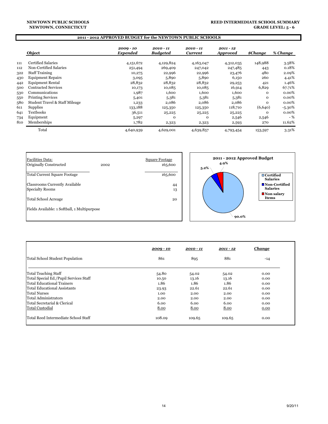#### **NEWTOWN PUBLIC SCHOOLS NEWTOWN, CONNECTICUT**

#### **REED INTERMEDIATE SCHOOL SUMMARY GRADE LEVEL: 5 - 6**

### **2011 - 2012 APPROVED BUDGET for the NEWTOWN PUBLIC SCHOOLS**

|     | Object                         | $2009 - 10$<br><b>Expended</b> | $2010 - 11$<br><b>Budgeted</b> | 2010 - 11<br><b>Current</b> | $2011 - 12$<br><b>Approved</b> | <i><b>\$Change</b></i> | % Change  |
|-----|--------------------------------|--------------------------------|--------------------------------|-----------------------------|--------------------------------|------------------------|-----------|
| 111 | Certified Salaries             | 4,151,672                      | 4,129,824                      | 4,163,047                   | 4,312,035                      | 148,988                | 3.58%     |
| 112 | Non-Certified Salaries         | 251,494                        | 269,409                        | 247,042                     | 247,485                        | 443                    | 0.18%     |
| 322 | <b>Staff Training</b>          | 10,275                         | 22,996                         | 22,996                      | 23,476                         | 480                    | 2.09%     |
| 430 | <b>Equipment Repairs</b>       | 3,095                          | 5,890                          | 5,890                       | 6,150                          | 260                    | 4.41%     |
| 442 | <b>Equipment Rental</b>        | 28,832                         | 28,832                         | 28,832                      | 29,253                         | 421                    | 1.46%     |
| 500 | <b>Contracted Services</b>     | 10,173                         | 10,085                         | 10,085                      | 16,914                         | 6,829                  | 67.71%    |
| 530 | Communications                 | 1,987                          | 1,600                          | 1,600                       | 1,600                          | 0                      | 0.00%     |
| 550 | <b>Printing Services</b>       | 5,401                          | 5,381                          | 5,381                       | 5,381                          | 0                      | 0.00%     |
| 580 | Student Travel & Staff Mileage | 1,233                          | 2,086                          | 2,086                       | 2,086                          | 0                      | 0.00%     |
| 611 | <b>Supplies</b>                | 133,188                        | 125,350                        | 125,350                     | 118,710                        | (6,640)                | $-5.30\%$ |
| 641 | <b>Textbooks</b>               | 36,511                         | 25,225                         | 25,225                      | 25,225                         | 0                      | 0.00%     |
| 734 | Equipment                      | 5,297                          | $\mathbf 0$                    | $\Omega$                    | 2,546                          | 2,546                  | $-$ %     |
| 810 | Memberships                    | 1,782                          | 2,323                          | 2,323                       | 2,593                          | 270                    | 11.62%    |
|     | Total                          | 4,640,939                      | 4,629,001                      | 4,639,857                   | 4,793,454                      | 153,597                | 3.31%     |



|                                        | $2009 - 10$ | $2010 - 11$ | $2011 - 12$ | <b>Change</b> |
|----------------------------------------|-------------|-------------|-------------|---------------|
| Total School Student Population        | 861         | 895         | 881         | $-14$         |
| Total Teaching Staff                   | 54.80       | 54.02       | 54.02       | 0.00          |
| Total Special Ed./Pupil Services Staff | 10.50       | 13.16       | 13.16       | 0.00          |
| Total Educational Trainers             | 1.86        | 1.86        | 1.86        | 0.00          |
| <b>Total Educational Assistants</b>    | 23.93       | 22.61       | 22.61       | 0.00          |
| <b>Total Nurses</b>                    | 1.00        | 2.00        | 2.00        | 0.00          |
| Total Administrators                   | 2.00        | 2.00        | 2.00        | 0.00          |
| Total Secretarial & Clerical           | 6.00        | 6.00        | 6.00        | 0.00          |
| Total Custodial                        | 8.00        | 8.00        | 8.00        | 0.00          |
| Total Reed Intermediate School Staff   | 108.09      | 109.65      | 109.65      | 0.00          |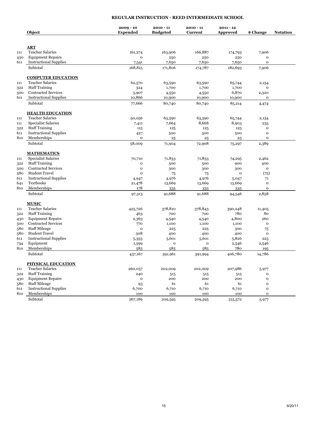# **REGULAR INSTRUCTION - REED INTERMEDIATE SCHOOL**

|     | Object                        | $2009 - 10$<br><b>Expended</b> | $2010 - 11$<br><b>Budgeted</b> | $2010 - 11$<br>Current | $2011 - 12$<br>Approved | \$ Change    | <b>Notation</b> |
|-----|-------------------------------|--------------------------------|--------------------------------|------------------------|-------------------------|--------------|-----------------|
|     |                               |                                |                                |                        |                         |              |                 |
|     | ART                           |                                |                                |                        |                         |              |                 |
| 111 | <b>Teacher Salaries</b>       | 161,274                        | 163,906                        | 166,887                | 174,793                 | 7,906        |                 |
| 430 | <b>Equipment Repairs</b>      | o                              | 250                            | 250                    | 250                     | $\mathbf{o}$ |                 |
| 611 | <b>Instructional Supplies</b> | 7,541                          | 7,650                          | 7,650                  | 7,650                   | 0            |                 |
|     | Subtotal                      | 168,815                        | 171,806                        | 174,787                | 182,693                 | 7,906        |                 |
|     | <b>COMPUTER EDUCATION</b>     |                                |                                |                        |                         |              |                 |
| 111 | <b>Teacher Salaries</b>       | 62,570                         | 63,590                         | 63,590                 | 65,744                  | 2,154        |                 |
| 322 | <b>Staff Training</b>         | 324                            | 1,700                          | 1,700                  | 1,700                   | o            |                 |
| 500 | <b>Contracted Services</b>    | 3,907                          | 4,550                          | 4,550                  | 6,870                   | 2,320        |                 |
| 611 | <b>Instructional Supplies</b> | 10,866                         | 10,900                         | 10,900                 | 10,900                  | $\mathbf{o}$ |                 |
|     | Subtotal                      | 77,666                         | 80,740                         | 80,740                 | 85,214                  | 4,474        |                 |
|     | <b>HEALTH EDUCATION</b>       |                                |                                |                        |                         |              |                 |
| 111 | <b>Teacher Salaries</b>       | 50,056                         | 63,590                         | 63,590                 | 65,744                  | 2,154        |                 |
| 111 | <b>Specialist Salaries</b>    | 7,411                          | 7,664                          | 8,668                  | 8,903                   | 235          |                 |
| 322 | <b>Staff Training</b>         | 115                            | 125                            | 125                    | 125                     | $\mathbf{o}$ |                 |
| 611 | <b>Instructional Supplies</b> | 427                            | 500                            | 500                    | 500                     | $\mathbf 0$  |                 |
| 810 | Memberships                   | $\mathbf 0$                    | 25                             | 25                     | 25                      | $\mathbf 0$  |                 |
|     | Subtotal                      | 58,009                         | 71,904                         | 72,908                 | 75,297                  | 2,389        |                 |
|     | <b>MATHEMATICS</b>            |                                |                                |                        |                         |              |                 |
| 111 | <b>Specialist Salaries</b>    | 70,710                         | 71,833                         | 71,833                 | 74,295                  | 2,462        |                 |
| 322 | <b>Staff Training</b>         | $\mathbf o$                    | 500                            | 500                    | 900                     | 400          |                 |
| 500 | <b>Contracted Services</b>    | $\mathbf 0$                    | 300                            | 300                    | 300                     | $\mathbf 0$  |                 |
| 580 | <b>Student Travel</b>         | $\mathbf{o}$                   | 75                             | 75                     | $\mathbf 0$             | (75)         |                 |
| 611 | <b>Instructional Supplies</b> | 4,947                          | 4,976                          | 4,976                  | 5,047                   | 71           |                 |
| 641 | <b>Textbooks</b>              | 21,478                         | 13,669                         | 13,669                 | 13,669                  | $\mathbf 0$  |                 |
| 810 | Memberships                   | 178                            | 335                            | 335                    | 335                     | $\mathbf{o}$ |                 |
|     | Subtotal                      | 97,313                         | 91,688                         | 91,688                 | 94,546                  | 2,858        |                 |
|     | <b>MUSIC</b>                  |                                |                                |                        |                         |              |                 |
| 111 | <b>Teacher Salaries</b>       | 425,726                        | 378,810                        | 378,843                | 390,248                 | 11,405       |                 |
| 322 | <b>Staff Training</b>         | 463                            | 700                            | 700                    | 780                     | 80           |                 |
| 430 | <b>Equipment Repairs</b>      | 2,363                          | 4,540                          | 4,540                  | 4,800                   | 260          |                 |
| 500 | <b>Contracted Services</b>    | 770                            | 1,100                          | 1,100                  | 1,100                   | $\mathbf{o}$ |                 |
| 580 | <b>Staff Mileage</b>          | $\mathbf 0$                    | 225                            | 225                    | 300                     | 75           |                 |
| 580 | <b>Student Travel</b>         | 308                            | 400                            | 400                    | 400                     | $\Omega$     |                 |
| 611 | <b>Instructional Supplies</b> | 5,353                          | 5,601                          | 5,601                  | 5,826                   | 225          |                 |
| 734 | Equipment                     | 1,599                          | $\mathbf 0$                    | $\mathbf{o}$           | 2,546                   | 2,546        |                 |
| 810 | Memberships                   | 585                            | 585                            | 585                    | 780                     | 195          |                 |
|     | Subtotal                      | 437,167                        | 391,961                        | 391,994                | 406,780                 | 14,786       |                 |
|     | <b>PHYSICAL EDUCATION</b>     |                                |                                |                        |                         |              |                 |
| 111 | <b>Teacher Salaries</b>       | 260,057                        | 202,009                        | 202,009                | 207,986                 | 5,977        |                 |
| 322 | <b>Staff Training</b>         | 240                            | 515                            | 515                    | 515                     | 0            |                 |
| 430 | <b>Equipment Repairs</b>      | $\mathbf 0$                    | 200                            | 200                    | 200                     | $\mathbf{o}$ |                 |
| 580 | <b>Staff Mileage</b>          | 93                             | 61                             | 61                     | 61                      | $\mathbf{o}$ |                 |
| 611 | <b>Instructional Supplies</b> | 6,700                          | 6,710                          | 6,710                  | 6,710                   | $\mathbf 0$  |                 |
| 810 | Memberships                   | 100                            | 100                            | 100                    | 100                     | $\mathbf{o}$ |                 |
|     | Subtotal                      | 267,189                        | 209,595                        | 209,595                | 215,572                 | 5,977        |                 |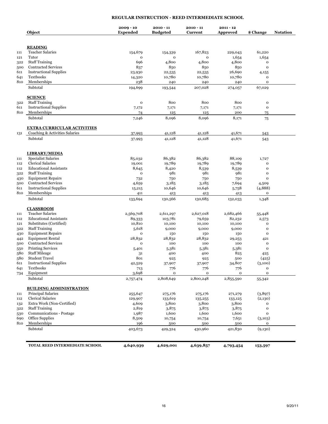# **REGULAR INSTRUCTION - REED INTERMEDIATE SCHOOL**

|     | Object                             | $2009 - 10$<br><b>Expended</b> | $2010 - 11$<br><b>Budgeted</b> | $2010 - 11$<br>Current    | $2011 - 12$<br><b>Approved</b> | \$ Change              | <b>Notation</b> |
|-----|------------------------------------|--------------------------------|--------------------------------|---------------------------|--------------------------------|------------------------|-----------------|
|     | <b>READING</b>                     |                                |                                |                           |                                |                        |                 |
| 111 | <b>Teacher Salaries</b>            | 154,679                        | 154,339                        | 167,823                   | 229,043                        | 61,220                 |                 |
| 121 | Tutor                              | o                              | $\mathbf{o}$                   | $\mathbf 0$               | 1,654                          | 1,654                  |                 |
| 322 | <b>Staff Training</b>              | 696                            | 4,800                          | 4,800                     | 4,800                          | $\mathbf{o}$           |                 |
| 500 | <b>Contracted Services</b>         | 837                            | 850                            | 850                       | 850                            | $\mathbf{o}$           |                 |
| 611 | <b>Instructional Supplies</b>      |                                |                                |                           | 26,690                         |                        |                 |
| 641 | Textbooks                          | 23,930<br>14,320               | 22,535<br>10,780               | 22,535<br>10,780          | 10,780                         | 4,155<br>o             |                 |
| 810 | Memberships                        | 238                            | 240                            | 240                       | 240                            | $\mathbf{o}$           |                 |
|     | Subtotal                           | 194,699                        | 193,544                        | 207,028                   | 274,057                        | 67,029                 |                 |
|     | <b>SCIENCE</b>                     |                                |                                |                           |                                |                        |                 |
| 322 | <b>Staff Training</b>              | o                              | 800                            | 800                       | 800                            | $\mathbf{o}$           |                 |
| 611 | <b>Instructional Supplies</b>      | 7,172                          | 7,171                          | 7,171                     | 7,171                          | $\mathbf 0$            |                 |
| 810 | Memberships                        | 74                             | 125                            | 125                       | 200                            | 75                     |                 |
|     | Subtotal                           | 7,246                          | 8,096                          | 8,096                     | 8,171                          | 75                     |                 |
|     | <b>EXTRA CURRICULAR ACTIVITIES</b> |                                |                                |                           |                                |                        |                 |
| 131 | Coaching & Activities Salaries     | 37,993                         | 41,128                         | 41,128                    | 41,671                         | 543                    |                 |
|     | Subtotal                           | 37,993                         | 41,128                         | 41,128                    | 41,671                         | 543                    |                 |
|     | <b>LIBRARY/MEDIA</b>               |                                |                                |                           |                                |                        |                 |
| 111 | <b>Specialist Salaries</b>         | 85,032                         | 86,382                         | 86,382                    | 88,109                         | 1,727                  |                 |
| 112 | <b>Clerical Salaries</b>           | 19,001                         | 19,789                         | 19,789                    | 19,789                         | $\mathbf{o}$           |                 |
| 112 | <b>Educational Assistants</b>      | 8,645                          | 8,420                          | 8,539                     | 8,539                          | $\mathbf{o}$           |                 |
| 322 | <b>Staff Training</b>              | o                              | 981                            | 981                       | 981                            | $\mathbf{o}$           |                 |
| 430 | <b>Equipment Repairs</b>           | 732                            | 750                            | 750                       | 750                            | $\mathbf{o}$           |                 |
| 500 | <b>Contracted Services</b>         | 4,659                          | 3,185                          | 3,185                     | 7,694                          | 4,509                  |                 |
| 611 | <b>Instructional Supplies</b>      | 15,215                         | 10,646                         | 10,646                    | 5,758                          | (4,888)                |                 |
| 810 | Memberships                        | 411                            | 413                            | 413                       | 413                            | $\mathbf 0$            |                 |
|     | Subtotal                           | 133,694                        | 130,566                        | 130,685                   | 132,033                        | 1,348                  |                 |
|     | <b>CLASSROOM</b>                   |                                |                                |                           |                                |                        |                 |
| 111 | <b>Teacher Salaries</b>            | 2,569,708                      | 2,611,297                      | 2,627,018                 | 2,682,466                      | 55,448                 |                 |
| 112 | <b>Educational Assistants</b>      | 89,333                         | 103,781                        | 79,659                    | 82,232                         | 2,573                  |                 |
| 121 | Substitutes (Certified)            | 10,810                         | 10,100                         | 10,100                    | 10,100                         | $\mathbf{o}$           |                 |
| 322 | <b>Staff Training</b>              | 5,618                          | 9,000                          | 9,000                     | 9,000                          | $\mathbf{o}$           |                 |
| 430 | <b>Equipment Repairs</b>           | o                              | 150                            | 150                       | 150                            | $\mathbf{o}$           |                 |
| 442 | <b>Equipment Rental</b>            | 28,832                         | 28,832                         | 28,832                    | 29,253                         | 421                    |                 |
| 500 | <b>Contracted Services</b>         | o                              | 100                            | 100                       | 100                            | $\mathbf{o}$           |                 |
| 550 | <b>Printing Services</b>           | 5,401                          | 5,381                          | 5,381                     | 5,381                          | $\mathbf{o}$           |                 |
| 580 | <b>Staff Mileage</b>               | 31                             | 400                            | 400                       | 825                            | 425                    |                 |
| 580 | <b>Student Travel</b>              | 801                            | 925                            | 925                       | 500                            | (425)                  |                 |
| 611 | <b>Instructional Supplies</b>      | 42,529                         | 37,907                         | 37,907                    | 34,807                         | (3,100)                |                 |
| 641 | Textbooks                          | 713                            | 776                            | 776                       | 776                            | $\mathbf{o}$           |                 |
| 734 | Equipment<br>Subtotal              | 3,698<br>2,757,474             | $\mathbf{o}$<br>2,808,649      | $\mathbf{o}$<br>2,800,248 | $\mathbf{o}$<br>2,855,590      | $\mathbf{o}$<br>55,342 |                 |
|     | <b>BUILDING ADMINISTRATION</b>     |                                |                                |                           |                                |                        |                 |
| 111 | Principal Salaries                 | 255,647                        | 275,176                        | 275,176                   | 271,279                        | (3,897)                |                 |
| 112 | <b>Clerical Salaries</b>           | 129,907                        | 133,619                        | 135,255                   | 133,125                        | (2,130)                |                 |
| 132 | Extra Work (Non-Certified)         | 4,609                          | 3,800                          | 3,800                     | 3,800                          | o                      |                 |
| 322 | <b>Staff Training</b>              | 2,819                          | 3,875                          | 3,875                     | 3,875                          | $\mathbf 0$            |                 |
| 530 | Communications - Postage           | 1,987                          | 1,600                          | 1,600                     | 1,600                          | $\mathbf{o}$           |                 |
| 690 | Office Supplies                    | 8,509                          | 10,754                         | 10,754                    | 7,651                          | (3,103)                |                 |
| 810 | Memberships                        | 196                            | 500                            | 500                       | 500                            | 0                      |                 |
|     | Subtotal                           | 403,673                        | 429,324                        | 430,960                   | 421,830                        | (9,130)                |                 |
|     | TOTAL REED INTERMEDIATE SCHOOL     | 4,640,939                      | 4,629,001                      | 4,639,857                 | 4,793,454                      | 153,597                |                 |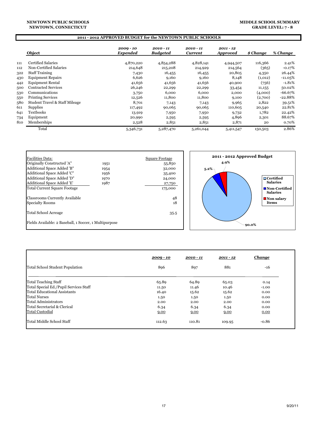#### **NEWTOWN PUBLIC SCHOOLS NEWTOWN, CONNECTICUT**

# **MIDDLE SCHOOL SUMMARY**

### **2011 - 2012 APPROVED BUDGET for the NEWTOWN PUBLIC SCHOOLS**

|     | Object                         | $2009 - 10$<br><b>Expended</b> | $2010 - 11$<br><b>Budgeted</b> | $2010 - 11$<br><b>Current</b> | $2011 - 12$<br><i><b>Approved</b></i> | \$ Change | % Change  |
|-----|--------------------------------|--------------------------------|--------------------------------|-------------------------------|---------------------------------------|-----------|-----------|
| 111 | <b>Certified Salaries</b>      | 4,870,220                      | 4,854,288                      | 4,828,141                     | 4,944,507                             | 116,366   | 2.41%     |
| 112 | Non-Certified Salaries         | 214,648                        | 215,208                        | 214,929                       | 214,564                               | (365)     | $-0.17%$  |
| 322 | <b>Staff Training</b>          | 7,430                          | 16,455                         | 16,455                        | 20,805                                | 4,350     | 26.44%    |
| 430 | <b>Equipment Repairs</b>       | 6,626                          | 9,160                          | 9,160                         | 8,148                                 | (1,012)   | $-11.05%$ |
| 442 | <b>Equipment Rental</b>        | 41,656                         | 41,656                         | 41,656                        | 40,900                                | (756)     | $-1.81%$  |
| 500 | Contracted Services            | 26,246                         | 22,299                         | 22,299                        | 33,454                                | 11,155    | 50.02%    |
| 530 | Communications                 | 3,750                          | 6,000                          | 6,000                         | 2,000                                 | (4,000)   | $-66.67%$ |
| 550 | <b>Printing Services</b>       | 12,526                         | 11,800                         | 11,800                        | 9,100                                 | (2,700)   | $-22.88%$ |
| 580 | Student Travel & Staff Mileage | 8,701                          | 7,143                          | 7,143                         | 9,965                                 | 2,822     | 39.51%    |
| 611 | Supplies                       | 117,492                        | 90,065                         | 90,065                        | 110,605                               | 20,540    | 22.81%    |
| 641 | <b>Textbooks</b>               | 13,919                         | 7,950                          | 7,950                         | 9,732                                 | 1,782     | 22.42%    |
| 734 | Equipment                      | 20,990                         | 2,595                          | 2,595                         | 4,896                                 | 2,301     | 88.67%    |
| 810 | Memberships                    | 2,528                          | 2,851                          | 2,851                         | 2,871                                 | 20        | 0.70%     |
|     | Total                          | 5,346,731                      | 5,287,470                      | 5,261,044                     | 5,411,547                             | 150,503   | 2.86%     |



|                                        | $2009 - 10$ | $2010 - 11$ | $2011 - 12$ | <b>Change</b> |
|----------------------------------------|-------------|-------------|-------------|---------------|
| <b>Total School Student Population</b> | 896         | 897         | 881         | -16           |
| <b>Total Teaching Staff</b>            | 65.89       | 64.89       | 65.03       | 0.14          |
| Total Special Ed./Pupil Services Staff | 11.50       | 11.46       | 10.46       | $-1.00$       |
| Total Educational Assistants           | 16.40       | 15.62       | 15.62       | 0.00          |
| <b>Total Nurses</b>                    | 1.50        | 1.50        | 1.50        | 0.00          |
| Total Administrators                   | 2.00        | 2.00        | 2.00        | 0.00          |
| Total Secretarial & Clerical           | 6.34        | 6.34        | 6.34        | 0.00          |
| <b>Total Custodial</b>                 | 9.00        | 9.00        | 9.00        | 0.00          |
| Total Middle School Staff              | 112.63      | 110.81      | 109.95      | $-0.86$       |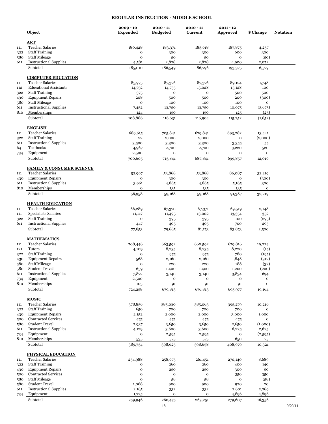## **REGULAR INSTRUCTION - MIDDLE SCHOOL**

|     | Object                                    | $2009 - 10$<br><b>Expended</b> | $2010 - 11$<br><b>Budgeted</b> | $2010 - 11$<br>Current | $2011 - 12$<br><b>Approved</b> | \$ Change              | <b>Notation</b> |
|-----|-------------------------------------------|--------------------------------|--------------------------------|------------------------|--------------------------------|------------------------|-----------------|
|     | <b>ART</b>                                |                                |                                |                        |                                |                        |                 |
| 111 | <b>Teacher Salaries</b>                   | 180,428                        | 183,371                        | 183,618                | 187,875                        | 4,257                  |                 |
| 322 | <b>Staff Training</b>                     | o                              | 300                            | 300                    | 600                            | 300                    |                 |
| 580 | <b>Staff Mileage</b>                      | $\mathbf O$                    | 50                             | 50                     | $\mathbf 0$                    | (50)                   |                 |
| 611 | <b>Instructional Supplies</b>             | 4,581                          | 2,828                          | 2,828                  | 4,900                          | 2,072                  |                 |
|     | Subtotal                                  | 185,010                        | 186,549                        | 186,796                | 193,375                        | 6,579                  |                 |
|     | <b>COMPUTER EDUCATION</b>                 |                                |                                |                        |                                |                        |                 |
| 111 | <b>Teacher Salaries</b>                   | 85,975                         | 87,376                         | 87,376                 | 89,124                         | 1,748                  |                 |
| 112 | <b>Educational Assistants</b>             | 14,752                         | 14,755                         | 15,028                 | 15,128                         | 100                    |                 |
| 322 | <b>Staff Training</b>                     | 375                            | $\mathbf{o}$                   | $\mathbf{o}$           | 500                            | 500                    |                 |
| 430 | <b>Equipment Repairs</b>                  | 208                            | 500                            | 500                    | 200                            | (300)                  |                 |
| 580 | <b>Staff Mileage</b>                      | $\mathbf{o}$                   | 100                            | 100                    | 100                            | $\mathbf 0$            |                 |
| 611 | <b>Instructional Supplies</b>             | 7,452                          | 13,750                         | 13,750                 | 10,075                         | (3,675)                |                 |
| 810 | Memberships<br>Subtotal                   | 124<br>108,886                 | 150<br>116,631                 | 150<br>116,904         | 125<br>115,252                 | (25)<br>(1,652)        |                 |
|     |                                           |                                |                                |                        |                                |                        |                 |
|     | <b>ENGLISH</b>                            |                                |                                |                        |                                |                        |                 |
| 111 | <b>Teacher Salaries</b>                   | 689,615                        | 705,841                        | 679,841                | 693,282                        | 13,441                 |                 |
| 322 | <b>Staff Training</b>                     | 22                             | 2,000                          | 2,000                  | $\mathbf{o}$                   | (2,000)                |                 |
| 611 | <b>Instructional Supplies</b>             | 3,500                          | 3,300                          | 3,300                  | 3,355                          | 55                     |                 |
| 641 | Textbooks                                 | 4,967                          | 2,700                          | 2,700                  | 3,220                          | 520                    |                 |
| 734 | Equipment                                 | 2,500                          | o                              | o                      | $\mathbf{o}$                   | $\mathbf{o}$           |                 |
|     | Subtotal                                  | 700,605                        | 713,841                        | 687,841                | 699,857                        | 12,016                 |                 |
|     | <b>FAMILY &amp; CONSUMER SCIENCE</b>      |                                |                                |                        |                                |                        |                 |
| 111 | <b>Teacher Salaries</b>                   | 52,997                         | 53,868                         | 53,868                 | 86,087                         | 32,219                 |                 |
| 430 | <b>Equipment Repairs</b>                  | 0                              | 300                            | 300                    | $\mathbf 0$                    | (300)                  |                 |
| 611 | <b>Instructional Supplies</b>             | 3,961                          | 4,865                          | 4,865                  | 5,165                          | 300                    |                 |
| 810 | Memberships                               | 0                              | 135                            | 135                    | 135                            | $\mathbf{o}$           |                 |
|     | Subtotal                                  | 56,958                         | 59,168                         | 59,168                 | 91,387                         | 32,219                 |                 |
|     | <b>HEALTH EDUCATION</b>                   |                                |                                |                        |                                |                        |                 |
| 111 | <b>Teacher Salaries</b>                   | 66,289                         | 67,370                         | 67,371                 | 69,519                         | 2,148                  |                 |
| 111 | Specialists Salaries                      | 11,117                         | 11,495                         | 13,002                 | 13,354                         | 352                    |                 |
| 322 | <b>Staff Training</b>                     | $\mathbf O$                    | 395                            | 395                    | 100                            | (295)                  |                 |
| 611 | <b>Instructional Supplies</b><br>Subtotal | 447<br>77,853                  | 405<br>79,665                  | 405<br>81,173          | 700<br>83,673                  | 295<br>2,500           |                 |
|     |                                           |                                |                                |                        |                                |                        |                 |
|     | <b>MATHEMATICS</b>                        |                                |                                |                        |                                |                        |                 |
| 111 | <b>Teacher Salaries</b>                   | 708,446                        | 663,592                        | 660,592                | 679,816                        | 19,224                 |                 |
| 121 | Tutors                                    | 4,109                          | 8,235                          | 8,235                  | 8,220                          | (15)                   |                 |
| 322 | <b>Staff Training</b>                     | $\mathbf O$                    | 975                            | 975                    | 780                            | (195)                  |                 |
| 430 | <b>Equipment Repairs</b>                  | 568                            | 2,160                          | 2,160                  | 1,848                          | (312)                  |                 |
| 580 | <b>Staff Mileage</b>                      | $\mathbf{o}$                   | 220                            | 220                    | 188                            | (32)                   |                 |
| 580 | <b>Student Travel</b>                     | 659                            | 1,400                          | 1,400                  | 1,200                          | (200)                  |                 |
| 611 | <b>Instructional Supplies</b>             | 7,872                          | 3,140                          | 3,140                  | 3,834                          | 694                    |                 |
| 734 | Equipment                                 | 2,500                          | o                              | o                      | 0                              | $\mathbf{o}$           |                 |
| 810 | Memberships<br>Subtotal                   | 103<br>724,258                 | 91<br>679,813                  | 91<br>676,813          | 91<br>695,977                  | $\mathbf{o}$<br>19,164 |                 |
|     |                                           |                                |                                |                        |                                |                        |                 |
|     | <b>MUSIC</b>                              |                                |                                |                        |                                |                        |                 |
| 111 | <b>Teacher Salaries</b>                   | 378,856                        | 385,030                        | 385,063                | 395,279                        | 10,216                 |                 |
| 322 | <b>Staff Training</b>                     | 650                            | 700                            | 700                    | 700                            | $\mathbf 0$            |                 |
| 430 | <b>Equipment Repairs</b>                  | 2,152                          | 2,000                          | 2,000                  | 3,000                          | 1,000                  |                 |
| 500 | <b>Contracted Services</b>                | 475                            | 475                            | 475                    | 475                            | $\mathbf{o}$           |                 |
| 580 | <b>Student Travel</b>                     | 2,937                          | 3,650                          | 3,650                  | 2,650                          | (1,000)                |                 |
| 611 | <b>Instructional Supplies</b>             | 4,129                          | 3,600                          | 3,600                  | 6,225                          | 2,625                  |                 |
| 734 | Equipment                                 | o                              | 2,595                          | 2,595                  | o                              | (2,595)                |                 |
| 810 | Memberships                               | 535                            | 575                            | 575                    | 650                            | 75                     |                 |
|     | Subtotal                                  | 389,734                        | 398,625                        | 398,658                | 408,979                        | 10,321                 |                 |
|     | <b>PHYSICAL EDUCATION</b>                 |                                |                                |                        |                                |                        |                 |
| 111 | <b>Teacher Salaries</b>                   | 254,988                        | 258,675                        | 261,451                | 270,140                        | 8,689                  |                 |
| 322 | <b>Staff Training</b>                     | o                              | 260                            | 260                    | 400                            | 140                    |                 |
| 430 | <b>Equipment Repairs</b>                  | 0                              | 250                            | 250                    | 300                            | 50                     |                 |
| 500 | <b>Contracted Services</b>                | o                              | o                              | $\mathbf{o}$           | 350                            | 350                    |                 |
| 580 | <b>Staff Mileage</b>                      | $\mathbf{o}$                   | 58                             | 58                     | $\mathbf 0$                    | (58)                   |                 |
| 580 | <b>Student Travel</b>                     | 1,068                          | 900                            | 900                    | 920                            | 20                     |                 |
| 611 | <b>Instructional Supplies</b>             | 2,165                          | 332                            | 332                    | 2,601                          | 2,269                  |                 |
| 734 | Equipment                                 | 1,725                          | o                              | $\mathbf o$            | 4,896                          | 4,896                  |                 |
|     | Subtotal                                  | 259,946                        | 260,475                        | 263,251                | 279,607                        | 16,356                 |                 |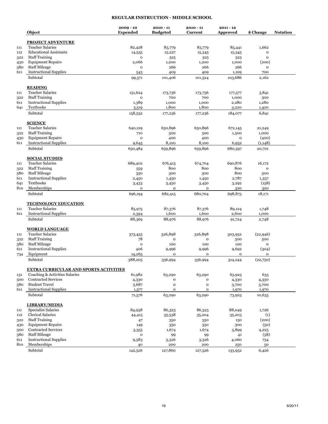#### **REGULAR INSTRUCTION - MIDDLE SCHOOL**

|            | Object                                        | $2009 - 10$<br><b>Expended</b> | $2010 - 11$<br><b>Budgeted</b> | $2010 - 11$<br>Current  | $2011 - 12$<br>Approved | \$ Change          | <b>Notation</b> |
|------------|-----------------------------------------------|--------------------------------|--------------------------------|-------------------------|-------------------------|--------------------|-----------------|
|            | <b>PROJECT ADVENTURE</b>                      |                                |                                |                         |                         |                    |                 |
| 111        | <b>Teacher Salaries</b>                       | 82,428                         | 83,779                         | 83,779                  | 85,441                  | 1,662              |                 |
| 112        | <b>Educational Assistants</b>                 | 14,535                         | 15,227                         | 15,345                  | 15,345                  | o                  |                 |
| 322        | <b>Staff Training</b>                         | o                              | 525                            | 525                     | 525                     | $\mathbf{o}$       |                 |
|            | <b>Equipment Repairs</b>                      | 2,066                          | 1,200                          | 1,200                   | 1,000                   | (200)              |                 |
| 430<br>580 | <b>Staff Mileage</b>                          | o                              | 266                            | 266                     | 266                     | o                  |                 |
| 611        | <b>Instructional Supplies</b>                 |                                |                                |                         |                         |                    |                 |
|            | Subtotal                                      | 543<br>99,571                  | 409<br>101,406                 | 409<br>101,524          | 1,109<br>103,686        | 700<br>2,162       |                 |
|            | <b>READING</b>                                |                                |                                |                         |                         |                    |                 |
| 111        | <b>Teacher Salaries</b>                       | 151,624                        | 173,736                        | 173,736                 | 177,577                 | 3,841              |                 |
| 322        | <b>Staff Training</b>                         | o                              | 700                            | 700                     | 1,000                   | 300                |                 |
| 611        | <b>Instructional Supplies</b>                 | 1,389                          | 1,000                          | 1,000                   | 2,280                   | 1,280              |                 |
| 641        | Textbooks                                     |                                | 1,800                          | 1,800                   | 3,220                   | 1,420              |                 |
|            | Subtotal                                      | 5,519<br>158,532               | 177,236                        | 177,236                 | 184,077                 | 6,841              |                 |
|            | <b>SCIENCE</b>                                |                                |                                |                         |                         |                    |                 |
| 111        | <b>Teacher Salaries</b>                       | 640,129                        | 650,896                        | 650,896                 | 672,145                 |                    |                 |
|            | <b>Staff Training</b>                         |                                |                                |                         |                         | 21,249<br>1,000    |                 |
| 322        | <b>Equipment Repairs</b>                      | 710<br>o                       | 500                            | 500                     | 1,500                   | (400)              |                 |
| 430        | <b>Instructional Supplies</b>                 |                                | 400                            | 400                     | $\mathbf{o}$            |                    |                 |
| 611        | Subtotal                                      | 9,645<br>650,484               | 8,100<br>659,896               | 8,100<br>659,896        | 6,952<br>680,597        | (1, 148)<br>20,701 |                 |
|            | <b>SOCIAL STUDIES</b>                         |                                |                                |                         |                         |                    |                 |
|            | <b>Teacher Salaries</b>                       |                                |                                |                         |                         |                    |                 |
| 111        | <b>Staff Training</b>                         | 689,402                        | 676,415<br>800                 | 674,704<br>800          | 690,876<br>800          | 16,172<br>o        |                 |
| 322        |                                               | 559                            |                                |                         |                         |                    |                 |
| 580        | <b>Staff Mileage</b>                          | 350                            | 300                            | 300                     | 800                     | 500                |                 |
| 611        | <b>Instructional Supplies</b>                 | 2,450                          | 1,450                          | 1,450                   | 2,787                   | 1,337              |                 |
| 641        | Textbooks                                     | 3,433                          | 3,450                          | 3,450                   | 3,292                   | (158)              |                 |
| 810        | Memberships<br>Subtotal                       | o<br>696,194                   | $\mathbf 0$<br>682,415         | $\mathbf{o}$<br>680,704 | 320<br>698,875          | 320<br>18,171      |                 |
|            |                                               |                                |                                |                         |                         |                    |                 |
|            | <b>TECHNOLOGY EDUCATION</b>                   |                                |                                |                         |                         |                    |                 |
| 111        | <b>Teacher Salaries</b>                       | 85,975                         | 87,376                         | 87,376                  | 89,124                  | 1,748              |                 |
| 611        | <b>Instructional Supplies</b>                 | 2,394                          | 1,600                          | 1,600                   | 2,600                   | 1,000              |                 |
|            | Subtotal                                      | 88,369                         | 88,976                         | 88,976                  | 91,724                  | 2,748              |                 |
|            | <b>WORLD LANGUAGE</b>                         |                                |                                |                         |                         |                    |                 |
| 111        | <b>Teacher Salaries</b>                       | 373,455                        | 326,898                        | 326,898                 | 303,952                 | (22, 946)          |                 |
| 322        | <b>Staff Training</b>                         | 78                             | $\mathbf 0$                    | $\mathbf o$             | 500                     | 500                |                 |
| 580        | <b>Staff Mileage</b>                          | $\mathbf 0$                    | 100                            | 100                     | 100                     | $\mathbf O$        |                 |
| 611        | <b>Instructional Supplies</b>                 | 406                            | 9,996                          | 9,996                   | 9,692                   | (304)              |                 |
| 734        | Equipment                                     | 14,265                         | 0                              | o                       | o                       | o                  |                 |
|            | Subtotal                                      | 388,205                        | 336,994                        | 336,994                 | 314,244                 | (22,750)           |                 |
|            | <b>EXTRA CURRICULAR AND SPORTS ACTIVITIES</b> |                                |                                |                         |                         |                    |                 |
| 131        | Coaching & Activities Salaries                | 61,982                         | 63,290                         | 63,290                  | 63,925                  | 635                |                 |
| 500        | <b>Contracted Services</b>                    | 4,330                          | o                              | o                       | 4,330                   | 4,330              |                 |
| 580        | <b>Student Travel</b>                         | 3,687                          | $\mathbf 0$                    | $\mathbf O$             | 3,700                   | 3,700              |                 |
| 611        | <b>Instructional Supplies</b>                 | 1,577                          | 0                              | o                       | 1,970                   | 1,970              |                 |
|            | Subtotal                                      | 71,576                         | 63,290                         | 63,290                  | 73,925                  | 10,635             |                 |
|            | <b>LIBRARY/MEDIA</b>                          |                                |                                |                         |                         |                    |                 |
| 111        | <b>Specialist Salaries</b>                    | 84,938                         | 86,323                         | 86,323                  | 88,049                  | 1,726              |                 |
| 112        | Clerical Salaries                             | 44,415                         | 35,538                         | 35,204                  | 35,203                  | (1)                |                 |
| 322        | <b>Staff Training</b>                         | 47                             | 350                            | 350                     | 150                     | (200)              |                 |
| 430        | <b>Equipment Repairs</b>                      | 149                            | 350                            | 350                     | 300                     | (50)               |                 |
| 500        | <b>Contracted Services</b>                    | 3,355                          | 1,674                          | 1,674                   | 5,899                   | 4,225              |                 |
| 580        | <b>Staff Mileage</b>                          | o                              | 99                             | 99                      | 41                      | (58)               |                 |
| 611        | <b>Instructional Supplies</b>                 | 9,583                          | 3,326                          | 3,326                   | 4,060                   | 734                |                 |
| 810        | Memberships                                   | 40                             | 200                            | 200                     | 250                     | 50                 |                 |
|            | Subtotal                                      | 142,526                        | 127,860                        | 127,526                 | 133,952                 | 6,426              |                 |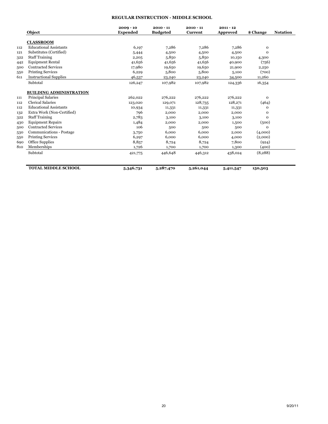#### **REGULAR INSTRUCTION - MIDDLE SCHOOL**

|     | Object                         | $2009 - 10$<br><b>Expended</b> | $2010 - 11$<br><b>Budgeted</b> | $2010 - 11$<br><b>Current</b> | $2011 - 12$<br><b>Approved</b> | \$ Change | <b>Notation</b> |
|-----|--------------------------------|--------------------------------|--------------------------------|-------------------------------|--------------------------------|-----------|-----------------|
|     | <b>CLASSROOM</b>               |                                |                                |                               |                                |           |                 |
| 112 | <b>Educational Assistants</b>  | 6,197                          | 7,286                          | 7,286                         | 7,286                          | 0         |                 |
| 121 | Substitutes (Certified)        | 5,444                          | 4,500                          | 4,500                         | 4,500                          | 0         |                 |
| 322 | <b>Staff Training</b>          | 2,205                          | 5,850                          | 5,850                         | 10,150                         | 4,300     |                 |
| 442 | <b>Equipment Rental</b>        | 41,656                         | 41,656                         | 41,656                        | 40,900                         | (756)     |                 |
| 500 | <b>Contracted Services</b>     | 17,980                         | 19,650                         | 19,650                        | 21,900                         | 2,250     |                 |
| 550 | <b>Printing Services</b>       | 6,229                          | 5,800                          | 5,800                         | 5,100                          | (700)     |                 |
| 611 | <b>Instructional Supplies</b>  | 46,537                         | 23,240                         | 23,240                        | 34,500                         | 11,260    |                 |
|     | Subtotal                       | 126,247                        | 107,982                        | 107,982                       | 124,336                        | 16,354    |                 |
|     | <b>BUILDING ADMINISTRATION</b> |                                |                                |                               |                                |           |                 |
| 111 | Principal Salaries             | 262,022                        | 276,222                        | 276,222                       | 276,222                        | 0         |                 |
| 112 | <b>Clerical Salaries</b>       | 123,020                        | 129,071                        | 128,735                       | 128,271                        | (464)     |                 |
| 112 | <b>Educational Assistants</b>  | 10,934                         | 11,331                         | 11,331                        | 11,331                         | 0         |                 |
| 132 | Extra Work (Non-Certified)     | 796                            | 2,000                          | 2,000                         | 2,000                          | 0         |                 |
| 322 | <b>Staff Training</b>          | 2,783                          | 3,100                          | 3,100                         | 3,100                          | 0         |                 |
| 430 | <b>Equipment Repairs</b>       | 1,484                          | 2,000                          | 2,000                         | 1,500                          | (500)     |                 |
| 500 | <b>Contracted Services</b>     | 106                            | 500                            | 500                           | 500                            | 0         |                 |
| 530 | Communications - Postage       | 3,750                          | 6,000                          | 6.000                         | 2,000                          | (4,000)   |                 |
| 550 | <b>Printing Services</b>       | 6,297                          | 6,000                          | 6,000                         | 4,000                          | (2,000)   |                 |
| 690 | Office Supplies                | 8,857                          | 8,724                          | 8,724                         | 7,800                          | (924)     |                 |
| 810 | Memberships                    | 1,726                          | 1,700                          | 1,700                         | 1,300                          | (400)     |                 |
|     | Subtotal                       | 421,775                        | 446,648                        | 446,312                       | 438,024                        | (8, 288)  |                 |
|     |                                |                                |                                |                               |                                |           |                 |
|     | <b>TOTAL MIDDLE SCHOOL</b>     | 5,346,731                      | 5,287,470                      | 5,261,044                     | 5,411,547                      | 150,503   |                 |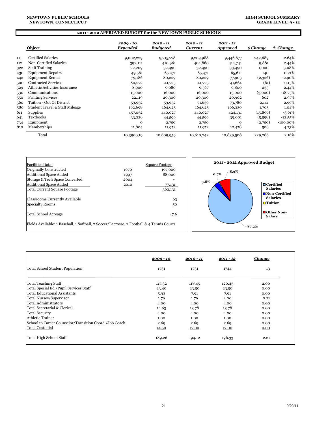#### **NEWTOWN PUBLIC SCHOOLS NEWTOWN, CONNECTICUT**

# **2011 - 2012 APPROVED BUDGET for the NEWTOWN PUBLIC SCHOOLS**

|     | Object                         | 2009 - 10<br>Expended | $2010 - 11$<br><b>Budgeted</b> | 2010 - 11<br><b>Current</b> | 2011 - 12<br><b>Approved</b> | \$ Change | % Change    |
|-----|--------------------------------|-----------------------|--------------------------------|-----------------------------|------------------------------|-----------|-------------|
| 111 | Certified Salaries             | 9,002,229             | 9,215,778                      | 9,203,988                   | 9,446,677                    | 242,689   | 2.64%       |
| 112 | Non-Certified Salaries         | 392,111               | 410,961                        | 404,860                     | 414,741                      | 9,881     | 2.44%       |
| 322 | <b>Staff Training</b>          | 22,209                | 32,490                         | 32,490                      | 33,490                       | 1,000     | 3.08%       |
| 430 | <b>Equipment Repairs</b>       | 49,561                | 65,471                         | 65,471                      | 65,611                       | 140       | 0.21%       |
| 442 | <b>Equipment Rental</b>        | 79,186                | 80,229                         | 80,229                      | 77,903                       | (2,326)   | $-2.90\%$   |
| 500 | <b>Contracted Services</b>     | 80,272                | 41,725                         | 41,725                      | 41,664                       | (61)      | $-0.15%$    |
| 529 | Athletic Activities Insurance  | 8,900                 | 9,080                          | 9,567                       | 9,800                        | 233       | 2.44%       |
| 530 | Communications                 | 15,000                | 16,000                         | 16,000                      | 13,000                       | (3,000)   | $-18.75%$   |
| 550 | <b>Printing Services</b>       | 22,119                | 20,300                         | 20,300                      | 20,902                       | 602       | 2.97%       |
| 560 | Tuition - Out Of District      | 53,952                | 53,952                         | 71,639                      | 73,780                       | 2,141     | 2.99%       |
| 580 | Student Travel & Staff Mileage | 162,698               | 164,625                        | 164,625                     | 166,330                      | 1,705     | 1.04%       |
| 611 | <b>Supplies</b>                | 457,052               | 440,027                        | 440,027                     | 424,131                      | (15, 896) | $-3.61%$    |
| 641 | Textbooks                      | 33,226                | 44,599                         | 44,599                      | 39,001                       | (5,598)   | -12.55%     |
| 734 | Equipment                      | $\mathbf{o}$          | 2,750                          | 2,750                       | $\mathbf{o}$                 | (2,750)   | $-100.00\%$ |
| 810 | Memberships                    | 11,804                | 11,972                         | 11,972                      | 12,478                       | 506       | 4.23%       |
|     | Total                          | 10,390,319            | 10,609,959                     | 10,610,242                  | 10,839,508                   | 229,266   | 2.16%       |



|                                                        | $2009 - 10$ | $2010 - 11$ | $2011 - 12$ | Change |
|--------------------------------------------------------|-------------|-------------|-------------|--------|
| Total School Student Population                        | 1731        | 1731        | 1744        | 13     |
| Total Teaching Staff                                   | 117.32      | 118.45      | 120.45      | 2.00   |
| Total Special Ed./Pupil Services Staff                 | 23.40       | 23.50       | 23.50       | 0.00   |
| Total Educational Assistants                           | 5.93        | 7.91        | 7.91        | 0.00   |
| Total Nurses/Supervisor                                | 1.79        | 1.79        | 2.00        | 0.21   |
| Total Administrators                                   | 4.00        | 4.00        | 4.00        | 0.00   |
| Total Secretarial & Clerical                           | 14.63       | 13.78       | 13.78       | 0.00   |
| <b>Total Security</b>                                  | 4.00        | 4.00        | 4.00        | 0.00   |
| Athletic Trainer                                       | 1.00        | 1.00        | 1.00        | 0.00   |
| School to Career Counselor/Transition Coord./Job Coach | 2.69        | 2.69        | 2.69        | 0.00   |
| <b>Total Custodial</b>                                 | 14.50       | 17.00       | 17.00       | 0.00   |
| Total High School Staff                                | 189.26      | 194.12      | 196.33      | 2.21   |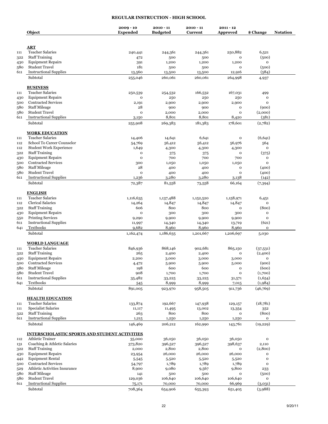### **REGULAR INSTRUCTION - HIGH SCHOOL**

|            | Object                                                                   | $2009 - 10$<br><b>Expended</b> | $2010 - 11$<br><b>Budgeted</b> | $2010 - 11$<br>Current | $2011 - 12$<br><b>Approved</b> | \$ Change             | <b>Notation</b> |
|------------|--------------------------------------------------------------------------|--------------------------------|--------------------------------|------------------------|--------------------------------|-----------------------|-----------------|
|            |                                                                          |                                |                                |                        |                                |                       |                 |
|            | ART                                                                      |                                |                                |                        |                                |                       |                 |
| 111        | <b>Teacher Salaries</b>                                                  | 240,441                        | 244,361                        | 244,361                | 250,882                        | 6,521                 |                 |
| 322        | <b>Staff Training</b>                                                    | 472                            | 500                            | 500                    | $\mathbf{o}$                   | (500)                 |                 |
| 430<br>580 | <b>Equipment Repairs</b><br><b>Student Travel</b>                        | 391<br>181                     | 1,200<br>500                   | 1,200<br>500           | 1,200<br>$\mathbf{o}$          | 0<br>(500)            |                 |
| 611        | <b>Instructional Supplies</b>                                            | 13,560                         | 13,500                         | 13,500                 | 12,916                         | (584)                 |                 |
|            | Subtotal                                                                 | 255,046                        | 260,061                        | 260,061                | 264,998                        | 4,937                 |                 |
|            | <b>BUSINESS</b>                                                          |                                |                                |                        |                                |                       |                 |
| 111        | <b>Teacher Salaries</b>                                                  | 250,539                        | 254,532                        | 166,532                | 167,031                        | 499                   |                 |
| 430        | <b>Equipment Repairs</b>                                                 | $\mathbf{o}$                   | 250                            | 250                    | 250                            | o                     |                 |
| 500        | <b>Contracted Services</b>                                               | 2,191                          | 2,900                          | 2,900                  | 2,900                          | 0                     |                 |
| 580        | <b>Staff Mileage</b>                                                     | 28                             | 900                            | 900                    | o                              | (900)                 |                 |
| 580        | <b>Student Travel</b>                                                    | $\mathbf 0$                    | 2,000                          | 2,000                  | $\mathbf{o}$                   | (2,000)               |                 |
| 611        | <b>Instructional Supplies</b><br>Subtotal                                | 3,150<br>255,908               | 8,801<br>269,383               | 8,801<br>181,383       | 8,420<br>178,601               | (381)<br>(2,782)      |                 |
|            |                                                                          |                                |                                |                        |                                |                       |                 |
|            | <b>WORK EDUCATION</b>                                                    |                                |                                |                        |                                |                       |                 |
| 111<br>112 | <b>Teacher Salaries</b><br>School To Career Counselor                    | 14,406                         | 14,641<br>56,412               | 6,641<br>56,412        | $\mathbf O$<br>56,976          | (6,641)<br>564        |                 |
| 112        | <b>Student Work Experience</b>                                           | 54,769<br>1,649                | 4,300                          | 4,300                  | 4,300                          | $\mathbf{o}$          |                 |
| 322        | <b>Staff Training</b>                                                    | $\mathbf 0$                    | 375                            | 375                    | $\mathbf{o}$                   | (375)                 |                 |
| 430        | <b>Equipment Repairs</b>                                                 | $\mathbf 0$                    | 700                            | 700                    | 700                            | 0                     |                 |
| 500        | <b>Contracted Services</b>                                               | 300                            | 1,050                          | 1,050                  | 1,050                          | $\mathbf 0$           |                 |
| 580        | <b>Staff Mileage</b>                                                     | 28                             | 400                            | 400                    | $\mathbf 0$                    | (400)                 |                 |
| 580        | <b>Student Travel</b>                                                    | $\mathbf{o}$                   | 400                            | 400                    | $\mathbf{o}$                   | (400)                 |                 |
| 611        | <b>Instructional Supplies</b>                                            | 1,236                          | 3,280                          | 3,280                  | 3,138                          | (142)                 |                 |
|            | Subtotal                                                                 | 72,387                         | 81,558                         | 73,558                 | 66,164                         | (7,394)               |                 |
|            | <b>ENGLISH</b>                                                           |                                |                                |                        |                                |                       |                 |
| 111        | <b>Teacher Salaries</b>                                                  | 1,116,635                      | 1,137,488                      | 1,152,520              | 1,158,971                      | 6,451                 |                 |
| 112        | <b>Clerical Salaries</b>                                                 | 14,264                         | 14,847                         | 14,847                 | 14,847                         | 0                     |                 |
| 322        | <b>Staff Training</b>                                                    | 606                            | 800                            | 800                    | $\mathbf{o}$                   | (800)                 |                 |
| 430        | <b>Equipment Repairs</b>                                                 | $\mathbf{o}$                   | 300                            | 300                    | 300                            | $\mathbf{o}$          |                 |
| 550<br>611 | <b>Printing Services</b><br><b>Instructional Supplies</b>                | 9,290<br>11,997                | 9,900                          | 9,900<br>14,340        | 9,900<br>13,719                | $\mathbf{o}$<br>(621) |                 |
| 641        | Textbooks                                                                | 9,682                          | 14,340<br>8,960                | 8,960                  | 8,960                          | 0                     |                 |
|            | Subtotal                                                                 | 1,162,474                      | 1,186,635                      | 1,201,667              | 1,206,697                      | 5,030                 |                 |
|            | <b>WORLD LANGUAGE</b>                                                    |                                |                                |                        |                                |                       |                 |
| 111        | <b>Teacher Salaries</b>                                                  | 846,936                        | 868,146                        | 902,681                | 865,150                        | (37,531)              |                 |
| 322        | <b>Staff Training</b>                                                    | 265                            | 2,400                          | 2,400                  | $\mathbf 0$                    | (2,400)               |                 |
| 430        | <b>Equipment Repairs</b>                                                 | 2,200                          | 3,000                          | 3,000                  | 3,000                          | $\mathbf{o}$          |                 |
| 500        | <b>Contracted Services</b>                                               | 4,472                          | 5,900                          | 5,900                  | 5,000                          | (900)                 |                 |
| 580        | <b>Staff Mileage</b>                                                     | 198                            | 600                            | 600                    | $\mathbf{o}$                   | (600)                 |                 |
| 580        | <b>Student Travel</b>                                                    | 908                            | 1,700                          | 1,700                  | $\mathbf 0$                    | (1,700)               |                 |
| 611        | <b>Instructional Supplies</b>                                            | 35,482                         | 33,225                         | 33,225                 | 31,571                         | (1,654)               |                 |
| 641        | Textbooks                                                                | 545                            | 8,999                          | 8,999                  | 7,015                          | (1,984)               |                 |
|            | Subtotal                                                                 | 891,005                        | 923,970                        | 958,505                | 911,736                        | (46,769)              |                 |
|            | <b>HEALTH EDUCATION</b>                                                  |                                |                                |                        |                                |                       |                 |
| 111        | <b>Teacher Salaries</b>                                                  | 133,874                        | 192,667                        | 147,938                | 129,157                        | (18,781)              |                 |
| 111        | <b>Specialist Salaries</b>                                               | 11,117                         | 11,495                         | 13,002                 | 13,354                         | 352                   |                 |
| 322<br>611 | <b>Staff Training</b><br><b>Instructional Supplies</b>                   | 263                            | 800                            | 800                    | o                              | (800)<br>0            |                 |
|            | Subtotal                                                                 | 1,215<br>146,469               | 1,250<br>206,212               | 1,250<br>162,990       | 1,250<br>143,761               | (19, 229)             |                 |
|            |                                                                          |                                |                                |                        |                                |                       |                 |
| 112        | <b>INTERSCHOLASTIC SPORTS AND STUDENT ACTIVITIES</b><br>Athletic Trainer | 35,000                         | 36,050                         | 36,050                 | 36,050                         | $\mathbf 0$           |                 |
| 131        | Coaching & Athletic Salaries                                             | 373,820                        | 396,527                        | 396,527                | 398,637                        | 2,110                 |                 |
| 322        | <b>Staff Training</b>                                                    | 2,000                          | 2,800                          | 2,800                  | o                              | (2,800)               |                 |
| 430        | <b>Equipment Repairs</b>                                                 | 23,954                         | 26,000                         | 26,000                 | 26,000                         | 0                     |                 |
| 442        | <b>Equipment Rental</b>                                                  | 5,545                          | 5,520                          | 5,520                  | 5,520                          | o                     |                 |
| 500        | <b>Contracted Services</b>                                               | 54,797                         | 1,789                          | 1,789                  | 1,789                          | $\mathbf{o}$          |                 |
| 529        | Athletic Activities Insurance                                            | 8,900                          | 9,080                          | 9,567                  | 9,800                          | 233                   |                 |
| 580        | <b>Staff Mileage</b>                                                     | 141                            | 500                            | 500                    | o                              | (500)                 |                 |
| 580        | <b>Student Travel</b>                                                    | 129,036                        | 106,640                        | 106,640                | 106,640                        | $\mathbf O$           |                 |
| 611        | <b>Instructional Supplies</b>                                            | 75,171                         | 70,000                         | 70,000                 | 66,969                         | (3,031)               |                 |
|            | Subtotal                                                                 | 708,364                        | 654,906                        | 655,393                | 651,405                        | (3,988)               |                 |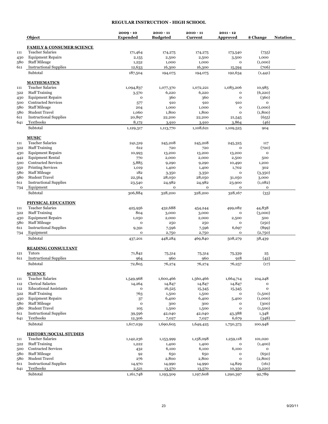# **REGULAR INSTRUCTION - HIGH SCHOOL**

|            | Object                                                          | $2009 - 10$<br><b>Expended</b> | $2010 - 11$<br><b>Budgeted</b> | $2010 - 11$<br><b>Current</b> | $2011 - 12$<br><b>Approved</b> | \$ Change        | <b>Notation</b> |
|------------|-----------------------------------------------------------------|--------------------------------|--------------------------------|-------------------------------|--------------------------------|------------------|-----------------|
|            |                                                                 |                                |                                |                               |                                |                  |                 |
|            | <b>FAMILY &amp; CONSUMER SCIENCE</b><br><b>Teacher Salaries</b> |                                |                                |                               |                                |                  |                 |
| 111        | <b>Equipment Repairs</b>                                        | 171,464                        | 174,275                        | 174,275                       | 173,540                        | (735)<br>1,000   |                 |
| 430<br>580 | <b>Staff Mileage</b>                                            | 2,155<br>1,252                 | 2,500<br>1,000                 | 2,500<br>1,000                | 3,500<br>$\mathbf{o}$          | (1,000)          |                 |
| 611        | <b>Instructional Supplies</b>                                   | 12,633                         | 16,300                         | 16,300                        | 15,594                         | (706)            |                 |
|            | Subtotal                                                        | 187,504                        | 194,075                        | 194,075                       | 192,634                        | (1,441)          |                 |
|            | <b>MATHEMATICS</b>                                              |                                |                                |                               |                                |                  |                 |
| 111        | <b>Teacher Salaries</b>                                         | 1,094,837                      | 1,077,370                      | 1,072,221                     | 1,083,206                      | 10,985           |                 |
| 322        | <b>Staff Training</b>                                           | 3,570                          | 6,220                          | 6,220                         | $\mathbf{o}$                   | (6, 220)         |                 |
| 430        | <b>Equipment Repairs</b>                                        | o                              | 360                            | 360                           | $\mathbf{o}$                   | (360)            |                 |
| 500        | <b>Contracted Services</b>                                      | 577                            | 910                            | 910                           | 910                            | $\mathbf{o}$     |                 |
| 580        | <b>Staff Mileage</b>                                            | 204                            | 1,000                          | 1,000                         | $\mathbf{o}$                   | (1,000)          |                 |
| 580        | <b>Student Travel</b>                                           | 1,060                          | 1,800                          | 1,800                         | $\mathbf{o}$                   | (1,800)          |                 |
| 611        | <b>Instructional Supplies</b><br>Textbooks                      | 20,897<br>8,172                | 22,200                         | 22,200<br>3,910               | 21,545<br>3,864                | (655)<br>(46)    |                 |
| 641        |                                                                 |                                | 3,910                          |                               |                                |                  |                 |
|            | Subtotal                                                        | 1,129,317                      | 1,113,770                      | 1,108,621                     | 1,109,525                      | 904              |                 |
| 111        | <b>MUSIC</b><br><b>Teacher Salaries</b>                         | 241,319                        | 245,208                        | 245,208                       | 245,325                        | 117              |                 |
| 322        | <b>Staff Training</b>                                           | 612                            | 720                            | 720                           | $\mathbf{o}$                   | (720)            |                 |
| 430        | <b>Equipment Repairs</b>                                        | 10,993                         | 13,200                         | 13,200                        | 13,200                         | o                |                 |
| 442        | <b>Equipment Rental</b>                                         | 770                            | 2,000                          | 2,000                         | 2,500                          | 500              |                 |
| 500        | <b>Contracted Services</b>                                      | 5,885                          | 9,290                          | 9,290                         | 10,490                         | 1,200            |                 |
| 550        | <b>Printing Services</b>                                        | 1,019                          | 1,400                          | 1,400                         | 1,702                          | 302              |                 |
| 580        | <b>Staff Mileage</b>                                            | 182                            | 3,350                          | 3,350                         | $\mathbf{o}$                   | (3,350)          |                 |
| 580        | <b>Student Travel</b>                                           | 22,564                         | 28,050                         | 28,050                        | 31,050                         | 3,000            |                 |
| 611        | <b>Instructional Supplies</b>                                   | 23,540                         | 24,982                         | 24,982                        | 23,900                         | (1,082)          |                 |
| 734        | Equipment                                                       | o                              | $\mathbf{o}$                   | o                             | $\mathbf{o}$                   | $\mathbf 0$      |                 |
|            | Subtotal                                                        | 306,884                        | 328,200                        | 328,200                       | 328,167                        | (33)             |                 |
|            | PHYSICAL EDUCATION                                              |                                |                                |                               |                                |                  |                 |
| 111        | <b>Teacher Salaries</b>                                         | 425,956                        | 432,688                        | 454,244                       | 499,082                        | 44,838           |                 |
| 322        | <b>Staff Training</b>                                           | 804                            | 3,000                          | 3,000                         | $\mathbf{o}$                   | (3,000)          |                 |
| 430        | <b>Equipment Repairs</b>                                        | 1,050                          | 2,000                          | 2,000                         | 2,500                          | 500              |                 |
| 580        | <b>Staff Mileage</b>                                            | $\mathbf{o}$                   | 250                            | 250                           | $\mathbf{o}$                   | (250)            |                 |
| 611        | <b>Instructional Supplies</b><br>Equipment                      | 9,391<br>$\mathbf{o}$          | 7,596<br>2,750                 | 7,596<br>2,750                | 6,697<br>$\mathbf{o}$          | (899)<br>(2,750) |                 |
| 734        | Subtotal                                                        | 437,201                        | 448,284                        | 469,840                       | 508,279                        | 38,439           |                 |
|            | <b>READING CONSULTANT</b>                                       |                                |                                |                               |                                |                  |                 |
| 121        | <b>Tutors</b>                                                   | 71,842                         | 75,314                         | 75,314                        | 75,339                         | 25               |                 |
| 611        | <b>Instructional Supplies</b>                                   | 964                            | 960                            | 960                           | 918                            | (42)             |                 |
|            | Subtotal                                                        | 72,805                         | 76,274                         | 76,274                        | 76,257                         | (17)             |                 |
|            | <b>SCIENCE</b>                                                  |                                |                                |                               |                                |                  |                 |
| 111        | <b>Teacher Salaries</b>                                         | 1,549,968                      | 1,600,466                      | 1,560,466                     | 1,664,714                      | 104,248          |                 |
| 112        | <b>Clerical Salaries</b>                                        | 14,264                         | 14,847                         | 14,847                        | 14,847                         | o                |                 |
| 112        | <b>Educational Assistants</b>                                   | o                              | 16,525                         | 15,345                        | 15,345                         | $\mathbf{o}$     |                 |
| 322        | <b>Staff Training</b>                                           | 763                            | 1,500                          | 1,500                         | $\mathbf{o}$                   | (1,500)          |                 |
| 430        | <b>Equipment Repairs</b>                                        | 37                             | 6,400                          | 6,400                         | 5,400                          | (1,000)          |                 |
| 580        | <b>Staff Mileage</b><br><b>Student Travel</b>                   | o                              | 300                            | 300                           | $\mathbf{o}$<br>$\mathbf{o}$   | (300)<br>(1,500) |                 |
| 580<br>611 | <b>Instructional Supplies</b>                                   | 105<br>39,596                  | 1,500<br>42,040                | 1,500<br>42,040               | 43,388                         | 1,348            |                 |
| 641        | Textbooks                                                       | 12,306                         | 7,027                          | 7,027                         | 6,679                          | (348)            |                 |
|            | Subtotal                                                        | 1,617,039                      | 1,690,605                      | 1,649,425                     | 1,750,373                      | 100,948          |                 |
|            | <b>HISTORY/SOCIAL STUDIES</b>                                   |                                |                                |                               |                                |                  |                 |
| 111        | <b>Teacher Salaries</b>                                         | 1,142,236                      | 1,153,999                      | 1,158,098                     | 1,259,118                      | 101,020          |                 |
| 322        | <b>Staff Training</b>                                           | 1,222                          | 1,400                          | 1,400                         | $\mathbf{o}$                   | (1,400)          |                 |
| 500        | <b>Contracted Services</b>                                      | 432                            | 6,100                          | 6,100                         | 6,100                          | $\mathbf O$      |                 |
| 580        | <b>Staff Mileage</b>                                            | 92                             | 650                            | 650                           | $\mathbf{o}$                   | (650)            |                 |
| 580        | <b>Student Travel</b>                                           | 276                            | 2,800                          | 2,800                         | $\mathbf{o}$                   | (2,800)          |                 |
| 611        | <b>Instructional Supplies</b>                                   | 14,970                         | 14,990                         | 14,990                        | 14,829                         | (161)            |                 |
| 641        | Textbooks                                                       | 2,521                          | 13,570                         | 13,570                        | 10,350                         | (3,220)          |                 |
|            | Subtotal                                                        | 1,161,748                      | 1,193,509                      | 1,197,608                     | 1,290,397                      | 92,789           |                 |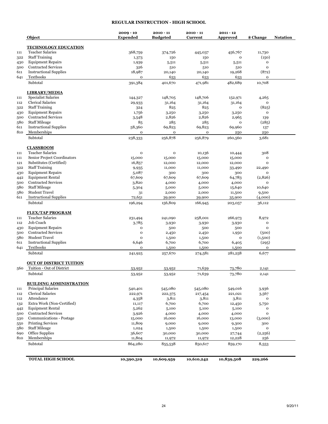## **REGULAR INSTRUCTION - HIGH SCHOOL**

|     | Object                                                 | $2009 - 10$<br><b>Expended</b> | $2010 - 11$<br><b>Budgeted</b> | $2010 - 11$<br>Current | $2011 - 12$<br>Approved | \$ Change    | <b>Notation</b> |
|-----|--------------------------------------------------------|--------------------------------|--------------------------------|------------------------|-------------------------|--------------|-----------------|
|     | <b>TECHNOLOGY EDUCATION</b>                            |                                |                                |                        |                         |              |                 |
| 111 | <b>Teacher Salaries</b>                                | 368,759                        | 374,726                        | 445,037                | 456,767                 | 11,730       |                 |
| 322 | <b>Staff Training</b>                                  | 1,373                          | 150                            | 150                    | 0                       | (150)        |                 |
| 430 | <b>Equipment Repairs</b>                               | 1,939                          | 5,511                          | 5,511                  | 5,511                   | $\mathbf{o}$ |                 |
| 500 | <b>Contracted Services</b>                             | 326                            | 510                            | 510                    | 510                     | $\mathbf 0$  |                 |
| 611 | <b>Instructional Supplies</b>                          | 18,987                         | 20,140                         | 20,140                 | 19,268                  | (872)        |                 |
| 641 | Textbooks                                              | o                              | 633                            | 633                    | 633                     | $\mathbf{o}$ |                 |
|     | Subtotal                                               | 391,384                        | 401,670                        | 471,981                | 482,689                 | 10,708       |                 |
|     | <b>LIBRARY/MEDIA</b>                                   |                                |                                |                        |                         |              |                 |
| 111 | <b>Specialist Salaries</b>                             | 144,327                        | 148,705                        | 148,706                | 152,971                 | 4,265        |                 |
| 112 | Clerical Salaries                                      | 29,933                         | 31,164                         | 31,164                 | 31,164                  | $\mathbf{o}$ |                 |
| 322 | <b>Staff Training</b>                                  | 324                            | 825                            | 825                    | $\mathbf{o}$            | (825)        |                 |
| 430 | <b>Equipment Repairs</b>                               | 1,756                          | 3,250                          | 3,250                  | 3,250                   | $\mathbf{o}$ |                 |
| 500 | <b>Contracted Services</b>                             | 3,548                          | 2,826                          | 2,826                  | 2,965                   | 139          |                 |
| 580 | <b>Staff Mileage</b>                                   | 85                             | 285                            | 285                    | $\mathbf{o}$            | (285)        |                 |
| 611 | <b>Instructional Supplies</b>                          | 58,360                         | 69,823                         | 69,823                 | 69,960                  | 137          |                 |
| 810 | Memberships                                            | o                              | o                              | $\mathbf{o}$           | 250                     | 250          |                 |
|     | Subtotal                                               | 238,333                        | 256,878                        | 256,879                | 260,560                 | 3,681        |                 |
|     | <u>CLASSROOM</u>                                       |                                |                                |                        |                         |              |                 |
| 111 | <b>Teacher Salaries</b>                                | o                              | o                              | 10,136                 | 10,444                  | 308          |                 |
| 111 | Senior Project Coordinators                            | 15,000                         | 15,000                         | 15,000                 | 15,000                  | $\mathbf{o}$ |                 |
| 121 | Substitutes (Certified)                                | 16,857                         | 12,000                         | 12,000                 | 12,000                  | $\mathbf{o}$ |                 |
| 322 | <b>Staff Training</b>                                  | 9,935                          | 11,000                         | 11,000                 | 33,490                  | 22,490       |                 |
| 430 | <b>Equipment Repairs</b>                               | 5,087                          | 300                            | 300                    | 300                     | $\mathbf{o}$ |                 |
| 442 | <b>Equipment Rental</b>                                | 67,609                         | 67,609                         | 67,609                 | 64,783                  | (2,826)      |                 |
| 500 | <b>Contracted Services</b>                             | 3,820                          | 4,000                          | 4,000                  | 4,000                   | $\mathbf 0$  |                 |
| 580 | <b>Staff Mileage</b>                                   | 5,304                          | 5,000                          | 5,000                  | 15,640                  | 10,640       |                 |
| 580 | <b>Student Travel</b>                                  | 31                             | 2,000                          | 2,000                  | 11,500                  | 9,500        |                 |
| 611 | <b>Instructional Supplies</b>                          | 72,651                         | 39,900                         | 39,900                 | 35,900                  | (4,000)      |                 |
|     | Subtotal                                               | 196,294                        | 156,809                        | 166,945                | 203,057                 | 36,112       |                 |
|     | <b>FLEX/TAP PROGRAM</b>                                |                                |                                |                        |                         |              |                 |
| 111 | <b>Teacher Salaries</b>                                | 231,494                        | 241,090                        | 258,001                | 266,973                 | 8,972        |                 |
| 112 | Job Coach                                              | 3,785                          | 3,930                          | 3,930                  | 3,930                   | $\mathbf{o}$ |                 |
| 430 | <b>Equipment Repairs</b>                               | o                              | 500                            | 500                    | 500                     | $\mathbf{o}$ |                 |
| 500 | <b>Contracted Services</b>                             | 0                              | 2,450                          | 2,450                  | 1,950                   | (500)        |                 |
| 580 | <b>Student Travel</b>                                  | $\mathbf 0$                    | 1,500                          | 1,500                  | $\mathbf{o}$            | (1,500)      |                 |
| 611 | <b>Instructional Supplies</b>                          | 6,646                          | 6,700                          | 6,700                  | 6,405                   | (295)        |                 |
| 641 | Textbooks                                              | $\mathbf 0$                    | 1,500                          | 1,500                  | 1,500                   | $\mathbf 0$  |                 |
|     | Subtotal                                               | 241,925                        | 257,670                        | 274,581                | 281,258                 | 6,677        |                 |
|     | <b>OUT OF DISTRICT TUITION</b>                         |                                |                                |                        |                         |              |                 |
| 560 | Tuition - Out of District                              | 53,952                         | 53,952                         | 71,639                 | 73,780                  | 2,141        |                 |
|     | Subtotal                                               | 53,952                         | 53,952                         | 71,639                 | 73,780                  | 2,141        |                 |
|     | <b>BUILDING ADMINISTRATION</b>                         |                                |                                |                        |                         |              |                 |
| 111 | Principal Salaries                                     | 540,401                        | 545,080                        | 545,080                | 549,016                 | 3,936        |                 |
| 112 | Clerical Salaries                                      | 222,971                        | 222,375                        | 217,454                | 221,021                 | 3,567        |                 |
| 112 | Attendance<br>Extra Work (Non-Certified)               | 4,358                          | 3,811                          | 3,811                  | 3,811                   | $\mathbf 0$  |                 |
| 132 |                                                        | 11,117                         | 6,700                          | 6,700                  | 12,450                  | 5,750        |                 |
| 442 | <b>Equipment Rental</b>                                | 5,262                          | 5,100                          | 5,100                  | 5,100                   | o            |                 |
| 500 | <b>Contracted Services</b><br>Communications - Postage | 3,926                          | 4,000                          | 4,000                  | 4,000                   | $\mathbf{o}$ |                 |
| 530 |                                                        | 15,000                         | 16,000                         | 16,000                 | 13,000                  | (3,000)      |                 |
| 550 | <b>Printing Services</b>                               | 11,809                         | 9,000                          | 9,000                  | 9,300                   | 300          |                 |
| 580 | <b>Staff Mileage</b>                                   | 1,024                          | 1,500                          | 1,500                  | 1,500                   | 0            |                 |
| 690 | <b>Office Supplies</b>                                 | 36,607                         | 30,000                         | 30,000                 | 27,744                  | (2,256)      |                 |
| 810 | Memberships<br>Subtotal                                | 11,804<br>864,280              | 11,972<br>855,538              | 11,972<br>850,617      | 12,228<br>859,170       | 256<br>8,553 |                 |
|     |                                                        |                                |                                |                        |                         |              |                 |
|     | <b>TOTAL HIGH SCHOOL</b>                               | 10,390,319                     | 10,609,959                     | 10,610,242             | 10,839,508              | 229,266      |                 |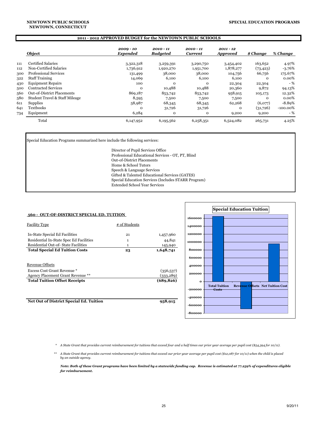#### **NEWTOWN PUBLIC SCHOOLS NEWTOWN, CONNECTICUT**

#### **2011 - 2012 APPROVED BUDGET for the NEWTOWN PUBLIC SCHOOLS**

|     | Object                         | $2009 - 10$<br>Expended | $2010 - 11$<br><b>Budgeted</b> | 2010 - 11<br><b>Current</b> | $2011 - 12$<br><b>Approved</b> | \$ Change | % Change    |
|-----|--------------------------------|-------------------------|--------------------------------|-----------------------------|--------------------------------|-----------|-------------|
| 111 | <b>Certified Salaries</b>      | 3,322,318               | 3,259,391                      | 3,290,750                   | 3,454,402                      | 163,652   | 4.97%       |
| 112 | Non-Certified Salaries         | 1,736,912               | 1,920,270                      | 1,951,700                   | 1,878,277                      | (73, 423) | $-3.76%$    |
| 300 | <b>Professional Services</b>   | 131,499                 | 38,000                         | 38,000                      | 104,756                        | 66,756    | 175.67%     |
| 322 | <b>Staff Training</b>          | 14,069                  | 6,100                          | 6,100                       | 6,100                          | $\Omega$  | $0.00\%$    |
| 430 | <b>Equipment Repairs</b>       | 100                     | $\mathbf{O}$                   | $\mathbf 0$                 | 22,304                         | 22,304    | $-$ %       |
| 500 | <b>Contracted Services</b>     | $\mathbf 0$             | 10,488                         | 10,488                      | 20,360                         | 9,872     | 94.13%      |
| 560 | Out-of-District Placements     | 869,187                 | 853,742                        | 853,742                     | 958,915                        | 105,173   | 12.32%      |
| 580 | Student Travel & Staff Mileage | 8,595                   | 7,500                          | 7,500                       | 7,500                          | $\Omega$  | $0.00\%$    |
| 611 | Supplies                       | 58,987                  | 68,345                         | 68,345                      | 62,268                         | (6,077)   | $-8.89%$    |
| 641 | <b>Textbooks</b>               | $\Omega$                | 31,726                         | 31,726                      | $\mathbf{o}$                   | (31,726)  | $-100.00\%$ |
| 734 | Equipment                      | 6,284                   | $\mathbf{O}$                   | $\mathbf{O}$                | 9,200                          | 9,200     | - %         |
|     | Total                          | 6,147,952               | 6, 195, 562                    | 6,258,351                   | 6,524,082                      | 265,731   | 4.25%       |

Special Education Programs summarized here include the following services:

Director of Pupil Services Office Professional Educational Services - OT, PT, Blind Out-of-District Placements Home & School Tutors Speech & Language Services Gifted & Talented Educational Services (GATES) Special Education Services (Includes STARR Program) Extended School Year Services

| 560 - OUT-OF-DISTRICT SPECIAL ED. TUITION |
|-------------------------------------------|
|-------------------------------------------|

| <b>Facility Type</b>                                             | # of Students |                        |
|------------------------------------------------------------------|---------------|------------------------|
| In-State Special Ed Facilities                                   | 21            | 1,457,960              |
| Residential In-State Spec Ed Facilities                          | 1             | 44,841                 |
| Residential Out-of-State Facilities                              | 1             | 145,940                |
| <b>Total Special Ed Tuition Costs</b>                            | 23            | 1,648,741              |
| Revenue Offsets                                                  |               |                        |
| Excess Cost Grant Revenue *<br>Agency Placement Grant Revenue ** |               | (356,537)<br>(333,289) |
| <b>Total Tuition Offset Receipts</b>                             |               | (689, 826)             |
|                                                                  |               |                        |

Net Out of District Special Ed. Tuition 958,915



 *\* A State Grant that provides current reimbursement for tuitions that exceed four and a half times our prior year average per pupil cost (\$54,394 for 10/11).* 

 *\*\* A State Grant that provides current reimbursement for tuitions that exceed our prior year average per pupil cost (\$12,087 for 10/11) when the child is placed by an outside agency.* 

 *Note: Both of these Grant programs have been limited by a statewide funding cap. Revenue is estimated at 77.259% of expenditures eligible for reimbursement.*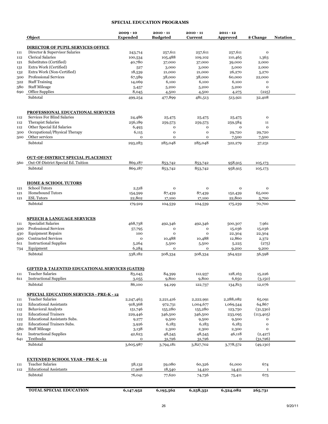## **SPECIAL EDUCATION PROGRAMS**

|     | Object                                                              | $2009 - 10$<br><b>Expended</b> | $2010 - 11$<br><b>Budgeted</b> | $2010 - 11$<br>Current | $2011 - 12$<br><b>Approved</b> | \$ Change       | <b>Notation</b> |
|-----|---------------------------------------------------------------------|--------------------------------|--------------------------------|------------------------|--------------------------------|-----------------|-----------------|
|     | <b>DIRECTOR OF PUPIL SERVICES OFFICE</b>                            |                                |                                |                        |                                |                 |                 |
| 111 | Director & Supervisor Salaries                                      | 243,714                        | 257,611                        | 257,611                | 257,611                        | $\mathbf O$     |                 |
| 112 | <b>Clerical Salaries</b>                                            | 100,534                        | 105,488                        | 109,102                | 110,465                        | 1,363           |                 |
| 121 | Substitutes (Certified)                                             | 40,780                         | 37,000                         | 37,000                 | 39,000                         | 2,000           |                 |
| 131 | Extra Work (Certified)                                              | 527                            | 3,000                          | 3,000                  | 5,000                          | 2,000           |                 |
| 132 | Extra Work (Non-Certified)                                          | 18,539                         | 21,000                         | 21,000                 | 26,270                         | 5,270           |                 |
| 300 | <b>Professional Services</b>                                        | 67,589                         | 38,000                         | 38,000                 | 60,000                         | 22,000          |                 |
| 322 | <b>Staff Training</b>                                               | 14,069                         | 6,100                          | 6,100                  | 6,100                          | o               |                 |
| 580 | <b>Staff Mileage</b>                                                | 5,457                          | 5,200                          | 5,200                  | 5,200                          | $\mathbf{o}$    |                 |
| 690 | Office Supplies                                                     | 8,045                          | 4,500                          | 4,500                  | 4,275                          | (225)           |                 |
|     | Subtotal                                                            | 499,254                        | 477,899                        | 481,513                | 513,921                        | 32,408          |                 |
|     |                                                                     |                                |                                |                        |                                |                 |                 |
|     | PROFESSIONAL EDUCATIONAL SERVICES                                   |                                |                                |                        |                                |                 |                 |
| 112 | <b>Services For Blind Salaries</b>                                  | 24,486                         | 25,475                         | 25,475                 | 25,475                         | $\mathbf 0$     |                 |
| 112 | <b>Therapist Salaries</b>                                           | 256,189                        | 259,573                        | 259,573                | 259,584                        | 11              |                 |
| 112 | Other Special Ed Salaries                                           | 6,493                          | $\mathbf{o}$                   | o                      | $\mathbf 0$                    | $\mathbf{o}$    |                 |
| 300 | Occupational/Physical Therapy                                       | 6,115                          | $\mathbf 0$                    | $\mathbf O$            | 29,720                         | 29,720          |                 |
| 500 | Other services                                                      | $\mathbf{o}$                   | 0                              | 0                      | 7,500                          | 7,500           |                 |
|     | Subtotal                                                            | 293,283                        | 285,048                        | 285,048                | 322,279                        | 37,231          |                 |
|     | <b>OUT-OF-DISTRICT SPECIAL PLACEMENT</b>                            |                                |                                |                        |                                |                 |                 |
| 560 | Out-Of-District Special Ed. Tuition                                 | 869,187                        | 853,742                        | 853,742                | 958,915                        | 105,173         |                 |
|     | Subtotal                                                            | 869,187                        | 853,742                        | 853,742                | 958,915                        | 105,173         |                 |
|     |                                                                     |                                |                                |                        |                                |                 |                 |
| 121 | <b>HOME &amp; SCHOOL TUTORS</b><br><b>School Tutors</b>             | 2,518                          | $\mathbf{o}$                   | o                      | $\mathbf 0$                    | o               |                 |
| 121 | <b>Homebound Tutors</b>                                             |                                |                                |                        |                                |                 |                 |
|     |                                                                     | 154,599                        | 87,439                         | 87,439                 | 152,439                        | 65,000          |                 |
| 121 | <b>ESL Tutors</b><br>Subtotal                                       | 22,802<br>179,919              | 17,100<br>104,539              | 17,100<br>104,539      | 22,800<br>175,239              | 5,700<br>70,700 |                 |
|     | <b>SPEECH &amp; LANGUAGE SERVICES</b>                               |                                |                                |                        |                                |                 |                 |
| 111 | <b>Specialist Salaries</b>                                          | 468,738                        | 492,346                        | 492,346                | 500,307                        | 7,961           |                 |
| 300 | Professional Services                                               | 57,795                         | $\mathbf{o}$                   | o                      | 15,036                         | 15,036          |                 |
| 430 | <b>Equipment Repairs</b>                                            | 100                            | $\mathbf{o}$                   | $\mathbf{o}$           | 22,304                         | 22,304          |                 |
| 500 | <b>Contracted Services</b>                                          | $\mathbf{o}$                   | 10,488                         | 10,488                 | 12,860                         | 2,372           |                 |
| 611 | <b>Instructional Supplies</b>                                       | 5,264                          | 5,500                          | 5,500                  | 5,225                          | (275)           |                 |
|     | Equipment                                                           | 6,284                          | $\mathbf 0$                    | $\mathbf O$            |                                |                 |                 |
| 734 | Subtotal                                                            | 538,182                        | 508,334                        | 508,334                | 9,200<br>564,932               | 9,200<br>56,598 |                 |
|     |                                                                     |                                |                                |                        |                                |                 |                 |
|     | <b>GIFTED &amp; TALENTED EDUCATIONAL SERVICES (GATES)</b>           |                                |                                |                        |                                |                 |                 |
| 111 | <b>Teacher Salaries</b>                                             | 83,045                         | 84,399                         | 112,937                | 128,163                        | 15,226          |                 |
| 611 | <b>Instructional Supplies</b>                                       | 3,055                          | 9,800                          | 9,800                  | 6,650                          | (3,150)         |                 |
|     | Subtotal                                                            | 86,100                         | 94,199                         | 122,737                | 134,813                        | 12,076          |                 |
|     | <b>SPECIAL EDUCATION SERVICES - PRE-K - 12</b>                      |                                |                                |                        |                                |                 |                 |
| 111 | <b>Teacher Salaries</b>                                             | 2,247,463                      | 2,221,416                      | 2,222,991              | 2,288,082                      | 65,091          |                 |
| 112 | <b>Educational Assistants</b>                                       | 918,368                        | 972,731                        | 1,004,677              | 1,069,544                      | 64,867          |                 |
| 112 | <b>Behavioral Analysts</b>                                          | 151,746                        | 155,280                        | 155,280                | 123,750                        | (31,530)        |                 |
| 112 | <b>Educational Trainers</b>                                         | 229,446                        | 346,500                        | 346,500                | 233,095                        | (113, 405)      |                 |
| 122 | <b>Educational Assistants Subs.</b>                                 | 9,277                          | 9,500                          | 9,500                  | 9,500                          | o               |                 |
| 122 | <b>Educational Trainers Subs.</b>                                   | 3,926                          | 6,183                          | 6,183                  | 6,183                          | o               |                 |
| 580 | <b>Staff Mileage</b>                                                | 3,138                          | 2,300                          | 2,300                  | 2,300                          | o               |                 |
| 611 | <b>Instructional Supplies</b>                                       | 42,623                         | 48,545                         | 48,545                 | 46,118                         | (2, 427)        |                 |
| 641 | Textbooks                                                           | $\mathbf{o}$                   | 31,726                         | 31,726                 | o                              | (31,726)        |                 |
|     | Subtotal                                                            | 3,605,987                      | 3,794,181                      | 3,827,702              | 3,778,572                      | (49, 130)       |                 |
|     |                                                                     |                                |                                |                        |                                |                 |                 |
| 111 | <b>EXTENDED SCHOOL YEAR - PRE-K - 12</b><br><b>Teacher Salaries</b> |                                |                                | 60,326                 | 61,000                         |                 |                 |
|     | <b>Educational Assistants</b>                                       | 58,132                         | 59,080                         |                        |                                | 674             |                 |
| 112 | Subtotal                                                            | 17,908<br>76,041               | 18,540<br>77,620               | 14,410<br>74,736       | 14,411<br>75,411               | 1<br>675        |                 |
|     |                                                                     |                                |                                |                        |                                |                 |                 |
|     | <b>TOTAL SPECIAL EDUCATION</b>                                      | 6,147,952                      | 6,195,562                      | 6,258,351              | 6,524,082                      | 265,731         |                 |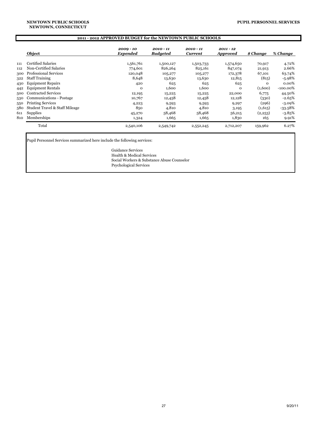#### **NEWTOWN, CONNECTICUT NEWTOWN PUBLIC SCHOOLS**

### **2011 - 2012 APPROVED BUDGET for the NEWTOWN PUBLIC SCHOOLS**

|     | Object                         | 2009 - 10<br><b>Expended</b> | $2010 - 11$<br><b>Budgeted</b> | 2010 - 11<br>Current | $2011 - 12$<br><b>Approved</b> | \$ Change | % Change    |
|-----|--------------------------------|------------------------------|--------------------------------|----------------------|--------------------------------|-----------|-------------|
| 111 | Certified Salaries             | 1,561,761                    | 1,500,127                      | 1,503,733            | 1,574,650                      | 70,917    | 4.72%       |
| 112 | Non-Certified Salaries         | 774,601                      | 826,264                        | 825,161              | 847,074                        | 21,913    | 2.66%       |
| 300 | <b>Professional Services</b>   | 120,048                      | 105,277                        | 105,277              | 172,378                        | 67,101    | 63.74%      |
| 322 | <b>Staff Training</b>          | 8,648                        | 13,630                         | 13,630               | 12,815                         | (815)     | -5.98%      |
| 430 | <b>Equipment Repairs</b>       | 420                          | 625                            | 625                  | 625                            | $\Omega$  | $0.00\%$    |
| 442 | <b>Equipment Rentals</b>       | $\mathbf 0$                  | 1,600                          | 1,600                | $\mathbf{O}$                   | (1,600)   | $-100.00\%$ |
| 500 | <b>Contracted Services</b>     | 12,195                       | 15,225                         | 15,225               | 22,000                         | 6,775     | 44.50%      |
| 530 | Communications - Postage       | 10,767                       | 12,458                         | 12,458               | 12,128                         | (330)     | $-2.65%$    |
| 550 | <b>Printing Services</b>       | 4,223                        | 9,593                          | 9,593                | 9,297                          | (296)     | $-3.09\%$   |
| 580 | Student Travel & Staff Mileage | 850                          | 4,810                          | 4,810                | 3,195                          | (1,615)   | $-33.58\%$  |
| 611 | <b>Supplies</b>                | 45,270                       | 58,468                         | 58,468               | 56,215                         | (2,253)   | $-3.85%$    |
| 810 | Memberships                    | 1,324                        | 1,665                          | 1,665                | 1,830                          | 165       | 9.91%       |
|     | Total                          | 2,540,106                    | 2,549,742                      | 2,552,245            | 2,712,207                      | 159,962   | 6.27%       |

Pupil Personnel Services summarized here include the following services:

Guidance Services Health & Medical Services Social Workers & Substance Abuse Counselor Psychological Services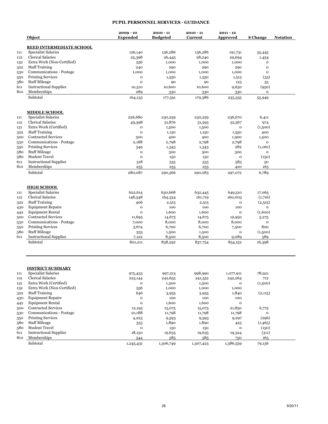### **PUPIL PERSONNEL SERVICES - GUIDANCE**

|                                                                    | Object                                                                                                                                                                                                                                                                                            | $2009 - 10$<br><b>Expended</b>                                                                                  | $2010 - 11$<br><b>Budgeted</b>                                                                       | $2010 - 11$<br><b>Current</b>                                                                        | $2011 - 12$<br>Approved                                                                                                   | \$ Change                                                                                                          | <b>Notation</b> |
|--------------------------------------------------------------------|---------------------------------------------------------------------------------------------------------------------------------------------------------------------------------------------------------------------------------------------------------------------------------------------------|-----------------------------------------------------------------------------------------------------------------|------------------------------------------------------------------------------------------------------|------------------------------------------------------------------------------------------------------|---------------------------------------------------------------------------------------------------------------------------|--------------------------------------------------------------------------------------------------------------------|-----------------|
|                                                                    |                                                                                                                                                                                                                                                                                                   |                                                                                                                 |                                                                                                      |                                                                                                      |                                                                                                                           |                                                                                                                    |                 |
|                                                                    | <b>REED INTERMEDIATE SCHOOL</b><br><b>Specialist Salaries</b>                                                                                                                                                                                                                                     | 126,140                                                                                                         | 136,286                                                                                              | 136,286                                                                                              |                                                                                                                           |                                                                                                                    |                 |
| 111<br>112                                                         | <b>Clerical Salaries</b>                                                                                                                                                                                                                                                                          | 25,398                                                                                                          | 26,445                                                                                               | 28,240                                                                                               | 191,731<br>29,694                                                                                                         | 55,445                                                                                                             |                 |
| 132                                                                | Extra Work (Non-Certified)                                                                                                                                                                                                                                                                        | 556                                                                                                             | 1,000                                                                                                | 1,000                                                                                                | 1,000                                                                                                                     | 1,454<br>o                                                                                                         |                 |
| 322                                                                | <b>Staff Training</b>                                                                                                                                                                                                                                                                             | 240                                                                                                             | 290                                                                                                  | 290                                                                                                  | 290                                                                                                                       | $\mathbf{o}$                                                                                                       |                 |
|                                                                    | <b>Communications - Postage</b>                                                                                                                                                                                                                                                                   | 1,000                                                                                                           | 1,000                                                                                                | 1,000                                                                                                | 1,000                                                                                                                     | $\mathbf{o}$                                                                                                       |                 |
| 530<br>550                                                         | <b>Printing Services</b>                                                                                                                                                                                                                                                                          | $\mathbf{o}$                                                                                                    | 1,550                                                                                                | 1,550                                                                                                | 1,515                                                                                                                     | (35)                                                                                                               |                 |
| 580                                                                | <b>Staff Mileage</b>                                                                                                                                                                                                                                                                              | $\mathbf 0$                                                                                                     | 90                                                                                                   | 90                                                                                                   | 125                                                                                                                       | 35                                                                                                                 |                 |
| 611                                                                | <b>Instructional Supplies</b>                                                                                                                                                                                                                                                                     | 10,510                                                                                                          | 10,600                                                                                               | 10,600                                                                                               | 9,650                                                                                                                     | (950)                                                                                                              |                 |
| 810                                                                | Memberships                                                                                                                                                                                                                                                                                       | 289                                                                                                             | 330                                                                                                  | 330                                                                                                  | 330                                                                                                                       | $\mathbf 0$                                                                                                        |                 |
|                                                                    | Subtotal                                                                                                                                                                                                                                                                                          |                                                                                                                 |                                                                                                      |                                                                                                      |                                                                                                                           |                                                                                                                    |                 |
|                                                                    |                                                                                                                                                                                                                                                                                                   | 164,133                                                                                                         | 177,591                                                                                              | 179,386                                                                                              | 235,335                                                                                                                   | 55,949                                                                                                             |                 |
|                                                                    | <b>MIDDLE SCHOOL</b>                                                                                                                                                                                                                                                                              |                                                                                                                 |                                                                                                      |                                                                                                      |                                                                                                                           |                                                                                                                    |                 |
| 111                                                                | <b>Specialist Salaries</b>                                                                                                                                                                                                                                                                        | 226,680                                                                                                         | 230,259                                                                                              | 230,259                                                                                              | 236,670                                                                                                                   | 6,411                                                                                                              |                 |
| 112                                                                | <b>Clerical Salaries</b>                                                                                                                                                                                                                                                                          | 49,398                                                                                                          | 51,876                                                                                               | 51,593                                                                                               | 52,567                                                                                                                    | 974                                                                                                                |                 |
| 131                                                                | Extra Work (Certified)                                                                                                                                                                                                                                                                            | $\mathbf{o}$                                                                                                    | 1,500                                                                                                | 1,500                                                                                                | $\mathbf{o}$                                                                                                              | (1,500)                                                                                                            |                 |
| 322                                                                | <b>Staff Training</b>                                                                                                                                                                                                                                                                             | $\mathbf{o}$                                                                                                    | 1,150                                                                                                | 1,150                                                                                                | 1,550                                                                                                                     | 400                                                                                                                |                 |
| 500                                                                | <b>Contracted Services</b>                                                                                                                                                                                                                                                                        | 500                                                                                                             | 400                                                                                                  | 400                                                                                                  | 1,900                                                                                                                     | 1,500                                                                                                              |                 |
| 530                                                                | Communications - Postage                                                                                                                                                                                                                                                                          | 2,188                                                                                                           | 2,798                                                                                                | 2,798                                                                                                | 2,798                                                                                                                     | $\mathbf{o}$                                                                                                       |                 |
| 550                                                                | <b>Printing Services</b>                                                                                                                                                                                                                                                                          | 549                                                                                                             | 1,343                                                                                                | 1,343                                                                                                | 282                                                                                                                       | (1,061)                                                                                                            |                 |
| 580                                                                | <b>Staff Mileage</b>                                                                                                                                                                                                                                                                              | $\mathbf{o}$                                                                                                    | 300                                                                                                  | 300                                                                                                  | 300                                                                                                                       | $\mathbf{o}$                                                                                                       |                 |
| 580                                                                | <b>Student Travel</b>                                                                                                                                                                                                                                                                             | $\mathbf 0$                                                                                                     | 150                                                                                                  | 150                                                                                                  | $\mathbf 0$                                                                                                               | (150)                                                                                                              |                 |
| 611                                                                | <b>Instructional Supplies</b>                                                                                                                                                                                                                                                                     | 518                                                                                                             | 535                                                                                                  | 535                                                                                                  | 585                                                                                                                       | 50                                                                                                                 |                 |
| 810                                                                | Memberships                                                                                                                                                                                                                                                                                       | 255                                                                                                             | 255                                                                                                  | 255                                                                                                  | 420                                                                                                                       | 165                                                                                                                |                 |
|                                                                    | Subtotal                                                                                                                                                                                                                                                                                          | 280,087                                                                                                         | 290,566                                                                                              | 290,283                                                                                              | 297,072                                                                                                                   | 6,789                                                                                                              |                 |
| 111<br>112<br>322<br>430<br>442<br>500<br>530<br>550<br>580<br>611 | <b>Specialist Salaries</b><br><b>Clerical Salaries</b><br><b>Staff Training</b><br><b>Equipment Repairs</b><br><b>Equipment Rental</b><br><b>Contracted Services</b><br>Communications - Postage<br><b>Printing Services</b><br><b>Staff Mileage</b><br><b>Instructional Supplies</b><br>Subtotal | 622,614<br>148,348<br>406<br>$\mathbf{o}$<br>$\mathbf 0$<br>11,695<br>7,000<br>3,674<br>353<br>7,122<br>801,211 | 630,668<br>164,334<br>2,515<br>100<br>1,600<br>14,675<br>8,000<br>6,700<br>1,500<br>8,500<br>838,592 | 632,445<br>161,719<br>2,515<br>100<br>1,600<br>14,675<br>8,000<br>6,700<br>1,500<br>8,500<br>837,754 | 649,510<br>160,003<br>$\mathbf{o}$<br>100<br>$\mathbf{o}$<br>19,950<br>8,000<br>7,500<br>$\mathbf{o}$<br>9,089<br>854,152 | 17,065<br>(1,716)<br>(2,515)<br>$\mathbf 0$<br>(1,600)<br>5,275<br>$\mathbf{o}$<br>800<br>(1,500)<br>589<br>16,398 |                 |
| 111<br>112<br>131<br>132                                           | <b>DISTRICT SUMMARY</b><br><b>Specialist Salaries</b><br>Clerical Salaries<br>Extra Work (Certified)<br>Extra Work (Non-Certified)                                                                                                                                                                | 975,433<br>223,144<br>$\mathbf 0$<br>556                                                                        | 997,213<br>242,655<br>1,500<br>1,000                                                                 | 998,990<br>241,552<br>1,500<br>1,000                                                                 | 1,077,911<br>242,264<br>o<br>1,000                                                                                        | 78,921<br>712<br>(1,500)                                                                                           |                 |
| 322                                                                | <b>Staff Training</b>                                                                                                                                                                                                                                                                             | 646                                                                                                             | 3,955                                                                                                | 3,955                                                                                                | 1,840                                                                                                                     | (2,115)                                                                                                            |                 |
| 430                                                                | <b>Equipment Repairs</b>                                                                                                                                                                                                                                                                          | $\mathbf 0$                                                                                                     | 100                                                                                                  | 100                                                                                                  | 100                                                                                                                       |                                                                                                                    |                 |
| 442                                                                | <b>Equipment Rental</b>                                                                                                                                                                                                                                                                           | $\mathbf 0$                                                                                                     | 1,600                                                                                                | 1,600                                                                                                | $\mathbf{o}$                                                                                                              |                                                                                                                    |                 |
| 500                                                                | <b>Contracted Services</b>                                                                                                                                                                                                                                                                        | 12,195                                                                                                          | 15,075                                                                                               | 15,075                                                                                               | 21,850                                                                                                                    | 6,775                                                                                                              |                 |
| 530                                                                | <b>Communications - Postage</b>                                                                                                                                                                                                                                                                   | 10,188                                                                                                          | 11,798                                                                                               | 11,798                                                                                               | 11,798                                                                                                                    | $\mathbf O$                                                                                                        |                 |
| 550                                                                | <b>Printing Services</b>                                                                                                                                                                                                                                                                          | 4,223                                                                                                           | 9,593                                                                                                | 9,593                                                                                                | 9,297                                                                                                                     | (296)                                                                                                              |                 |
| 580                                                                | <b>Staff Mileage</b>                                                                                                                                                                                                                                                                              | 353                                                                                                             | 1,890                                                                                                | 1,890                                                                                                | 425                                                                                                                       | (1,465)                                                                                                            |                 |
| 580                                                                | <b>Student Travel</b>                                                                                                                                                                                                                                                                             | $\mathbf O$                                                                                                     | 150                                                                                                  | 150                                                                                                  | $\mathbf O$                                                                                                               | (150)                                                                                                              |                 |
| 611                                                                | <b>Instructional Supplies</b>                                                                                                                                                                                                                                                                     | 18,150                                                                                                          | 19,635                                                                                               | 19,635                                                                                               | 19,324                                                                                                                    | (311)                                                                                                              |                 |
| 810                                                                | Memberships                                                                                                                                                                                                                                                                                       | 544                                                                                                             | 585                                                                                                  | 585                                                                                                  | 750                                                                                                                       | 165                                                                                                                |                 |
|                                                                    | Subtotal                                                                                                                                                                                                                                                                                          | 1,245,431                                                                                                       | 1,306,749                                                                                            | 1,307,423                                                                                            | 1,386,559                                                                                                                 | 79,136                                                                                                             |                 |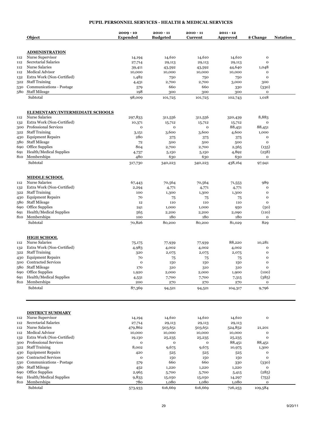#### **PUPIL PERSONNEL SERVICES - HEALTH & MEDICAL SERVICES**

|      | Object                                         | $2009 - 10$<br><b>Expended</b> | $2010 - 11$<br><b>Budgeted</b> | $2010 - 11$<br><b>Current</b> | $2011 - 12$<br>Approved | \$ Change                    | <b>Notation</b> |
|------|------------------------------------------------|--------------------------------|--------------------------------|-------------------------------|-------------------------|------------------------------|-----------------|
|      | <b>ADMINISTRATION</b>                          |                                |                                |                               |                         |                              |                 |
| 112  | Nurse Supervisor                               | 14,194                         | 14,610                         | 14,610                        | 14,610                  | $\mathbf{o}$                 |                 |
| 112  | Secretarial Salaries                           | 27,714                         | 29,113                         | 29,113                        | 29,113                  | $\mathbf{o}$                 |                 |
| 112  | <b>Nurse Salaries</b>                          | 39,411                         | 43,592                         | 43,592                        | 44,640                  | 1,048                        |                 |
| 112  | Medical Advisor                                | 10,000                         | 10,000                         | 10,000                        | 10,000                  | $\mathbf{o}$                 |                 |
| 132  | Extra Work (Non-Certified)                     | 1,482                          | 750                            | 750                           | 750                     | $\mathbf{o}$                 |                 |
|      | 322 Staff Training                             | 4,431                          | 2,700                          | 2,700                         | 3,000                   | 300                          |                 |
| 530  | Communications - Postage                       | 579                            | 660                            | 660                           | 330                     | (330)                        |                 |
| 580  | <b>Staff Mileage</b><br>Subtotal               | 198<br>98,009                  | 300<br>101,725                 | 300<br>101,725                | 300<br>102,743          | $\mathbf 0$<br>1,018         |                 |
|      | <b>ELEMENTARY/INTERMEDIATE SCHOOLS</b>         |                                |                                |                               |                         |                              |                 |
| 112  | <b>Nurse Salaries</b>                          | 297,833                        | 311,556                        | 311,556                       | 320,439                 | 8,883                        |                 |
| 132  | Extra Work (Non-Certified)                     | 10,371                         | 15,712                         | 15,712                        | 15,712                  | $\mathbf{o}$                 |                 |
| 300  | <b>Professional Services</b>                   | o                              | o                              | o                             | 88,451                  | 88,451                       |                 |
|      | 322 Staff Training                             | 3,151                          | 3,600                          | 3,600                         | 4,600                   | 1,000                        |                 |
|      | 430 Equipment Repairs                          | 280                            | 375                            | 375                           | 375                     | $\mathbf{o}$                 |                 |
|      | 580 Staff Mileage                              | 72                             | 500                            | 500                           | 500                     | $\mathbf{o}$                 |                 |
| 690- | Office Supplies                                | 804                            | 2,700                          | 2,700                         | 2,565                   | (135)                        |                 |
| 691  | <b>Health/Medical Supplies</b>                 | 4,737                          | 5,150                          | 5,150                         | 4,892                   | (258)                        |                 |
| 810  | Memberships                                    | 480                            | 630                            | 630                           | 630                     | $\mathbf{o}$                 |                 |
|      | Subtotal                                       | 317,730                        | 340,223                        | 340,223                       | 438,164                 | 97,941                       |                 |
|      | <b>MIDDLE SCHOOL</b>                           |                                |                                |                               |                         |                              |                 |
| 112  | <b>Nurse Salaries</b>                          | 67,443                         | 70,564                         | 70,564                        | 71,553                  | 989                          |                 |
| 132  | Extra Work (Non-Certified)                     | 2,294                          | 4,771                          | 4,771                         | 4,771                   | $\mathbf{o}$                 |                 |
|      | 322 Staff Training<br><b>Equipment Repairs</b> | 100                            | 1,300                          | 1,300                         | 1,300                   | $\mathbf{o}$                 |                 |
| 430  | 580 Staff Mileage                              | 70<br>12                       | 75<br>110                      | 75<br>110                     | 75<br>110               | $\mathbf{o}$<br>$\mathbf{o}$ |                 |
| 690  | Office Supplies                                | 241                            | 1,000                          | 1,000                         | 950                     | (50)                         |                 |
| 691  | <b>Health/Medical Supplies</b>                 | 565                            | 2,200                          | 2,200                         | 2,090                   | (110)                        |                 |
| 810  | Memberships                                    | 100                            | 180                            | 180                           | 180                     | $\mathbf{o}$                 |                 |
|      | Subtotal                                       | 70,826                         | 80,200                         | 80,200                        | 81,029                  | 829                          |                 |
|      | <b>HIGH SCHOOL</b>                             |                                |                                |                               |                         |                              |                 |
| 112  | <b>Nurse Salaries</b>                          | 75,175                         | 77,939                         | 77,939                        | 88,220                  | 10,281                       |                 |
| 132  | Extra Work (Non-Certified)                     | 4,983                          | 4,002                          | 4,002                         | 4,002                   | $\mathbf{o}$                 |                 |
|      | 322 Staff Training                             | 320                            | 2,075                          | 2,075                         | 2,075                   | $\mathbf{o}$                 |                 |
|      | 430 Equipment Repairs                          | 70                             | 75                             | 75                            | 75                      | $\mathbf{o}$                 |                 |
|      | 500 Contracted Services                        | $\mathbf{o}$                   | 150                            | 150                           | 150                     | $\mathbf{o}$                 |                 |
|      | 580 Staff Mileage                              | 170                            | 310                            | 310                           | 310                     | $\mathbf{o}$                 |                 |
| 690  | Office Supplies                                | 1,920                          | 2,000                          | 2,000                         | 1,900                   | (100)                        |                 |
| 691  | Health/Medical Supplies                        | 4,531                          | 7,700                          | 7,700                         | 7,315                   | (385)                        |                 |
| 810  | Memberships                                    | 200                            | 270                            | 270                           | 270                     | $\mathbf{o}$                 |                 |
|      | Subtotal                                       | 87,369                         | 94,521                         | 94,521                        | 104,317                 | 9,796                        |                 |
|      | <b>DISTRICT SUMMARY</b>                        |                                |                                |                               |                         |                              |                 |
| 112  | Nurse Supervisor                               | 14,194                         | 14,610                         | 14,610                        | 14,610                  | $\mathbf{o}$                 |                 |
| 112  | Secretarial Salaries                           | 27,714                         | 29,113                         | 29,113                        | 29,113                  |                              |                 |
| 112  | <b>Nurse Salaries</b>                          | 479,862                        | 503,651                        | 503,651                       | 524,852                 | 21,201                       |                 |
| 112  | Medical Advisor                                | 10,000                         | 10,000                         | 10,000                        | 10,000                  | $\mathbf{o}$                 |                 |
| 132  | Extra Work (Non-Certified)                     | 19,130                         | 25,235                         | 25,235                        | 25,235                  | $\mathbf 0$                  |                 |
| 300  | Professional Services                          | o                              | o                              | o                             | 88,451                  | 88,451                       |                 |
| 322  | <b>Staff Training</b>                          | 8,002                          | 9,675                          | 9,675                         | 10,975                  | 1,300                        |                 |
| 430  | <b>Equipment Repairs</b>                       | 420                            | 525                            | 525                           | 525                     | $\mathbf{o}$                 |                 |
| 500  | <b>Contracted Services</b>                     | o                              | 150                            | 150                           | 150                     | $\mathbf{o}$                 |                 |
| 530  | Communications - Postage                       | 579                            | 660                            | 660                           | 330                     | (330)                        |                 |
| 580  | <b>Staff Mileage</b>                           | 452                            | 1,220                          | 1,220                         | 1,220                   | o                            |                 |
| 690  | Office Supplies                                | 2,965                          | 5,700                          | 5,700                         | 5,415                   | (285)                        |                 |
| 691  | Health/Medical Supplies                        | 9,833                          | 15,050                         | 15,050                        | 14,297                  | (753)                        |                 |
| 810  | Memberships                                    | 780                            | 1,080                          | 1,080                         | 1,080                   | 0                            |                 |
|      | Subtotal                                       | 573,933                        | 616,669                        | 616,669                       | 726,253                 | 109,584                      |                 |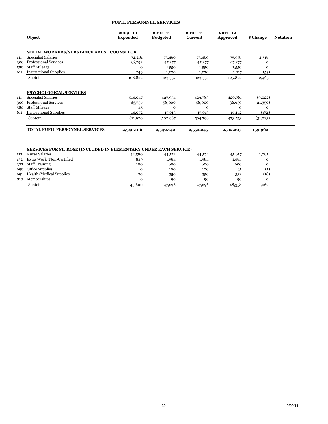#### **PUPIL PERSONNEL SERVICES**

|     | Object                                          | $2009 - 10$<br><b>Expended</b> | $2010 - 11$<br><b>Budgeted</b> | $2010 - 11$<br>Current | $2011 - 12$<br><b>Approved</b> | \$ Change | <b>Notation</b> |
|-----|-------------------------------------------------|--------------------------------|--------------------------------|------------------------|--------------------------------|-----------|-----------------|
|     |                                                 |                                |                                |                        |                                |           |                 |
|     | <b>SOCIAL WORKERS/SUBSTANCE ABUSE COUNSELOR</b> |                                |                                |                        |                                |           |                 |
| 111 | <b>Specialist Salaries</b>                      | 72,281                         | 73,460                         | 73,460                 | 75,978                         | 2,518     |                 |
| 300 | <b>Professional Services</b>                    | 36,292                         | 47,277                         | 47,277                 | 47,277                         | Ω         |                 |
| 580 | <b>Staff Mileage</b>                            | $\mathbf{o}$                   | 1,550                          | 1,550                  | 1,550                          | 0         |                 |
| 611 | <b>Instructional Supplies</b>                   | 249                            | 1,070                          | 1,070                  | 1,017                          | (53)      |                 |
|     | Subtotal                                        | 108,822                        | 123,357                        | 123,357                | 125,822                        | 2,465     |                 |
|     | PSYCHOLOGICAL SERVICES                          |                                |                                |                        |                                |           |                 |
| 111 | <b>Specialist Salaries</b>                      | 514,047                        | 427,954                        | 429,783                | 420,761                        | (9,022)   |                 |
| 300 | <b>Professional Services</b>                    | 83,756                         | 58,000                         | 58,000                 | 36,650                         | (21,350)  |                 |
| 580 | <b>Staff Mileage</b>                            | 45                             | $\mathbf{O}$                   | $\Omega$               | $\Omega$                       | $\Omega$  |                 |
| 611 | <b>Instructional Supplies</b>                   | 14,072                         | 17,013                         | 17,013                 | 16,162                         | (851)     |                 |
|     | Subtotal                                        | 611,920                        | 502,967                        | 504,796                | 473,573                        | (31,223)  |                 |
|     | TOTAL PUPIL PERSONNEL SERVICES                  | 2,540,106                      | 2,549,742                      | 2,552,245              | 2,712,207                      | 159,962   |                 |

#### **SERVICES FOR ST. ROSE (INCLUDED IN ELEMENTARY UNDER EACH SERVICE)**

| 112 | Nurse Salaries                 | 42,580 | 44,572 | 44,572 | 45,657 | 1,085 |  |
|-----|--------------------------------|--------|--------|--------|--------|-------|--|
| 132 | Extra Work (Non-Certified)     | 849    | 1,584  | 1,584  | 1,584  |       |  |
| 322 | <b>Staff Training</b>          | 100    | 600    | 600    | 600    |       |  |
|     | 690 Office Supplies            |        | 100    | 100    | 95     | (5)   |  |
| 691 | <b>Health/Medical Supplies</b> | 70     | 350    | 350    | 332    | (18)  |  |
| 810 | Memberships                    |        | 90     | ۹O     | 90     |       |  |
|     | Subtotal                       | 43,600 | 47,296 | 47,296 | 48,358 | 1,062 |  |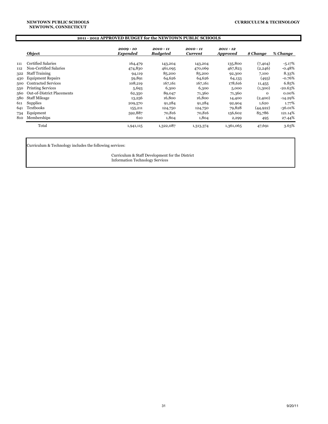|     | 2011 - 2012 APPROVED BUDGET for the NEWTOWN PUBLIC SCHOOLS                   |                         |                                |                      |                                |           |           |  |
|-----|------------------------------------------------------------------------------|-------------------------|--------------------------------|----------------------|--------------------------------|-----------|-----------|--|
|     | Object                                                                       | $2009 - 10$<br>Expended | $2010 - 11$<br><b>Budgeted</b> | 2010 - 11<br>Current | $2011 - 12$<br><b>Approved</b> | \$ Change | % Change  |  |
| 111 | Certified Salaries                                                           | 164,479                 | 143,204                        | 143,204              | 135,800                        | (7, 404)  | $-5.17%$  |  |
| 112 | Non-Certified Salaries                                                       | 474,830                 | 461,095                        | 470,069              | 467,823                        | (2,246)   | $-0.48%$  |  |
| 322 | <b>Staff Training</b>                                                        | 94,119                  | 85,200                         | 85,200               | 92,300                         | 7,100     | 8.33%     |  |
| 430 | <b>Equipment Repairs</b>                                                     | 59,891                  | 64,626                         | 64,626               | 64,133                         | (493)     | -0.76%    |  |
| 500 | <b>Contracted Services</b>                                                   | 108,219                 | 167,161                        | 167,161              | 178,616                        | 11,455    | 6.85%     |  |
| 550 | <b>Printing Services</b>                                                     | 5,693                   | 6,300                          | 6,300                | 5,000                          | (1,300)   | $-20.63%$ |  |
| 560 | <b>Out-of-District Placements</b>                                            | 62,350                  | 89,047                         | 71,360               | 71,360                         | $\Omega$  | $0.00\%$  |  |
| 580 | <b>Staff Mileage</b>                                                         | 13,256                  | 16,800                         | 16,800               | 14,400                         | (2,400)   | $-14.29%$ |  |
| 611 | <b>Supplies</b>                                                              | 209,570                 | 91,284                         | 91,284               | 92,904                         | 1,620     | 1.77%     |  |
| 641 | Textbooks                                                                    | 155,211                 | 124,750                        | 124,750              | 79,828                         | (44, 922) | $-36.01%$ |  |
| 734 | Equipment                                                                    | 592,887                 | 70,816                         | 70,816               | 156,602                        | 85,786    | 121.14%   |  |
| 810 | Memberships                                                                  | 610                     | 1,804                          | 1,804                | 2,299                          | 495       | 27.44%    |  |
|     | Total<br>3.63%<br>1,361,065<br>1,322,087<br>47,691<br>1,941,115<br>1,313,374 |                         |                                |                      |                                |           |           |  |

Curriculum & Technology includes the following services:

Curriculum & Staff Development for the District Information Technology Services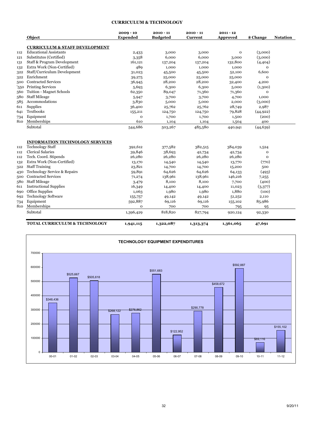#### **CURRICULUM & TECHNOLOGY**

|     | Object                                    | $2009 - 10$<br><b>Expended</b> | $2010 - 11$<br><b>Budgeted</b> | $2010 - 11$<br>Current | $2011 - 12$<br>Approved | \$ Change    | <b>Notation</b> |
|-----|-------------------------------------------|--------------------------------|--------------------------------|------------------------|-------------------------|--------------|-----------------|
|     | <b>CURRICULUM &amp; STAFF DEVELOPMENT</b> |                                |                                |                        |                         |              |                 |
| 112 | <b>Educational Assistants</b>             | 2,433                          | 3,000                          | 3,000                  | $\mathbf{o}$            | (3,000)      |                 |
| 121 | Substitutes (Certified)                   | 3,358                          | 6,000                          | 6,000                  | 3,000                   | (3,000)      |                 |
| 131 | Staff & Program Development               | 161,121                        | 137,204                        | 137,204                | 132,800                 | (4,404)      |                 |
| 132 | Extra Work (Non-Certified)                | 489                            | 1,000                          | 1,000                  | 1,000                   | $\mathbf 0$  |                 |
| 322 | Staff/Curriculum Development              | 31,023                         | 45,500                         | 45,500                 | 52,100                  | 6,600        |                 |
| 322 | Enrichment                                | 39,275                         | 25,000                         | 25,000                 | 25,000                  | $\mathbf{o}$ |                 |
| 500 | <b>Contracted Services</b>                | 36,945                         | 28,200                         | 28,200                 | 32,400                  | 4,200        |                 |
| 550 | <b>Printing Services</b>                  | 5,693                          | 6,300                          | 6,300                  | 5,000                   | (1,300)      |                 |
| 560 | <b>Tuition - Magnet Schools</b>           | 62,350                         | 89,047                         | 71,360                 | 71,360                  | $\mathbf{o}$ |                 |
| 580 | <b>Staff Mileage</b>                      | 5,947                          | 3,700                          | 3,700                  | 4,700                   | 1,000        |                 |
| 585 | Accommodations                            | 3,830                          | 5,000                          | 5,000                  | 2,000                   | (3,000)      |                 |
| 611 | Supplies                                  | 36,400                         | 25,762                         | 25,762                 | 28,749                  | 2,987        |                 |
| 641 | Textbooks                                 | 155,211                        | 124,750                        | 124,750                | 79,828                  | (44, 922)    |                 |
| 734 | Equipment                                 | o                              | 1,700                          | 1,700                  | 1,500                   | (200)        |                 |
| 810 | Memberships                               | 610                            | 1,104                          | 1,104                  | 1,504                   | 400          |                 |
|     | Subtotal                                  | 544,686                        | 503,267                        | 485,580                | 440,941                 | (44, 639)    |                 |
|     | <b>INFORMATION TECHNOLOGY SERVICES</b>    |                                |                                |                        |                         |              |                 |
| 112 | <b>Technology Staff</b>                   | 392,612                        | 377,582                        | 382,515                | 384,039                 | 1,524        |                 |
| 112 | <b>Clerical Salaries</b>                  | 39,846                         | 38,693                         | 42,734                 | 42,734                  | o            |                 |
| 112 | Tech. Coord. Stipends                     | 26,280                         | 26,280                         | 26,280                 | 26,280                  | $\mathbf{O}$ |                 |
| 132 | Extra Work (Non-Certified)                | 13,170                         | 14,540                         | 14,540                 | 13,770                  | (770)        |                 |
| 322 | <b>Staff Training</b>                     | 23,821                         | 14,700                         | 14,700                 | 15,200                  | 500          |                 |
| 430 | <b>Technology Service &amp; Repairs</b>   | 59,891                         | 64,626                         | 64,626                 | 64,133                  | (493)        |                 |
| 500 | <b>Contracted Services</b>                | 71,274                         | 138,961                        | 138,961                | 146,216                 | 7,255        |                 |
| 580 | <b>Staff Mileage</b>                      | 3,479                          | 8,100                          | 8,100                  | 7,700                   | (400)        |                 |
| 611 | <b>Instructional Supplies</b>             | 16,349                         | 14,400                         | 14,400                 | 11,023                  | (3,377)      |                 |
| 690 | Office Supplies                           | 1,063                          | 1,980                          | 1,980                  | 1,880                   | (100)        |                 |
| 692 | <b>Technology Software</b>                | 155,757                        | 49,142                         | 49,142                 | 51,252                  | 2,110        |                 |
| 734 | Equipment                                 | 592,887                        | 69,116                         | 69,116                 | 155,102                 | 85,986       |                 |
| 810 | Memberships                               | o                              | 700                            | 700                    | 795                     | 95           |                 |
|     | Subtotal                                  | 1,396,429                      | 818,820                        | 827,794                | 920,124                 | 92,330       |                 |
|     | <b>TOTAL CURRICULUM &amp; TECHNOLOGY</b>  | 1,941,115                      | 1,322,087                      | 1,313,374              | 1,361,065               | 47,691       |                 |

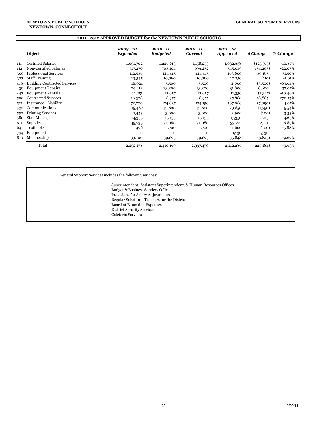#### **NEWTOWN, CONNECTICUT NEWTOWN PUBLIC SCHOOLS**

|     |                                     | 2011 - 2012 APPROVED BUDGET for the NEWTOWN PUBLIC SCHOOLS |                                |                             |                                |            |           |
|-----|-------------------------------------|------------------------------------------------------------|--------------------------------|-----------------------------|--------------------------------|------------|-----------|
|     | Object                              | $2009 - 10$<br>Expended                                    | $2010 - 11$<br><b>Budgeted</b> | 2010 - 11<br><b>Current</b> | $2011 - 12$<br><b>Approved</b> | \$ Change  | % Change  |
| 111 | Certified Salaries                  | 1,051,702                                                  | 1,226,613                      | 1,158,253                   | 1,032,338                      | (125, 915) | $-10.87%$ |
| 112 | Non-Certified Salaries              | 717,270                                                    | 703,104                        | 699,252                     | 545,049                        | (154, 203) | $-22.05%$ |
| 300 | <b>Professional Services</b>        | 112,538                                                    | 124,415                        | 124,415                     | 163,600                        | 39,185     | 31.50%    |
| 322 | <b>Staff Training</b>               | 13,345                                                     | 10,860                         | 10,860                      | 10,750                         | (110)      | $-1.01%$  |
| 410 | <b>Building Contracted Services</b> | 18,021                                                     | 5,500                          | 5,500                       | 2,000                          | (3,500)    | $-63.64%$ |
| 430 | <b>Equipment Repairs</b>            | 24,412                                                     | 23,200                         | 23,200                      | 31,800                         | 8,600      | 37.07%    |
| 442 | <b>Equipment Rentals</b>            | 11,251                                                     | 12,657                         | 12,657                      | 11,330                         | (1,327)    | $-10.48%$ |
| 500 | <b>Contracted Services</b>          | 20,328                                                     | 6,975                          | 6,975                       | 25,860                         | 18,885     | 270.75%   |
| 521 | Insurance - Liability               | 172,720                                                    | 174,637                        | 174,150                     | 167,060                        | (7,090)    | $-4.07%$  |
| 530 | Communications                      | 15,467                                                     | 31,600                         | 31,600                      | 29,850                         | (1,750)    | $-5.54%$  |
| 550 | <b>Printing Services</b>            | 1,453                                                      | 3,000                          | 3,000                       | 2,900                          | (100)      | $-3.33%$  |
| 580 | <b>Staff Mileage</b>                | 14,335                                                     | 15,135                         | 15,135                      | 17,350                         | 2,215      | 14.63%    |
| 611 | Supplies                            | 45,739                                                     | 31,080                         | 31,080                      | 33,221                         | 2,141      | 6.89%     |
| 641 | Textbooks                           | 496                                                        | 1,700                          | 1,700                       | 1,600                          | (100)      | $-5.88%$  |
| 734 | Equipment                           | $\Omega$                                                   | $\Omega$                       | $\Omega$                    | 1,730                          | 1,730      |           |
| 810 | Memberships                         | 33,100                                                     | 39,693                         | 39,693                      | 35,848                         | (3,845)    | $-9.69%$  |
|     | Total                               | 2,252,178                                                  | 2,410,169                      | 2,337,470                   | 2,112,286                      | (225, 184) | $-9.63%$  |

General Support Services includes the following services:

Superintendent, Assistant Superintendent, & Human Resources Offices Budget & Business Services Office Provisions for Salary Adjustments Regular Substitute Teachers for the District Board of Education Expenses District Security Services Cafeteria Services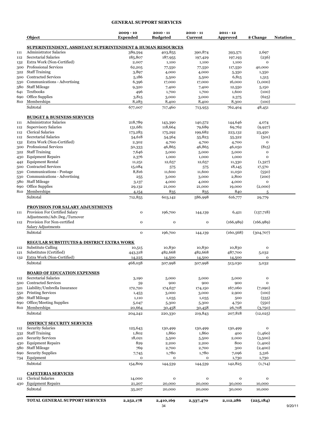#### **GENERAL SUPPORT SERVICES**

|     | Object                                                     | $2009 - 10$<br><b>Expended</b> | $2010 - 11$<br><b>Budgeted</b> | $2010 - 11$<br>Current | $2011 - 12$<br>Approved | \$ Change        | <b>Notation</b> |
|-----|------------------------------------------------------------|--------------------------------|--------------------------------|------------------------|-------------------------|------------------|-----------------|
|     | SUPERINTENDENT, ASSISTANT SUPERINTENDENT & HUMAN RESOURCES |                                |                                |                        |                         |                  |                 |
| 111 | <b>Administrator Salaries</b>                              | 389,594                        | 403,855                        | 390,874                | 393,571                 | 2,697            |                 |
| 112 | Secretarial Salaries                                       | 185,807                        | 187,955                        | 197,429                | 197,193                 | (236)            |                 |
| 132 | Extra Work (Non-Certified)                                 | 2,007                          | 1,100                          | 1,100                  | 1,100                   | $\mathbf{o}$     |                 |
| 300 | <b>Professional Services</b>                               | 62,205                         | 77,550                         | 77,550                 | 117,550                 | 40,000           |                 |
|     | 322 Staff Training                                         | 3,897                          | 4,000                          | 4,000                  | 5,350                   | 1,350            |                 |
| 500 | <b>Contracted Services</b>                                 | 5,186                          | 5,500                          | 5,500                  | 6,815                   | 1,315            |                 |
| 530 | Communications - Advertising                               | 6,396                          | 17,000                         | 17,000                 | 16,000                  | (1,000)          |                 |
| 580 | <b>Staff Mileage</b>                                       | 9,320                          | 7,400                          | 7,400                  | 12,550                  | 5,150            |                 |
| 641 | Textbooks                                                  | 496                            | 1,700                          | 1,700                  | 1,600                   | (100)            |                 |
| 690 | Office Supplies                                            | 3,815                          | 3,000                          | 3,000                  | 2,375                   | (625)            |                 |
| 810 | Memberships                                                | 8,283                          | 8,400                          | 8,400                  | 8,300                   | (100)            |                 |
|     | Subtotal                                                   | 677,007                        | 717,460                        | 713,953                | 762,404                 | 48,451           |                 |
|     | <b>BUDGET &amp; BUSINESS SERVICES</b>                      |                                |                                |                        |                         |                  |                 |
| 111 | <b>Administrator Salaries</b>                              | 218,789                        | 143,390                        | 140,572                | 144,646                 | 4,074            |                 |
| 112 | <b>Supervisory Salaries</b>                                | 131,681                        | 118,664                        | 79,689                 | 69,762                  | (9,927)          |                 |
| 112 | <b>Clerical Salaries</b>                                   | 173,283                        | 175,292                        | 199,682                | 223,132                 | 23,450           |                 |
|     | Secretarial Salaries                                       |                                |                                |                        |                         |                  |                 |
| 112 |                                                            | 54,618                         | 54,564                         | 55,823                 | 55,322                  | (501)            |                 |
| 132 | Extra Work (Non-Certified)                                 | 2,302                          | 4,700                          | 4,700                  | 4,700                   | $\mathbf 0$      |                 |
| 300 | <b>Professional Services</b>                               | 50,333                         | 46,865                         | 46,865                 | 46,050                  | (815)            |                 |
| 322 | <b>Staff Training</b>                                      | 7,646                          | 5,000                          | 5,000                  | 5,000                   | $\mathbf{o}$     |                 |
| 430 | <b>Equipment Repairs</b>                                   | 2,376                          | 1,000                          | 1,000                  | 1,000                   | $\mathbf{o}$     |                 |
| 442 | <b>Equipment Rental</b>                                    | 11,251                         | 12,657                         | 12,657                 | 11,330                  | (1,327)          |                 |
| 500 | <b>Contracted Services</b>                                 | 15,084                         | 575                            | 575                    | 18,145                  | 17,570           |                 |
| 530 | Communications - Postage                                   | 8,816                          | 11,600                         | 11,600                 | 11,050                  | (550)            |                 |
| 530 | Communications - Advertising                               | 255                            | 3,000                          | 3,000                  | 2,800                   | (200)            |                 |
| 580 | <b>Staff Mileage</b>                                       | 3,137                          | 4,000                          | 4,000                  | 4,000                   | $\mathbf 0$      |                 |
|     |                                                            |                                |                                |                        |                         |                  |                 |
| 690 | Office Supplies                                            | 29,132                         | 21,000                         | 21,000                 | 19,000                  | (2,000)          |                 |
| 810 | Memberships                                                | 4,154                          | 835                            | 835                    | 840                     | 5                |                 |
|     | Subtotal                                                   | 712,855                        | 603,142                        | 586,998                | 616,777                 | 29,779           |                 |
|     | <b>PROVISION FOR SALARY ADJUSTMENTS</b>                    |                                |                                |                        |                         |                  |                 |
| 111 | Provision For Certified Salary                             | $\mathbf{o}$                   | 196,700                        | 144,139                | 6,421                   | (137,718)        |                 |
|     | Adjustments/Adv.Deg./Turnover                              |                                |                                |                        |                         |                  |                 |
| 112 | Provision For Non-certified                                | $\mathbf{o}$                   | o                              | $\mathbf 0$            | (166,989)               | (166, 989)       |                 |
|     | Salary Adjustments                                         |                                |                                |                        |                         |                  |                 |
|     | Subtotal                                                   | $\mathbf 0$                    | 196,700                        | 144,139                | (160, 568)              | (304,707)        |                 |
|     | <b>REGULAR SUBSTITUTES &amp; DISTRICT EXTRA WORK</b>       |                                |                                |                        |                         |                  |                 |
| 112 | Substitute Calling                                         | 10,515                         | 10,830                         | 10,830                 | 10,830                  | $\mathbf{o}$     |                 |
| 121 | Substitutes (Certified)                                    | 443,318                        | 482,668                        | 482,668                | 487,700                 | 5,032            |                 |
| 132 | Extra Work (Non-Certified)                                 | 14,225                         | 14,500                         | 14,500                 | 14,500                  | o                |                 |
|     | Subtotal                                                   | 468,058                        | 507,998                        | 507,998                | 513,030                 | 5,032            |                 |
|     | <b>BOARD OF EDUCATION EXPENSES</b>                         |                                |                                |                        |                         |                  |                 |
| 112 | Secretarial Salaries                                       | 3,190                          | 5,000                          | 5,000                  | 5,000                   | $\mathbf{o}$     |                 |
|     | <b>Contracted Services</b>                                 |                                | 900                            | 900                    | 900                     | 0                |                 |
| 500 | Liability/Umbrella Insurance                               | 59                             |                                |                        |                         |                  |                 |
| 521 |                                                            | 172,720                        | 174,637                        | 174,150                | 167,060                 | (7,090)          |                 |
| 550 | <b>Printing Services</b>                                   | 1,453                          | 3,000                          | 3,000                  | 2,900                   | (100)            |                 |
| 580 | <b>Staff Mileage</b>                                       | 1,110                          | 1,035                          | 1,035                  | 500                     | (535)            |                 |
| 690 | Office/Meeting Supplies                                    | 5,047                          | 5,300                          | 5,300                  | 4,750                   | (550)            |                 |
| 810 | Memberships<br>Subtotal                                    | 20,664                         | 30,458                         | 30,458                 | 26,708                  | (3,750)          |                 |
|     |                                                            | 204,242                        | 220,330                        | 219,843                | 207,818                 | (12, 025)        |                 |
|     | <b>DISTRICT SECURITY SERVICES</b>                          |                                |                                |                        |                         |                  |                 |
| 112 | <b>Security Salaries</b>                                   | 125,643                        | 130,499                        | 130,499                | 130,499                 | $\mathbf 0$      |                 |
|     | 332 Staff Training                                         | 1,802                          | 1,860                          | 1,860                  | 400                     | (1,460)          |                 |
| 410 | <b>Security Services</b>                                   | 18,021                         | 5,500                          | 5,500                  | 2,000                   | (3,500)          |                 |
| 430 | <b>Equipment Repairs</b>                                   | 829                            | 2,200                          | 2,200                  | 800                     | (1,400)          |                 |
| 580 | <b>Staff Mileage</b>                                       | 769                            | 2,700                          | 2,700                  | 300                     | (2,400)          |                 |
|     | <b>Security Supplies</b>                                   |                                |                                |                        |                         |                  |                 |
| 690 |                                                            | 7,745                          | 1,780                          | 1,780                  | 7,096                   | 5,316            |                 |
| 734 | Equipment<br>Subtotal                                      | o<br>154,809                   | o<br>144,539                   | o<br>144,539           | 1,730<br>142,825        | 1,730<br>(1,714) |                 |
|     |                                                            |                                |                                |                        |                         |                  |                 |
|     | <b>CAFETERIA SERVICES</b>                                  |                                |                                |                        |                         |                  |                 |
| 112 | <b>Clerical Salaries</b>                                   | 14,000                         | o                              | $\mathbf{o}$           | 0                       | $\mathbf{o}$     |                 |
| 430 | <b>Equipment Repairs</b><br>Subtotal                       | 21,207<br>35,207               | 20,000<br>20,000               | 20,000<br>20,000       | 30,000<br>30,000        | 10,000<br>10,000 |                 |
|     |                                                            |                                |                                |                        |                         |                  |                 |
|     | <b>TOTAL GENERAL SUPPORT SERVICES</b>                      | 2,252,178                      | 2,410,169                      | 2,337,470              | 2,112,286               | (225, 184)       |                 |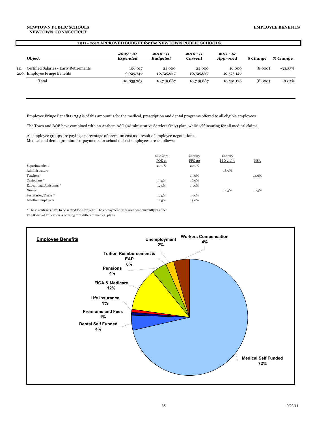|     | 2011 - 2012 APPROVED BUDGET for the NEWTOWN PUBLIC SCHOOLS             |                                |                                |                        |                                |           |            |  |
|-----|------------------------------------------------------------------------|--------------------------------|--------------------------------|------------------------|--------------------------------|-----------|------------|--|
|     | Object                                                                 | $2009 - 10$<br><b>Expended</b> | $2010 - 11$<br><b>Budgeted</b> | $2010 - 11$<br>Current | $2011 - 12$<br><b>Approved</b> | \$ Change | % Change   |  |
| 111 | Certified Salaries - Early Retirements<br>200 Employee Fringe Benefits | 106,017<br>9,929,746           | 24,000<br>10,725,687           | 24,000<br>10,725,687   | 16.000<br>10,575,126           | (8,000)   | $-33.33\%$ |  |
|     | Total                                                                  | 10,035,763                     | 10,749,687                     | 10,749,687             | 10,591,126                     | (8,000)   | $-0.07%$   |  |

Employee Fringe Benefits - 75.5% of this amount is for the medical, prescription and dental programs offered to all eligible employees.

The Town and BOE have combined with an Anthem ASO (Administrative Services Only) plan, while self insuring for all medical claims.

All employee groups are paying a percentage of premium cost as a result of employee negotiations. Medical and dental premium co-payments for school district employees are as follows:

| Superintendent                 | Blue Care<br>POE 15<br>20.0% | Century<br>PPO <sub>20</sub><br>20.0% | Century<br>PPO 25/30 | <b>HSA</b> |
|--------------------------------|------------------------------|---------------------------------------|----------------------|------------|
| Administrators                 |                              |                                       | 18.0%                |            |
| Teachers                       |                              | 19.0%                                 |                      | 14.0%      |
| Custodians*                    | 13.5%                        | 16.0%                                 |                      |            |
| <b>Educational Assistants*</b> | 12.5%                        | 15.0%                                 |                      |            |
| <b>Nurses</b>                  |                              |                                       | 13.5%                | 10.5%      |
| Secretaries/Clerks *           | 12.5%                        | 15.0%                                 |                      |            |
| All other employees            | 12.5%                        | 15.0%                                 |                      |            |

\* These contracts have to be settled for next year. The co-payment rates are those currently in effect.

The Board of Education is offering four different medical plans.

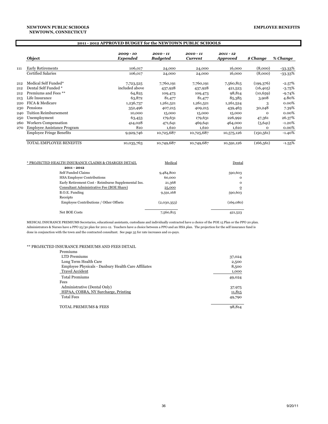|     | Object                                                              | $2009 - 10$<br><b>Expended</b> | $2010 - 11$<br><b>Budgeted</b> | 2010 - 11<br><b>Current</b> | $2011 - 12$<br><b>Approved</b> | \$ Change   | % Change  |
|-----|---------------------------------------------------------------------|--------------------------------|--------------------------------|-----------------------------|--------------------------------|-------------|-----------|
| 111 | <b>Early Retirements</b>                                            | 106,017                        | 24,000                         | 24,000                      | 16.000                         | (8,000)     | -33.33%   |
|     | <b>Certified Salaries</b>                                           | 106,017                        | 24,000                         | 24,000                      | 16,000                         | (8,000)     | $-33.33%$ |
| 212 | Medical Self Funded*                                                | 7,723,525                      | 7,760,191                      | 7,760,191                   | 7,560,815                      | (199,376)   | $-2.57\%$ |
| 212 | Dental Self Funded *                                                | included above                 | 437,928                        | 437,928                     | 421,523                        | (16, 405)   | $-3.75%$  |
| 212 | Premiums and Fees **                                                | 64,825                         | 109,473                        | 109,473                     | 98,814                         | (10, 659)   | $-9.74%$  |
| 213 | Life Insurance                                                      | 63,872                         | 81,477                         | 81,477                      | 85,385                         | 3,908       | 4.80%     |
| 220 | FICA & Medicare                                                     | 1,236,737                      | 1,261,521                      | 1,261,521                   | 1,261,524                      | 3           | 0.00%     |
| 230 | Pensions                                                            | 352,496                        | 407,215                        | 409,215                     | 439,463                        | 30,248      | 7.39%     |
| 240 | <b>Tuition Reimbursement</b>                                        | 10,000                         | 15,000                         | 15,000                      | 15,000                         | $\mathbf 0$ | 0.00%     |
| 250 | Unemployment                                                        | 63,453                         | 179,631                        | 179,631                     | 226,992                        | 47,361      | 26.37%    |
| 260 | <b>Workers Compensation</b>                                         | 414,028                        | 471,641                        | 469,641                     | 464,000                        | (5,641)     | $-1.20%$  |
| 270 | <b>Employee Assistance Program</b>                                  | 810                            | 1.610                          | 1,610                       | 1.610                          | $\Omega$    | $0.00\%$  |
|     | <b>Employee Fringe Benefits</b>                                     | 9,929,746                      | 10,725,687                     | 10,725,687                  | 10,575,126                     | (150, 561)  | $-1.40%$  |
|     | TOTAL EMPLOYEE BENEFITS                                             | 10,035,763                     | 10,749,687                     | 10,749,687                  | 10,591,126                     | (166, 561)  | $-1.55%$  |
|     | * PROJECTED HEALTH INSURANCE CLAIMS & CHARGES DETAIL<br>2011 - 2012 |                                | Medical                        |                             | Dental                         |             |           |

| 2011 - 2012                                         |             |           |
|-----------------------------------------------------|-------------|-----------|
| Self Funded Claims                                  | 9,484,800   | 590,603   |
| <b>HSA Employer Contributions</b>                   | 60,000      | $\Omega$  |
| Early Retirement Cost - Reimburse Supplemental Ins. | 21,368      | $\Omega$  |
| Consultant Administrative Fee (BOE Share)           | 25,000      | $\Omega$  |
| B.O.E. Funding                                      | 9,591,168   | 590,603   |
| Receipts                                            |             |           |
| Employee Contributions / Other Offsets              | (2,030,353) | (169,080) |
| <b>Net BOE Costs</b>                                | 7,560,815   | 421,523   |

MEDICAL INSURANCE PREMIUMS Secretaries, educational assistants, custodians and individually contracted have a choice of the POE 15 Plan or the PPO 20 plan. Administrators & Nurses have a PPO 25/30 plan for 2011-12. Teachers have a choice between a PPO and an HSA plan. The projection for the self insurance fund is done in conjunction with the town and the contracted consultant. See page 35 for rate increases and co-pays.

#### \*\* PROJECTED INSURANCE PREMIUMS AND FEES DETAIL

| Premiums                                            |        |
|-----------------------------------------------------|--------|
| <b>LTD Premiums</b>                                 | 37,024 |
| Long Term Health Care                               | 2,500  |
| Employee Physicals - Danbury Health Care Affiliates | 8,500  |
| <b>Travel Accident</b>                              | 1,000  |
| <b>Total Premiums</b>                               | 49,024 |
| Fees                                                |        |
| Administrative (Dental Only)                        | 37,975 |
| HIPAA, COBRA, NY Surcharge, Printing                | 11,815 |
| <b>Total Fees</b>                                   | 49,790 |
|                                                     |        |
| <b>TOTAL PREMIUMS &amp; FEES</b>                    | 98,814 |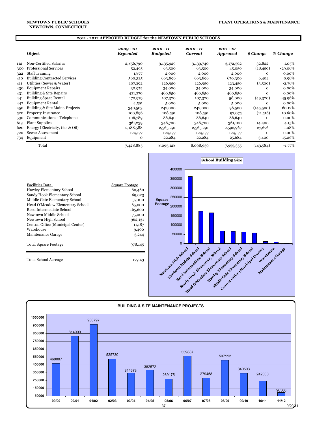#### **2011 - 2012 APPROVED BUDGET for the NEWTOWN PUBLIC SCHOOLS**

|     | Object                              | $2009 - 10$<br>Expended | $2010 - 11$<br><b>Budgeted</b> | 2010 - 11<br><b>Current</b> | $2011 - 12$<br><b>Approved</b> | \$ Change | % Change   |
|-----|-------------------------------------|-------------------------|--------------------------------|-----------------------------|--------------------------------|-----------|------------|
| 112 | Non-Certified Salaries              | 2,856,790               | 3,135,929                      | 3,139,740                   | 3,172,562                      | 32,822    | $1.05\%$   |
| 300 | <b>Professional Services</b>        | 52,495                  | 63,500                         | 63,500                      | 45,050                         | (18, 450) | -29.06%    |
| 322 | <b>Staff Training</b>               | 1,877                   | 2,000                          | 2,000                       | 2,000                          | 0         | $0.00\%$   |
| 410 | <b>Building Contracted Services</b> | 560,325                 | 663,896                        | 663,896                     | 670,300                        | 6,404     | 0.96%      |
| 411 | Utilities (Sewer & Water)           | 107,392                 | 126,950                        | 126,950                     | 123,450                        | (3,500)   | $-2.76%$   |
| 430 | <b>Equipment Repairs</b>            | 30,974                  | 34,000                         | 34,000                      | 34,000                         | 0         | $0.00\%$   |
| 431 | Building & Site Repairs             | 421,270                 | 460,850                        | 460,850                     | 460,850                        | 0         | 0.00%      |
| 441 | <b>Building Space Rental</b>        | 170,979                 | 107,320                        | 107,320                     | 58,000                         | (49,320)  | -45.96%    |
| 442 | <b>Equipment Rental</b>             | 4,591                   | 5,000                          | 5,000                       | 5,000                          | $\Omega$  | $0.00\%$   |
| 450 | Building & Site Maint. Projects     | 340,503                 | 242,000                        | 242,000                     | 96,500                         | (145,500) | $-60.12\%$ |
| 520 | <b>Property Insurance</b>           | 100,896                 | 108,591                        | 108,591                     | 97,075                         | (11,516)  | $-10.60%$  |
| 530 | Communications - Telephone          | 106,789                 | 86,640                         | 86,640                      | 86,640                         | 0         | 0.00%      |
| 613 | <b>Plant Supplies</b>               | 361,239                 | 346,700                        | 346,700                     | 361,100                        | 14,400    | 4.15%      |
| 620 | Energy (Electricity, Gas & Oil)     | 2,188,588               | 2,565,291                      | 2,565,291                   | 2,592,967                      | 27,676    | 1.08%      |
| 720 | Sewer Assessment                    | 124,177                 | 124,177                        | 124,177                     | 124,177                        | 0         | $0.00\%$   |
| 734 | Equipment                           | 0                       | 22,284                         | 22,284                      | 25,684                         | 3,400     | 15.26%     |
|     | Total                               | 7,428,885               | 8,095,128                      | 8,098,939                   | 7,955,355                      | (143,584) | $-1.77\%$  |

| 350000                                                                 |                 |
|------------------------------------------------------------------------|-----------------|
| <b>Facilities Data:</b><br><b>Square Footage</b><br>300000             |                 |
| Hawley Elementary School<br>60,460                                     |                 |
| Sandy Hook Elementary School<br>69,023<br>250000                       |                 |
| Middle Gate Elementary School<br><b>Square</b><br>57,100               |                 |
| <b>Footage</b><br>Head O'Meadow Elementary School<br>65,000<br>200000  |                 |
| Reed Intermediate School<br>165,600                                    |                 |
| Newtown Middle School<br>175,000<br>150000                             |                 |
| Newtown High School<br>362,131                                         |                 |
| Central Office (Municipal Center)<br>11,187<br>100000                  |                 |
| Warehouse<br>9,400                                                     |                 |
| 50000<br>Maintenance Garage<br>3,244                                   |                 |
|                                                                        |                 |
| $\mathbf{0}$<br><b>Total Square Footage</b><br>978,145                 |                 |
|                                                                        |                 |
|                                                                        |                 |
| <b>Total School Acreage</b><br>179.43                                  |                 |
|                                                                        |                 |
| Internetial Gotpool School<br>ionn niddle school<br>Elenenteria School | Weneverse Gener |



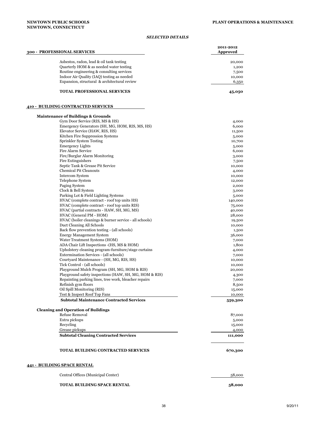#### *SELECTED DETAILS*

| 300 - PROFESSIONAL SERVICES                                                         | 2011-2012<br><b>Approved</b> |
|-------------------------------------------------------------------------------------|------------------------------|
| Asbestos, radon, lead & oil tank testing                                            | 20,000                       |
| Quarterly HOM & as needed water testing                                             | 1,200                        |
| Routine engineering & consulting services                                           | 7,500                        |
| Indoor Air Quality (IAQ) testing as needed                                          | 10,000                       |
| Expansion, structural & architectural review                                        | 6,350                        |
| <b>TOTAL PROFESSIONAL SERVICES</b>                                                  | 45,050                       |
| 410 - BUILDING CONTRACTED SERVICES                                                  |                              |
| <b>Maintenance of Buildings &amp; Grounds</b>                                       |                              |
| Gym Door Service (RIS, MS & HS)                                                     | 4,000                        |
| Emergency Generators (SH, MG, HOM, RIS, MS, HS)                                     | 6,000                        |
| Elevator Service (HAW, RIS, HS)                                                     | 11,500                       |
| Kitchen Fire Suppression Systems                                                    | 5,000                        |
| Sprinkler System Testing                                                            | 10,700                       |
| <b>Emergency Lights</b>                                                             | 5,000                        |
| Fire Alarm Service<br>Fire/Burglar Alarm Monitoring                                 | 6,000                        |
| Fire Extinguishers                                                                  | 3,000<br>7,500               |
| Septic Tank & Grease Pit Service                                                    | 10,000                       |
| <b>Chemical Pit Cleanouts</b>                                                       | 4,000                        |
| <b>Intercom System</b>                                                              | 10,000                       |
| Telephone System                                                                    | 12,000                       |
| Paging System                                                                       | 2,000                        |
| Clock & Bell System                                                                 | 3,000                        |
| Parking Lot & Field Lighting Systems                                                | 5,000                        |
| HVAC (complete contract - roof top units HS)                                        | 140,000                      |
| HVAC (complete contract - roof top units RIS)                                       | 75,000                       |
| HVAC (partial contracts - HAW, SH, MG, MS)                                          | 40,000                       |
| HVAC (General PM - HOM)                                                             | 28,000                       |
| HVAC (boiler cleanings & burner service - all schools)<br>Duct Cleaning All Schools | 19,500                       |
| Back flow prevention testing - (all schools)                                        | 10,000                       |
| <b>Energy Management System</b>                                                     | 1,500<br>36,000              |
| Water Treatment Systems (HOM)                                                       | 7,000                        |
| ADA Chair Lift Inspections -(HS, MS & HOM)                                          | 1,800                        |
| Upholstery cleaning program-furniture/stage curtains                                | 4,000                        |
| Extermination Services - (all schools)                                              | 7,000                        |
| Courtyard Maintenance - (SH, MG, RIS, HS)                                           | 10,000                       |
| Tick Control - (all schools)                                                        | 10,000                       |
| Playground Mulch Program (SH, MG, HOM & RIS)                                        | 20,000                       |
| Playground safety inspections (HAW, SH, MG, HOM & RIS)                              | 4,300                        |
| Repainting parking lines, tree work, bleacher repairs                               | 7,000                        |
| Refinish gym floors                                                                 | 8,500                        |
| Oil Spill Monitoring (RIS)<br>Test & Inspect Roof Top Fans                          | 15,000<br>10,000             |
| <b>Subtotal Maintenance Contracted Services</b>                                     | 559,300                      |
| <b>Cleaning and Operation of Buildings</b>                                          |                              |
| <b>Refuse Removal</b><br>Extra pickups                                              | 87,000                       |
| Recycling                                                                           | 5,000                        |
| Grease pickups                                                                      | 15,000<br>4,000              |
| <b>Subtotal Cleaning Contracted Services</b>                                        | 111,000                      |
|                                                                                     |                              |
| <b>TOTAL BUILDING CONTRACTED SERVICES</b>                                           | 670,300                      |
| <u> 441 - BUILDING SPACE RENTAL</u>                                                 |                              |
| Central Offices (Municipal Center)                                                  | 58,000                       |
| <b>TOTAL BUILDING SPACE RENTAL</b>                                                  | 58,000                       |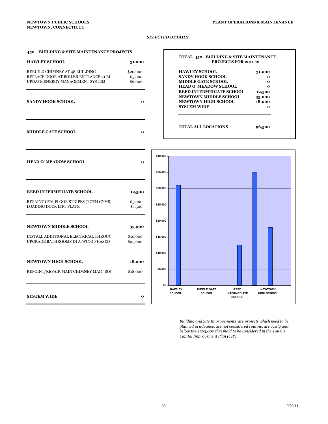#### *SELECTED DETAILS*

#### **450 - BUILDING & SITE MAINTENANCE PROJECTS**

| <b>HAWLEY SCHOOL</b>                                                                                       | 31,000                         |
|------------------------------------------------------------------------------------------------------------|--------------------------------|
| REBUILD CHIMNEY AT 48 BUILDING<br>REPLACE DOOR AT BOILER ENTRANCE 21 BU<br>UPDATE ENERGY MANAGEMENT SYSTEM | \$20,000<br>\$5,000<br>\$6,000 |
| $0.1$ MIDIZITO OIZ QOITO OI                                                                                |                                |

**MIDDLE GATE SCHOOL 0**

#### **TOTAL 450 - BUILDING & SITE MAINTENANCE PROJECTS FOR 2011-12** HAWLEY SCHOOL 31,000 **SANDY HOOK SCHOOL 0000** MIDDLE GATE SCHOOL **0 HEAD O' MEADOW SCHOOL 0 REED INTERMEDIATE SCHOOL 12,500 NEWTOWN MIDDLE SCHOOL 35,000 SANDY HOOK SCHOOL 6 0 0 18,000** NEWTOWN HIGH SCHOOL 18,000 **SYSTEM WIDE** 0 **TOTAL ALL LOCATIONS 96,500**

**HEAD O' MEADOW SCHOOL 0 REED INTERMEDIATE SCHOOL 12,500** REPAINT GYM FLOOR STRIPES (BOTH GYMS) \$5,000 LOADING DOCK LIFT PLATE \$7,500 **NEWTOWN MIDDLE SCHOOL 35,000** INSTALL ADDITIONAL ELECTRICAL THROUG \$10,000 UPGRADE BATHROOMS IN A-WING PHASED \$25,000 **NEWTOWN HIGH SCHOOL 18,000** REPOINT/REPAIR MAIN CHIMNEY MAIN BOI \$18,000 **SYSTEM WIDE 0**



 *Building and Site Improvements' are projects which need to be planned in advance, are not considered routine, are costly and below the \$263,000 threshold to be considered in the Town's Capital Improvement Plan (CIP).*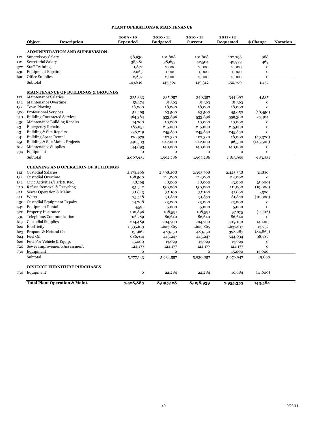#### **PLANT OPERATIONS & MAINTENANCE**

|     | Object                                    | <b>Description</b>                            | $2009 - 10$<br><b>Expended</b> | $2010 - 11$<br><b>Budgeted</b> | $2010 - 11$<br>Current | $2011 - 12$<br>Requested | \$ Change    | <b>Notation</b> |
|-----|-------------------------------------------|-----------------------------------------------|--------------------------------|--------------------------------|------------------------|--------------------------|--------------|-----------------|
|     |                                           | <b>ADMINISTRATION AND SUPERVISION</b>         |                                |                                |                        |                          |              |                 |
| 112 | Supervisory Salary                        |                                               | 98,930                         | 101,808                        | 101,808                | 102,796                  | 988          |                 |
| 112 | Secretarial Salary                        |                                               | 38,281                         | 38,693                         | 42,504                 | 42,973                   | 469          |                 |
| 322 | <b>Staff Training</b>                     |                                               | 1,877                          | 2,000                          | 2,000                  | 2,000                    | $\mathbf{o}$ |                 |
| 430 | <b>Equipment Repairs</b>                  |                                               | 2,065                          | 1,000                          | 1,000                  | 1,000                    | $\mathbf{o}$ |                 |
| 690 | Office Supplies                           |                                               | 2,657                          | 2,000                          | 2,000                  | 2,000                    | $\mathbf{o}$ |                 |
|     | Subtotal                                  |                                               | 143,810                        | 145,501                        | 149,312                | 150,769                  | 1,457        |                 |
|     |                                           | <b>MAINTENANCE OF BUILDINGS &amp; GROUNDS</b> |                                |                                |                        |                          |              |                 |
| 112 | Maintenance Salaries                      |                                               | 325,333                        | 335,857                        | 340,357                | 344,892                  | 4,535        |                 |
| 132 | Maintenance Overtime                      |                                               | 56,174                         | 81,363                         | 81,363                 | 81,363                   | $\mathbf{o}$ |                 |
| 132 | <b>Town Plowing</b>                       |                                               | 18,000                         | 18,000                         | 18,000                 | 18,000                   | $\Omega$     |                 |
|     | 300 Professional Services                 |                                               | 52,495                         | 63,500                         | 63,500                 | 45,050                   | (18, 450)    |                 |
| 410 | <b>Building Contracted Services</b>       |                                               | 464,384                        | 533,896                        | 533,896                | 559,300                  | 25,404       |                 |
|     | 430 Maintenance Building Repairs          |                                               | 14,700                         | 10,000                         | 10,000                 | 10,000                   | $\Omega$     |                 |
| 431 | <b>Emergency Repairs</b>                  |                                               | 185,051                        | 215,000                        | 215,000                | 215,000                  | $\Omega$     |                 |
| 431 | Building & Site Repairs                   |                                               | 236,219                        | 245,850                        | 245,850                | 245,850                  | $\Omega$     |                 |
| 441 | <b>Building Space Rental</b>              |                                               | 170,979                        | 107,320                        | 107,320                | 58,000                   | (49,320)     |                 |
| 450 | Building & Site Maint. Projects           |                                               | 340,503                        | 242,000                        | 242,000                | 96,500                   | (145,500)    |                 |
| 613 | Maintenance Supplies                      |                                               | 144,093                        | 140,000                        | 140,000                | 140,000                  | $\mathbf{o}$ |                 |
| 734 | Equipment                                 |                                               | $\mathbf{o}$                   | $\mathbf{o}$                   | 0                      | $\mathbf{o}$             | $\mathbf{o}$ |                 |
|     | Subtotal                                  |                                               | 2,007,931                      | 1,992,786                      | 1,997,286              | 1,813,955                | $-183,331$   |                 |
|     |                                           | <b>CLEANING AND OPERATION OF BUILDINGS</b>    |                                |                                |                        |                          |              |                 |
| 112 | <b>Custodial Salaries</b>                 |                                               | 2,173,406                      | 2,398,208                      | 2,393,708              | 2,425,538                | 31,830       |                 |
| 132 | <b>Custodial Overtime</b>                 |                                               | 108,500                        | 114,000                        | 114,000                | 114,000                  | $\mathbf{o}$ |                 |
| 132 | Civic Activities/Park & Rec.              |                                               | 38,165                         | 48,000                         | 48,000                 | 43,000                   | (5,000)      |                 |
| 410 | Refuse Removal & Recycling                |                                               | 95,942                         | 130,000                        | 130,000                | 111,000                  | (19,000)     |                 |
| 411 | Sewer Operation & Maint.                  |                                               | 31,843                         | 35,100                         | 35,100                 | 41,600                   | 6,500        |                 |
| 411 | Water                                     |                                               | 75,548                         | 91,850                         | 91,850                 | 81,850                   | (10,000)     |                 |
| 430 | <b>Custodial Equipment Repairs</b>        |                                               | 14,208                         | 23,000                         | 23,000                 | 23,000                   | $\mathbf{o}$ |                 |
| 442 | <b>Equipment Rental</b>                   |                                               | 4,591                          | 5,000                          | 5,000                  | 5,000                    | $\mathbf{o}$ |                 |
|     | 520 Property Insurance                    |                                               | 100,896                        | 108,591                        | 108,591                | 97,075                   | (11,516)     |                 |
| 530 | Telephone/Communication                   |                                               | 106,789                        | 86,640                         | 86,640                 | 86,640                   | $\Omega$     |                 |
| 613 | <b>Custodial Supplies</b>                 |                                               | 214,489                        | 204,700                        | 204,700                | 219,100                  | 14,400       |                 |
| 622 | Electricity                               |                                               | 1,335,613                      | 1,623,865                      | 1,623,865              | 1,637,617                | 13,752       |                 |
| 623 | Propane & Natural Gas                     |                                               | 151,661                        | 483,150                        | 483,150                | 398,287                  | (84, 863)    |                 |
| 624 | Fuel Oil                                  |                                               | 686,314                        | 445,247                        | 445,247                | 544,034                  | 98,787       |                 |
| 626 | Fuel For Vehicle & Equip.                 |                                               | 15,000                         | 13,029                         | 13,029                 | 13,029                   | $\mathbf{o}$ |                 |
| 720 | Sewer Improvement/Assessment              |                                               | 124,177                        | 124,177                        | 124,177                | 124,177                  | $\mathbf{o}$ |                 |
| 734 | Equipment                                 |                                               | $\mathbf 0$                    | $\mathbf 0$                    | 0                      | 15,000                   | 15,000       |                 |
|     | Subtotal                                  |                                               | 5,277,143                      | 5,934,557                      | 5,930,057              | 5,979,947                | 49,890       |                 |
|     |                                           | <b>DISTRICT FURNITURE PURCHASES</b>           |                                |                                |                        |                          |              |                 |
|     |                                           |                                               |                                |                                |                        |                          |              |                 |
| 734 | Equipment                                 |                                               | $\mathbf{o}$                   | 22,284                         | 22,284                 | 10,684                   | (11,600)     |                 |
|     | <b>Total Plant Operation &amp; Maint.</b> |                                               | 7,428,885                      | 8,095,128                      | 8,098,939              | 7,955,355                | $-143,584$   |                 |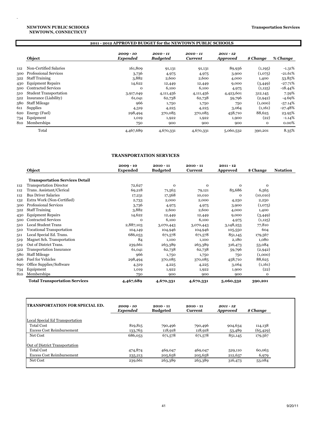#### **NEWTOWN, CONNECTICUT NEWTOWN PUBLIC SCHOOLS**

.

|     | 2011 - 2012 APPROVED BUDGET for the NEWTOWN PUBLIC SCHOOLS |                         |                                |                             |                                |              |           |  |  |
|-----|------------------------------------------------------------|-------------------------|--------------------------------|-----------------------------|--------------------------------|--------------|-----------|--|--|
|     | Object                                                     | $2009 - 10$<br>Expended | $2010 - 11$<br><b>Budgeted</b> | 2010 - 11<br><b>Current</b> | $2011 - 12$<br><b>Approved</b> | \$ Change    | % Change  |  |  |
| 112 | Non-Certified Salaries                                     | 161,809                 | 91,131                         | 91,131                      | 89,936                         | (1, 195)     | $-1.31%$  |  |  |
| 300 | <b>Professional Services</b>                               | 3,736                   | 4,975                          | 4,975                       | 3,900                          | (1,075)      | $-21.61%$ |  |  |
| 322 | <b>Staff Training</b>                                      | 3,882                   | 2,600                          | 2,600                       | 4,000                          | 1,400        | 53.85%    |  |  |
| 430 | <b>Equipment Repairs</b>                                   | 14,622                  | 12,449                         | 12,449                      | 9,000                          | (3,449)      | $-27.71%$ |  |  |
| 500 | <b>Contracted Services</b>                                 | o                       | 6,100                          | 6,100                       | 4,975                          | (1, 125)     | $-18.44%$ |  |  |
| 510 | <b>Student Transportation</b>                              | 3,917,049               | 4,111,456                      | 4,111,456                   | 4,423,601                      | 312,145      | 7.59%     |  |  |
| 522 | Insurance (Liability)                                      | 61,041                  | 62,738                         | 62,738                      | 59,796                         | (2, 942)     | $-4.69%$  |  |  |
| 580 | <b>Staff Mileage</b>                                       | 966                     | 1,750                          | 1,750                       | 750                            | (1,000)      | $-57.14%$ |  |  |
| 611 | Supplies                                                   | 4,319                   | 4,225                          | 4,225                       | 3,064                          | (1,161)      | $-27.48%$ |  |  |
| 620 | Energy (Fuel)                                              | 298,494                 | 370,085                        | 370,085                     | 458,710                        | 88,625       | 23.95%    |  |  |
| 734 | Equipment                                                  | 1,019                   | 1,922                          | 1,922                       | 1,900                          | (22)         | $-1.14%$  |  |  |
| 810 | Memberships                                                | 750                     | 900                            | 900                         | 900                            | $\mathbf{O}$ | $0.00\%$  |  |  |
|     | Total                                                      | 4,467,689               | 4,670,331                      | 4,670,331                   | 5,060,532                      | 390,201      | 8.35%     |  |  |

#### **TRANSPORTATION SERVICES**

|     |                                       | $2009 - 10$     | $2010 - 11$     | $2010 - 11$    | $2011 - 12$  |             |                 |
|-----|---------------------------------------|-----------------|-----------------|----------------|--------------|-------------|-----------------|
|     | Object                                | <b>Expended</b> | <b>Budgeted</b> | <b>Current</b> | Approved     | \$ Change   | <b>Notation</b> |
|     | <b>Transportation Services Detail</b> |                 |                 |                |              |             |                 |
| 112 | <b>Transportation Director</b>        | 72,627          | $\mathbf 0$     | $\mathbf 0$    | $\mathbf{O}$ | 0           |                 |
| 112 | Trans. Assistant/Clerical             | 69,218          | 71,563          | 79,121         | 85,686       | 6,565       |                 |
| 112 | <b>Bus Driver Salaries</b>            | 17,231          | 17,568          | 10,010         | 0            | (10, 010)   |                 |
| 132 | Extra Work (Non-Certified)            | 2,733           | 2,000           | 2,000          | 4,250        | 2,250       |                 |
| 300 | <b>Professional Services</b>          | 3,736           | 4,975           | 4,975          | 3,900        | (1,075)     |                 |
| 322 | <b>Staff Training</b>                 | 3,882           | 2,600           | 2,600          | 4,000        | 1,400       |                 |
| 430 | <b>Equipment Repairs</b>              | 14,622          | 12,449          | 12,449         | 9,000        | (3,449)     |                 |
| 500 | <b>Contracted Services</b>            | $\Omega$        | 6,100           | 6,100          | 4,975        | (1, 125)    |                 |
| 510 | <b>Local Student Trans</b>            | 2,887,103       | 3,070,443       | 3,070,443      | 3,148,253    | 77,810      |                 |
| 510 | Vocational Transportation             | 104,149         | 104,946         | 104,946        | 105,550      | 604         |                 |
| 511 | Local Special Ed. Trans.              | 686,053         | 671,578         | 671,578        | 851,145      | 179,567     |                 |
| 519 | Magnet Sch. Transportation            | 84              | 1,100           | 1,100          | 2,180        | 1,080       |                 |
| 519 | Out of District Trans.                | 239,661         | 263,389         | 263,389        | 316,473      | 53,084      |                 |
| 522 | <b>Transportation Insurance</b>       | 61,041          | 62,738          | 62,738         | 59,796       | (2,942)     |                 |
| 580 | <b>Staff Mileage</b>                  | 966             | 1,750           | 1,750          | 750          | (1,000)     |                 |
| 626 | <b>Fuel for Vehicles</b>              | 298,494         | 370,085         | 370,085        | 458,710      | 88,625      |                 |
| 690 | Office Supplies/Software              | 4,319           | 4,225           | 4,225          | 3,064        | (1,161)     |                 |
| 734 | Equipment                             | 1,019           | 1,922           | 1,922          | 1,900        | (22)        |                 |
| 810 | Memberships                           | 750             | 900             | 900            | 900          | $\mathbf 0$ |                 |
|     | <b>Total Transportation Services</b>  | 4,467,689       | 4,670,331       | 4,670,331      | 5,060,532    | 390,201     |                 |

| <b> TRANSPORTATION FOR SPECIAL ED.</b> | $2009 - 10$<br>Expended | $2010 - 11$<br><b>Budgeted</b> | $2010 - 11$<br><b>Current</b> | $2011 - 12$<br><b>Approved</b> | \$ Change |
|----------------------------------------|-------------------------|--------------------------------|-------------------------------|--------------------------------|-----------|
| <b>Local Special Ed Transportation</b> |                         |                                |                               |                                |           |
| <b>Total Cost</b>                      | 819,815                 | 790,496                        | 790,496                       | 904,634                        | 114,138   |
| <b>Excess Cost Reimbursement</b>       | 133,763                 | 118,918                        | 118,918                       | 53,489                         | (65, 429) |
| Net Cost                               | 686,053                 | 671,578                        | 671,578                       | 851,145                        | 179,567   |
| Out of District Transportation         |                         |                                |                               |                                |           |
| <b>Total Cost</b>                      | 474,874                 | 469,047                        | 469,047                       | 529,110                        | 60,063    |
| <b>Excess Cost Reimbursement</b>       | 235,213                 | 205,658                        | 205,658                       | 212,637                        | 6,979     |
| Net Cost                               | 239,661                 | 263,389                        | 263,389                       | 316,473                        | 53,084    |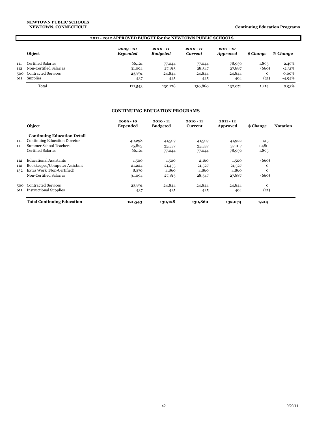|            | 2011 - 2012 APPROVED BUDGET for the NEWTOWN PUBLIC SCHOOLS |                                |                                |                               |                                |                      |                      |  |
|------------|------------------------------------------------------------|--------------------------------|--------------------------------|-------------------------------|--------------------------------|----------------------|----------------------|--|
|            | Object                                                     | $2009 - 10$<br><b>Expended</b> | $2010 - 11$<br><b>Budgeted</b> | $2010 - 11$<br><b>Current</b> | $2011 - 12$<br><b>Approved</b> | \$ Change            | % Change             |  |
| 111<br>112 | Certified Salaries<br>Non-Certified Salaries               | 66,121<br>31,094               | 77,044<br>27,815               | 77,044<br>28,547              | 78,939<br>27,887               | 1,895<br>(660)       | 2.46%<br>$-2.31%$    |  |
| 500<br>611 | <b>Contracted Services</b><br><b>Supplies</b>              | 23,891<br>437                  | 24,844<br>425                  | 24,844<br>425                 | 24,844<br>404                  | $\mathbf{o}$<br>(21) | $0.00\%$<br>$-4.94%$ |  |
|            | Total                                                      | 121,543                        | 130,128                        | 130,860                       | 132,074                        | 1,214                | 0.93%                |  |

#### **CONTINUING EDUCATION PROGRAMS**

|     | Object                               | $2009 - 10$<br><b>Expended</b> | $2010 - 11$<br><b>Budgeted</b> | $2010 - 11$<br>Current | $2011 - 12$<br>Approved | \$ Change   | <b>Notation</b> |
|-----|--------------------------------------|--------------------------------|--------------------------------|------------------------|-------------------------|-------------|-----------------|
|     | <b>Continuing Education Detail</b>   |                                |                                |                        |                         |             |                 |
| 111 | <b>Continuing Education Director</b> | 40,298                         | 41,507                         | 41,507                 | 41,922                  | 415         |                 |
| 111 | <b>Summer School Teachers</b>        | 25,823                         | 35,537                         | 35,537                 | 37,017                  | 1,480       |                 |
|     | Certified Salaries                   | 66,121                         | 77,044                         | 77,044                 | 78,939                  | 1,895       |                 |
| 112 | <b>Educational Assistants</b>        | 1,500                          | 1,500                          | 2,160                  | 1,500                   | (660)       |                 |
| 112 | Bookkeeper/Computer Assistant        | 21,224                         | 21,455                         | 21,527                 | 21,527                  | $\mathbf 0$ |                 |
| 132 | Extra Work (Non-Certified)           | 8,370                          | 4,860                          | 4,860                  | 4,860                   | $\Omega$    |                 |
|     | Non-Certified Salaries               | 31,094                         | 27,815                         | 28,547                 | 27,887                  | (660)       |                 |
| 500 | <b>Contracted Services</b>           | 23,891                         | 24,844                         | 24,844                 | 24,844                  | $\mathbf 0$ |                 |
| 611 | <b>Instructional Supplies</b>        | 437                            | 425                            | 425                    | 404                     | (21)        |                 |
|     | <b>Total Continuing Education</b>    | 121,543                        | 130,128                        | 130,860                | 132,074                 | 1,214       |                 |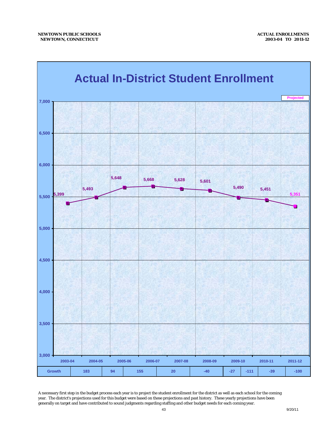

A necessary first step in the budget process each year is to project the student enrollment for the district as well as each school for the coming year. The district's projections used for this budget were based on these projections and past history. These yearly projections have been generally on target and have contributed to sound judgments regarding staffing and other budget needs for each coming year.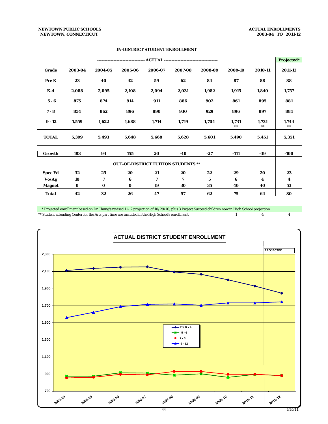#### *NEWTOWN PUBLIC SCHOOLS ACTUAL ENROLLMENTS NEWTOWN, CONNECTICUT 2003-04 TO 2011-12*

|                |          |          |          |                                            |         |         |                |                     | Projected*          |
|----------------|----------|----------|----------|--------------------------------------------|---------|---------|----------------|---------------------|---------------------|
| <b>Grade</b>   | 2003-04  | 2004-05  | 2005-06  | 2006-07                                    | 2007-08 | 2008-09 | 2009-10        | 2010-11             | 2011-12             |
| Pre K          | 23       | 40       | 42       | 59                                         | 62      | 84      | 87             | 88                  | 88                  |
| $K-4$          | 2,088    | 2,095    | 2,108    | 2,094                                      | 2,031   | 1,982   | 1,915          | 1,840               | 1,757               |
| $5 - 6$        | 875      | 874      | 914      | 911                                        | 886     | 902     | 861            | 895                 | 881                 |
| $7 - 8$        | 854      | 862      | 896      | 890                                        | 930     | 929     | 896            | 897                 | 881                 |
| $9 - 12$       | 1,559    | 1,622    | 1,688    | 1,714                                      | 1,719   | 1,704   | 1,731<br>$***$ | 1,731<br>$\ast\ast$ | 1,744<br>$\ast\ast$ |
| <b>TOTAL</b>   | 5,399    | 5,493    | 5,648    | 5,668                                      | 5,628   | 5,601   | 5,490          | 5,451               | 5,351               |
| Growth         | 183      | 94       | 155      | 20                                         | -40     | $-27$   | $-111$         | $-39$               | $-100$              |
|                |          |          |          | <b>OUT-OF-DISTRICT TUITION STUDENTS **</b> |         |         |                |                     |                     |
| <b>Spec Ed</b> | 32       | 25       | 20       | 21                                         | 20      | 22      | 29             | 20                  | 23                  |
| Vo/Ag          | 10       | 7        | 6        | 7                                          | 7       | 5       | 6              | 4                   | 4                   |
| <b>Magnet</b>  | $\bf{0}$ | $\bf{0}$ | $\bf{0}$ | 19                                         | 30      | 35      | 40             | 40                  | 53                  |
| <b>Total</b>   | 42       | 32       | 26       | 47                                         | 57      | 62      | 75             | 64                  | 80                  |

#### **IN-DISTRICT STUDENT ENROLLMENT**

\* Projected enrollment based on Dr Chung's revised 11-12 projection of 10/29/10, plus 3 Project Succeed children now in High School projection<br>\*\* Student attending Center for the Arts part time are included in the High Sc \*\* Student attending Center for the Arts part time are included in the High School's enrollment 14444

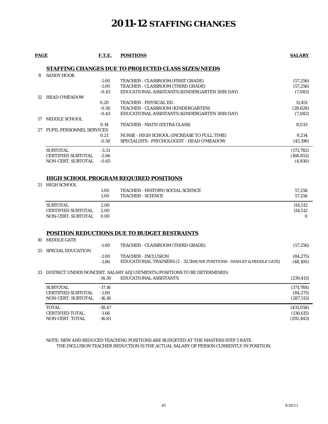## **2011-12 STAFFING CHANGES**

| PAGE | <b>F.T.E.</b> | <b>POSITIONS</b> | <b>SALARY</b> |
|------|---------------|------------------|---------------|
|------|---------------|------------------|---------------|

#### **STAFFING CHANGES DUE TO PROJECTED CLASS SIZES/NEEDS**

| 8  | <b>SANDY HOOK</b>         |         |                                               |            |
|----|---------------------------|---------|-----------------------------------------------|------------|
|    |                           | $-1.00$ | TEACHER - CLASSROOM (FIRST GRADE)             | (57, 256)  |
|    |                           | $-1.00$ | TEACHER - CLASSROOM (THIRD GRADE)             | (57, 256)  |
|    |                           | $-0.43$ | EDUCATIONAL ASSISTANTS (KINDERGARTEN 3HR/DAY) | (7,082)    |
|    | 12 HEAD O'MEADOW          |         |                                               |            |
|    |                           | 0.20    | <b>TEACHER - PHYSICAL ED.</b>                 | 11.451     |
|    |                           | $-0.50$ | TEACHER - CLASSROOM (KINDERGARTEN)            | (28, 628)  |
|    |                           | $-0.43$ | EDUCATIONAL ASSISTANTS (KINDERGARTEN 3HR/DAY) | (7,082)    |
| 17 | MIDDLE SCHOOL             |         |                                               |            |
|    |                           | 0.14    | TEACHER - MATH (EXTRA CLASS)                  | 8.033      |
| 27 | PUPIL PERSONNEL SERVICES  |         |                                               |            |
|    |                           | 0.21    | NURSE - HIGH SCHOOL (INCREASE TO FULL TIME)   | 9,234      |
|    |                           | $-0.50$ | SPECIALISTS - PSYCHOLOGIST - HEAD O'MEADOW    | (45, 196)  |
|    | <b>SUBTOTAL</b>           | $-3.31$ |                                               | (173, 782) |
|    | <b>CERTIFIED SUBTOTAL</b> | $-2.66$ |                                               | (168, 852) |
|    | <b>NON-CERT. SUBTOTAL</b> | $-0.65$ |                                               | (4,930)    |

#### **HIGH SCHOOL PROGRAM REQUIRED POSITIONS**

| 21 | HIGH SCHOOL |
|----|-------------|
|    |             |

10 MIDDLE GATE

|                           | 1.00<br>1.00 | <b>TEACHER - HISTORY/SOCIAL SCIENCE</b><br><b>TEACHER - SCIENCE</b> | 57.256<br>57.256 |
|---------------------------|--------------|---------------------------------------------------------------------|------------------|
| <b>SUBTOTAL</b>           | 2.00         |                                                                     | 114.512          |
| <b>CERTIFIED SUBTOTAL</b> | 2.00         |                                                                     | 114.512          |
| NON-CERT. SUBTOTAL        | 0.00         |                                                                     |                  |

#### **POSITION REDUCTIONS DUE TO BUDGET RESTRAINTS**

| 25 SPECIAL EDUCATION      | $-1.00$            | TEACHER - CLASSROOM (THIRD GRADE)                                                                   | (57, 256)             |
|---------------------------|--------------------|-----------------------------------------------------------------------------------------------------|-----------------------|
|                           | $-1.00$<br>$-1.86$ | <b>TEACHER - INCLUSION</b><br>EDUCATIONAL TRAINERS (2 - 32.5HR/WK POSITIONS - HAWLEY & MIDDLE GATE) | (84, 275)<br>(48,100) |
|                           |                    | 33 DISTRICT UNDER NONCERT. SALARY ADJUSTMENTS (POSITIONS TO BE DETERMINED)                          |                       |
|                           | $-14.30$           | <b>EDUCATIONAL ASSISTANTS</b>                                                                       | (239, 413)            |
| <b>SUBTOTAL</b>           | $-17.16$           |                                                                                                     | (371,788)             |
| <b>CERTIFIED SUBTOTAL</b> | $-1.00$            |                                                                                                     | (84, 275)             |
| <b>NON-CERT. SUBTOTAL</b> | $-16.16$           |                                                                                                     | (287, 513)            |
| <b>TOTAL</b>              | $-18.47$           |                                                                                                     | (431,058)             |
| <b>CERTIFIED TOTAL</b>    | $-1.66$            |                                                                                                     | (138, 615)            |
| <b>NON-CERT. TOTAL</b>    | $-16.81$           |                                                                                                     | (292, 443)            |

#### NOTE: NEW AND REDUCED TEACHING POSITIONS ARE BUDGETED AT THE MASTERS STEP 5 RATE. THE INCLUSION TEACHER REDUCTION IS THE ACTUAL SALARY OF PERSON CURRENTLY IN POSITION.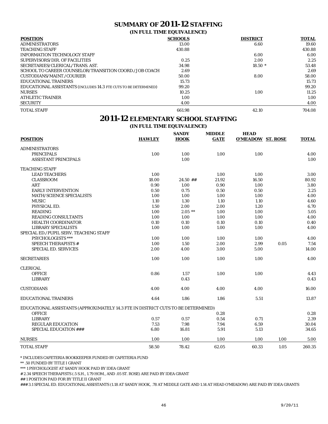## **SUMMARY OF 2011-12 STAFFING**

#### **(IN FULL TIME EQUIVALENCE)**

| <b>POSITION</b>                                                         | <b>SCHOOLS</b> | <b>DISTRICT</b> | <b>TOTAL</b> |
|-------------------------------------------------------------------------|----------------|-----------------|--------------|
| <b>ADMINISTRATORS</b>                                                   | 13.00          | 6.60            | 19.60        |
| <b>TEACHING STAFF</b>                                                   | 430.88         |                 | 430.88       |
| <b>INFORMATION TECHNOLOGY STAFF</b>                                     |                | 6.00            | 6.00         |
| SUPERVISORS/DIR. OF FACILITIES                                          | 0.25           | 2.00            | 2.25         |
| SECRETARIES/CLERICAL/TRANS. AST.                                        | 34.98          | $18.50*$        | 53.48        |
| SCHOOL TO CAREER COUNSELOR/TRANSITION COORD./JOB COACH                  | 2.69           |                 | 2.69         |
| CUSTODIANS/MAINT./COURIER                                               | 50.00          | 8.00            | 58.00        |
| EDUCATIONAL TRAINERS                                                    | 15.73          |                 | 15.73        |
| <b>EDUCATIONAL ASSISTANTS (INCLUDES 14.3 FTE CUTS TO BE DETERMINED)</b> | 99.20          |                 | 99.20        |
| <b>NURSES</b>                                                           | 10.25          | 1.00            | 11.25        |
| <b>ATHLETIC TRAINER</b>                                                 | 1.00           |                 | 1.00         |
| <b>SECURITY</b>                                                         | 4.00           |                 | 4.00         |
| <b>TOTAL STAFF</b>                                                      | 661.98         | 42.10           | 704.08       |

### **2011-12 ELEMENTARY SCHOOL STAFFING**

**(IN FULL TIME EQUIVALENCE)**

| <b>POSITION</b>                                                                   | <b>HAWLEY</b> | <b>SANDY</b><br><b>HOOK</b> | <b>MIDDLE</b><br><b>GATE</b> | <b>HEAD</b><br><b>O'MEADOW ST. ROSE</b> |      | <b>TOTAL</b> |
|-----------------------------------------------------------------------------------|---------------|-----------------------------|------------------------------|-----------------------------------------|------|--------------|
| <b>ADMINISTRATORS</b>                                                             |               |                             |                              |                                         |      |              |
| <b>PRINCIPALS</b>                                                                 | 1.00          | 1.00                        | 1.00                         | 1.00                                    |      | 4.00         |
| <b>ASSISTANT PRINCIPALS</b>                                                       |               | 1.00                        |                              |                                         |      | 1.00         |
| <b>TEACHING STAFF</b>                                                             |               |                             |                              |                                         |      |              |
| <b>LEAD TEACHERS</b>                                                              | 1.00          |                             | 1.00                         | 1.00                                    |      | 3.00         |
| <b>CLASSROOM</b>                                                                  | 18.00         | $24.50$ ##                  | 21.92                        | 16.50                                   |      | 80.92        |
| <b>ART</b>                                                                        | 0.90          | 1.00                        | 0.90                         | 1.00                                    |      | 3.80         |
| <b>EARLY INTERVENTION</b>                                                         | 0.50          | 0.75                        | 0.50                         | 0.50                                    |      | 2.25         |
| <b>MATH/SCIENCE SPECIALISTS</b>                                                   | 1.00          | 1.00                        | 1.00                         | 1.00                                    |      | 4.00         |
| <b>MUSIC</b>                                                                      | 1.10          | 1.30                        | 1.10                         | 1.10                                    |      | 4.60         |
| PHYSICAL ED.                                                                      | 1.50          | 2.00                        | 2.00                         | 1.20                                    |      | 6.70         |
| <b>READING</b>                                                                    | 1.00          | $2.05$ **                   | 1.00                         | 1.00                                    |      | 5.05         |
| <b>READING CONSULTANTS</b>                                                        | 1.00          | 1.00                        | 1.00                         | 1.00                                    |      | 4.00         |
| <b>HEALTH COORDINATOR</b>                                                         | 0.10          | 0.10                        | 0.10                         | 0.10                                    |      | 0.40         |
| <b>LIBRARY SPECIALISTS</b>                                                        | 1.00          | 1.00                        | 1.00                         | 1.00                                    |      | 4.00         |
| SPECIAL ED./PUPIL SERV. TEACHING STAFF                                            |               |                             |                              |                                         |      |              |
| PSYCHOLOGISTS ***                                                                 | 1.00          | 1.00                        | 1.00                         | 1.00                                    |      | 4.00         |
| <b>SPEECH THERAPISTS #</b>                                                        | 1.00          | 1.50                        | 2.00                         | 2.99                                    | 0.05 | 7.54         |
| <b>SPECIAL ED. SERVICES</b>                                                       | 2.00          | 4.00                        | 3.00                         | 5.00                                    |      | 14.00        |
| <b>SECRETARIES</b>                                                                | 1.00          | 1.00                        | 1.00                         | 1.00                                    |      | 4.00         |
| <b>CLERICAL</b>                                                                   |               |                             |                              |                                         |      |              |
| <b>OFFICE</b>                                                                     | 0.86          | 1.57                        | 1.00                         | 1.00                                    |      | 4.43         |
| <b>LIBRARY</b>                                                                    |               | 0.43                        |                              |                                         |      | 0.43         |
| <b>CUSTODIANS</b>                                                                 | 4.00          | 4.00                        | 4.00                         | 4.00                                    |      | 16.00        |
| <b>EDUCATIONAL TRAINERS</b>                                                       | 4.64          | 1.86                        | 1.86                         | 5.51                                    |      | 13.87        |
| EDUCATIONAL ASSISTANTS (APPROXIMATELY 14.3 FTE IN DISTRICT CUTS TO BE DETERMINED) |               |                             |                              |                                         |      |              |
| <b>OFFICE</b>                                                                     |               |                             | 0.28                         |                                         |      | 0.28         |
| <b>LIBRARY</b>                                                                    | 0.57          | 0.57                        | 0.54                         | 0.71                                    |      | 2.39         |
| <b>REGULAR EDUCATION</b>                                                          | 7.53          | 7.98                        | 7.94                         | 6.59                                    |      | 30.04        |
| <b>SPECIAL EDUCATION ###</b>                                                      | 6.80          | 16.81                       | 5.91                         | 5.13                                    |      | 34.65        |
| <b>NURSES</b>                                                                     | 1.00          | 1.00                        | 1.00                         | 1.00                                    | 1.00 | 5.00         |
| <b>TOTAL STAFF</b>                                                                | 58.50         | 78.42                       | 62.05                        | 60.33                                   | 1.05 | 260.35       |

\* INCLUDES CAFETERIA BOOKKEEPER FUNDED BY CAFETERIA FUND

\*\* .50 FUNDED BY TITLE I GRANT

\*\*\* 1 PSYCHOLOGIST AT SANDY HOOK PAID BY IDEA GRANT

# 2.34 SPEECH THERAPISTS (.5 S.H., 1.79 HOM., AND .05 ST. ROSE) ARE PAID BY IDEA GRANT

## 1 POSITION PAID FOR BY TITLE II GRANT

### 3.1 SPECIAL ED. EDUCATIONAL ASSISTANTS (1.18 AT SANDY HOOK, .78 AT MIDDLE GATE AND 1.14 AT HEAD O'MEADOW) ARE PAID BY IDEA GRANTS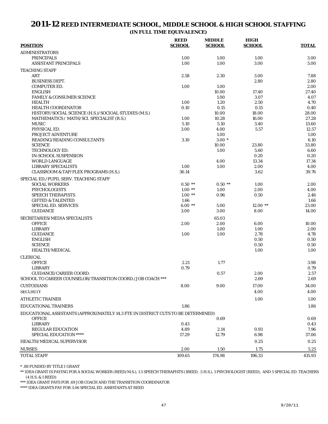## **2011-12 REED INTERMEDIATE SCHOOL, MIDDLE SCHOOL & HIGH SCHOOL STAFFING**

**(IN FULL TIME EQUIVALENCE)**

|                                                                                   | <b>REED</b>   | <b>MIDDLE</b> | <b>HIGH</b>   |              |
|-----------------------------------------------------------------------------------|---------------|---------------|---------------|--------------|
| <b>POSITION</b>                                                                   | <b>SCHOOL</b> | <b>SCHOOL</b> | <b>SCHOOL</b> | <b>TOTAL</b> |
| <b>ADMINISTRATORS</b>                                                             |               |               |               |              |
| <b>PRINCIPALS</b>                                                                 | 1.00          | 1.00          | 1.00          | 3.00         |
| <b>ASSISTANT PRINCIPALS</b>                                                       | 1.00          | 1.00          | 3.00          | 5.00         |
|                                                                                   |               |               |               |              |
| <b>TEACHING STAFF</b><br><b>ART</b>                                               | 2.58          | 2.30          | 3.00          | 7.88         |
| <b>BUSINESS DEPT.</b>                                                             |               |               | 2.80          | 2.80         |
| <b>COMPUTER ED.</b>                                                               | 1.00          |               |               | 2.00         |
|                                                                                   |               | 1.00          |               |              |
| <b>ENGLISH</b>                                                                    |               | 10.00         | 17.40         | 27.40        |
| <b>FAMILY &amp; CONSUMER SCIENCE</b>                                              |               | 1.00          | 3.07          | 4.07         |
| <b>HEALTH</b>                                                                     | 1.00          | 1.20          | 2.50          | 4.70         |
| <b>HEALTH COORDINATOR</b>                                                         | 0.10          | 0.15          | 0.15          | 0.40         |
| HISTORY/SOCIAL SCIENCE (H.S.)/SOCIOAL STUDIES (M.S.)                              |               | 10.00         | 18.00         | 28.00        |
| MATHEMATICS / MATH/SCI. SPECIALIST (R.S.)                                         | 1.00          | 10.28         | 16.00         | 27.28        |
| <b>MUSIC</b>                                                                      | 5.10          | 5.10          | 3.40          | 13.60        |
| PHYSICAL ED.                                                                      | 3.00          | 4.00          | 5.57          | 12.57        |
| PROJECT ADVENTURE                                                                 |               | 1.00          |               | 1.00         |
| READING/READING CONSULTANTS                                                       | 3.10          | $3.00*$       |               | 6.10         |
| <b>SCIENCE</b>                                                                    |               | 10.00         | 23.80         | 33.80        |
| TECHNOLOGY ED.                                                                    |               | 1.00          | 5.60          | 6.60         |
| <b>IN-SCHOOL SUSPENSION</b>                                                       |               |               | 0.20          | 0.20         |
| <b>WORLD LANGUAGE</b>                                                             |               | 4.00          | 13.34         | 17.34        |
| <b>LIBRARY SPECIALISTS</b>                                                        | 1.00          | 1.00          | 2.00          | 4.00         |
| CLASSROOM & TAP/FLEX PROGRAMS (H.S.)                                              | 36.14         |               | 3.62          | 39.76        |
| SPECIAL ED./PUPIL SERV. TEACHING STAFF                                            |               |               |               |              |
| <b>SOCIAL WORKERS</b>                                                             | $0.50$ **     | $0.50$ **     | 1.00          | 2.00         |
| <b>PSYCHOLOGISTS</b>                                                              | $1.00**$      | 1.00          | 2.00          | 4.00         |
| <b>SPEECH THERAPISTS</b>                                                          | $1.00**$      | 0.96          | 0.50          | 2.46         |
| <b>GIFTED &amp; TALENTED</b>                                                      | 1.66          |               |               | 1.66         |
| <b>SPECIAL ED. SERVICES</b>                                                       | $6.00**$      | 5.00          | $12.00$ **    | 23.00        |
| <b>GUIDANCE</b>                                                                   | 3.00          | 3.00          | 8.00          | 14.00        |
|                                                                                   |               |               |               |              |
| SECRETARIES/MEDIA SPECIALISTS                                                     |               | 65.03         |               |              |
| <b>OFFICE</b>                                                                     | 2.00          | 2.00          | 6.00          | 10.00        |
| <b>LIBRARY</b>                                                                    |               | 1.00          | 1.00          | 2.00         |
| <b>GUIDANCE</b>                                                                   | 1.00          | 1.00          | 2.78          | 4.78         |
| <b>ENGLISH</b>                                                                    |               |               | 0.50          | 0.50         |
| <b>SCIENCE</b>                                                                    |               |               | 0.50          | 0.50         |
| <b>HEALTH/MEDICAL</b>                                                             |               |               | 1.00          | 1.00         |
| <b>CLERICAL</b>                                                                   |               |               |               |              |
| <b>OFFICE</b>                                                                     | 2.21          | 1.77          |               | 3.98         |
| <b>LIBRARY</b>                                                                    | 0.79          |               |               | 0.79         |
| <b>GUIDANCE/CAREER COORD.</b>                                                     |               | 0.57          | 2.00          | 2.57         |
| SCHOOL TO CAREER COUNSELOR/TRANSITION COORD./JOB COACH ***                        |               |               | 2.69          | $2.69\,$     |
|                                                                                   |               |               |               |              |
| <b>CUSTODIANS</b>                                                                 | 8.00          | 9.00          | 17.00         | 34.00        |
| <b>SECURITY</b>                                                                   |               |               | 4.00          | 4.00         |
| <b>ATHLETIC TRAINER</b>                                                           |               |               | 1.00          | 1.00         |
| <b>EDUCATIONAL TRAINERS</b>                                                       | 1.86          |               |               | 1.86         |
| EDUCATIONAL ASSISTANTS (APPROXIMATELY 14.3 FTE IN DISTRICT CUTS TO BE DETERMINED) |               |               |               |              |
| <b>OFFICE</b>                                                                     |               | 0.69          |               | 0.69         |
| <b>LIBRARY</b>                                                                    | 0.43          |               |               | 0.43         |
| <b>REGULAR EDUCATION</b>                                                          | 4.89          | 2.14          | 0.93          | 7.96         |
| SPECIAL EDUCATION ****                                                            | 17.29         | 12.79         | 6.98          | 37.06        |
|                                                                                   |               |               |               |              |
| <b>HEALTH/MEDICAL SUPERVISOR</b>                                                  |               |               | 0.25          | 0.25         |
| <b>NURSES</b>                                                                     | 2.00          | 1.50          | 1.75          | 5.25         |
| <b>TOTAL STAFF</b>                                                                | 109.65        | 174.98        | 196.33        | 415.93       |

\* .88 FUNDED BY TITLE I GRANT

\*\* IDEA GRANT IS PAYING FOR A SOCIAL WORKER (REED/M.S.), 1.5 SPEECH THERAPISTS (1REED, .5 H.S.), 1 PSYCHOLOGIST (REED), AND 5 SPECIAL ED. TEACHERS (4 H.S. & 1 REED)

\*\*\* IDEA GRANT PAYS FOR .69 JOB COACH AND THE TRANSITION COORDINATOR

\*\*\*\* IDEA GRANTS PAY FOR 3.06 SPECIAL ED. ASSISTANTS AT REED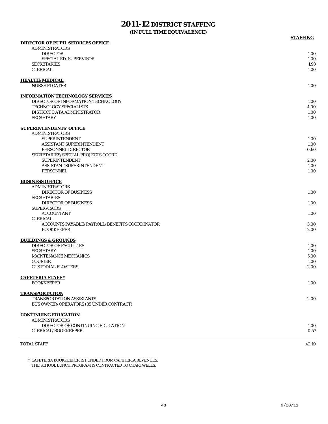## **2011-12 DISTRICT STAFFING**

**(IN FULL TIME EQUIVALENCE)**

| <b>DIRECTOR OF PUPIL SERVICES OFFICE</b>                         |       |
|------------------------------------------------------------------|-------|
| <b>ADMINISTRATORS</b>                                            |       |
| <b>DIRECTOR</b>                                                  | 1.00  |
| <b>SPECIAL ED. SUPERVISOR</b>                                    | 1.00  |
| <b>SECRETARIES</b>                                               | 1.93  |
| <b>CLERICAL</b>                                                  | 1.00  |
| <b>HEALTH/MEDICAL</b>                                            |       |
| <b>NURSE FLOATER</b>                                             | 1.00  |
|                                                                  |       |
| <b>INFORMATION TECHNOLOGY SERVICES</b>                           |       |
| DIRECTOR OF INFORMATION TECHNOLOGY                               | 1.00  |
| <b>TECHNOLOGY SPECIALISTS</b>                                    | 4.00  |
| DISTRICT DATA ADMINISTRATOR                                      | 1.00  |
| <b>SECRETARY</b>                                                 | 1.00  |
| <b>SUPERINTENDENTS' OFFICE</b>                                   |       |
| <b>ADMINISTRATORS</b>                                            |       |
| <b>SUPERINTENDENT</b>                                            | 1.00  |
| <b>ASSISTANT SUPERINTENDENT</b>                                  | 1.00  |
| PERSONNEL DIRECTOR                                               | 0.60  |
| SECRETARIES/SPECIAL PROJECTS COORD.                              |       |
| <b>SUPERINTENDENT</b>                                            | 2.00  |
| <b>ASSISTANT SUPERINTENDENT</b>                                  | 1.00  |
| <b>PERSONNEL</b>                                                 | 1.00  |
| <b>BUSINESS OFFICE</b>                                           |       |
| <b>ADMINISTRATORS</b>                                            |       |
| <b>DIRECTOR OF BUSINESS</b>                                      | 1.00  |
| <b>SECRETARIES</b>                                               |       |
| <b>DIRECTOR OF BUSINESS</b>                                      | 1.00  |
| <b>SUPERVISORS</b>                                               |       |
| <b>ACCOUNTANT</b>                                                | 1.00  |
|                                                                  |       |
| <b>CLERICAL</b><br>ACCOUNTS PAYABLE/PAYROLL/BENEFITS COORDINATOR | 3.00  |
|                                                                  | 2.00  |
| <b>BOOKKEEPER</b>                                                |       |
| <b>BUILDINGS &amp; GROUNDS</b>                                   |       |
| <b>DIRECTOR OF FACILITIES</b>                                    | 1.00  |
| <b>SECRETARY</b>                                                 | 1.00  |
| <b>MAINTENANCE MECHANICS</b>                                     | 5.00  |
| <b>COURIER</b>                                                   | 1.00  |
| <b>CUSTODIAL FLOATERS</b>                                        | 2.00  |
| <b>CAFETERIA STAFF*</b>                                          |       |
| <b>BOOKKEEPER</b>                                                | 1.00  |
|                                                                  |       |
| <b>TRANSPORTATION</b>                                            |       |
| <b>TRANSPORTATION ASSISTANTS</b>                                 | 2.00  |
| BUS OWNER/OPERATORS (35 UNDER CONTRACT)                          |       |
| <b>CONTINUING EDUCATION</b>                                      |       |
| <b>ADMINISTRATORS</b>                                            |       |
| DIRECTOR OF CONTINUING EDUCATION                                 | 1.00  |
| <b>CLERICAL/BOOKKEEPER</b>                                       | 0.57  |
|                                                                  |       |
| <b>TOTAL STAFF</b>                                               | 42.10 |

\* CAFETERIA BOOKKEEPER IS FUNDED FROM CAFETERIA REVENUES. THE SCHOOL LUNCH PROGRAM IS CONTRACTED TO CHARTWELLS.

**STAFFING**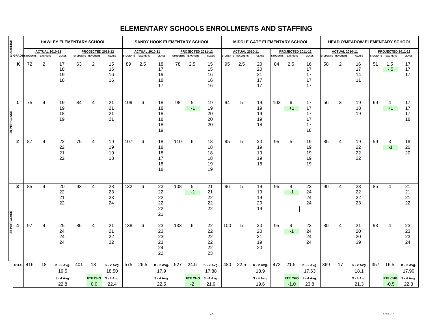|              | <b>MANUEL PROPERTY AND REACT DESCRIPTION</b><br><b>BURGE AND REACTUAL 20</b><br><b>BURGE STUDENTS TEACHERS</b><br><b>HAWLEY ELEMENTARY SCHOOL</b> |           |                       |                                          |                 | SANDY HOOK ELEMENTARY SCHOOL           |                                           |     |                                            | <b>MIDDLE GATE ELEMENTARY SCHOOL</b>          |     |                                        |                                               | <b>HEAD O'MEADOW ELEMENTARY SCHOOL</b> |                                            |                                            |     |                                        |                                           |                   |                       |                                          |     |                                        |                                           |
|--------------|---------------------------------------------------------------------------------------------------------------------------------------------------|-----------|-----------------------|------------------------------------------|-----------------|----------------------------------------|-------------------------------------------|-----|--------------------------------------------|-----------------------------------------------|-----|----------------------------------------|-----------------------------------------------|----------------------------------------|--------------------------------------------|--------------------------------------------|-----|----------------------------------------|-------------------------------------------|-------------------|-----------------------|------------------------------------------|-----|----------------------------------------|-------------------------------------------|
|              |                                                                                                                                                   |           | <b>ACTUAL 2010-11</b> | <b>CLASS</b>                             |                 | PROJECTED 2011-12<br>STUDENTS TEACHERS | <b>CLASS</b>                              |     | <b>ACTUAL 2010-11</b><br>STUDENTS TEACHERS | <b>CLASS</b>                                  |     | PROJECTED 2011-12<br>STUDENTS TEACHERS | <b>CLASS</b>                                  |                                        | <b>ACTUAL 2010-11</b><br>STUDENTS TEACHERS | <b>CLASS</b>                               |     | PROJECTED 2011-12<br>STUDENTS TEACHERS | <b>CLASS</b>                              | STUDENTS TEACHERS | <b>ACTUAL 2010-11</b> | <b>CLASS</b>                             |     | PROJECTED 2011-12<br>STUDENTS TEACHERS | <b>CLASS</b>                              |
|              | K                                                                                                                                                 | 72        | 2                     | 17<br>18<br>19<br>18                     | 63              | $\overline{2}$                         | 15<br>16<br>16<br>16                      | 89  | 2.5                                        | 18<br>17<br>19<br>18<br>17                    | 78  | 2.5                                    | 15<br>15<br>16<br>16<br>16                    | 95                                     | 2.5                                        | 20<br>20<br>21<br>17<br>17                 | 84  | 2.5                                    | 16<br>17<br>17<br>17<br>17                | 58                | $\overline{2}$        | 16<br>17<br>14<br>11                     | 51  | 1.5<br>$-5$                            | 17<br>17<br>17                            |
| 20 PER CLASS | $\mathbf{1}$                                                                                                                                      | 75        | 4                     | 19<br>19<br>18<br>19                     | 84              | 4                                      | $\overline{21}$<br>21<br>21<br>21         | 109 | 6                                          | 18<br>18<br>18<br>18<br>18<br>19              | 98  | 5<br>$-1$                              | 19<br>19<br>20<br>20<br>20                    | 94                                     | 5                                          | 19<br>19<br>19<br>19<br>18                 | 103 | 6<br>$+1$                              | 17<br>17<br>17<br>17<br>17<br>18          | 56                | 3                     | 19<br>18<br>19                           | 69  | 4<br>$+1$                              | 17<br>17<br>17<br>18                      |
|              | $\mathbf 2$                                                                                                                                       | 87        | $\overline{4}$        | $\overline{22}$<br>22<br>21<br>22        | 75              | $\overline{4}$                         | 19<br>19<br>19<br>18                      | 107 | 6                                          | 18<br>18<br>18<br>17<br>18<br>18              | 110 | 6                                      | 18<br>18<br>18<br>18<br>19<br>19              | 95                                     | 5                                          | 20<br>19<br>19<br>19<br>18                 | 95  | 5                                      | 19<br>19<br>19<br>19<br>19                | 85                | 4                     | 19<br>22<br>22<br>22                     | 59  | 3<br>$-1$                              | 19<br>20<br>20                            |
| 25 PER CLASS | 3                                                                                                                                                 | 85        | 4                     | 20<br>22<br>21<br>22                     | $\overline{93}$ | 4                                      | 23<br>23<br>23<br>24                      | 132 | 6                                          | $\overline{23}$<br>22<br>22<br>22<br>22<br>21 | 108 | 5<br>$-1$                              | $\overline{21}$<br>21<br>22<br>22<br>22       | 96                                     | 5                                          | 19<br>19<br>19<br>20<br>19                 | 95  | 4<br>$-1$                              | 23<br>24<br>24<br>24                      | 90                | 4                     | $\overline{23}$<br>22<br>22<br>23        | 85  | 4                                      | $\overline{21}$<br>21<br>21<br>22         |
|              | 4                                                                                                                                                 | 97        | 4                     | $\overline{25}$<br>24<br>24<br>24        | 86              | 4                                      | 21<br>21<br>22<br>22                      | 138 | 6                                          | $\overline{23}$<br>23<br>23<br>23<br>24<br>22 | 133 | 6                                      | $\overline{22}$<br>22<br>22<br>22<br>22<br>23 | 100                                    | 5                                          | 20<br>20<br>21<br>19<br>20                 | 95  | 4<br>$-1$                              | 23<br>24<br>24<br>24                      | 80                | 4                     | $\overline{21}$<br>20<br>20<br>19        | 93  | 4                                      | 23<br>23<br>23<br>24                      |
|              |                                                                                                                                                   | TOTAL 416 | 18                    | K - 2 Avg.<br>19.5<br>3 - 4 Avg.<br>22.8 | 401             | 18<br><b>FTE CHG</b><br>0.0            | K - 2 Avg.<br>18.50<br>3 - 4 Avg.<br>22.4 | 575 | 26.5                                       | K - 2 Avg.<br>17.9<br>3 - 4 Avg.<br>22.5      | 527 | 24.5<br><b>FTE CHG</b><br>$-2$         | K - 2 Avg.<br>17.88<br>3 - 4 Avg.<br>21.9     | 480                                    | 22.5                                       | $K - 2$ Avg.<br>18.9<br>3 - 4 Avg.<br>19.6 | 472 | 21.5<br><b>FTE CHG</b><br>$-1.0$       | K - 2 Avg.<br>17.63<br>3 - 4 Avg.<br>23.8 | 369               | 17                    | K - 2 Avg.<br>18.1<br>3 - 4 Avg.<br>21.3 | 357 | 16.5<br><b>FTE CHG</b><br>$-0.5$       | K - 2 Avg.<br>17.90<br>3 - 4 Avg.<br>22.3 |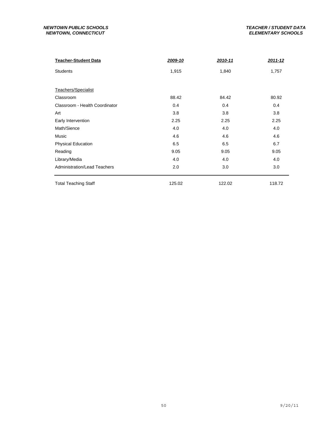#### *NEWTOWN PUBLIC SCHOOLS TEACHER / STUDENT DATA* **NEWTOWN, CONNECTICUT**

| <b>Teacher-Student Data</b>    | 2009-10 | 2010-11 | 2011-12 |
|--------------------------------|---------|---------|---------|
| <b>Students</b>                | 1,915   | 1,840   | 1,757   |
|                                |         |         |         |
| Teachers/Specialist            |         |         |         |
| Classroom                      | 88.42   | 84.42   | 80.92   |
| Classroom - Health Coordinator | 0.4     | 0.4     | 0.4     |
| Art                            | 3.8     | 3.8     | 3.8     |
| Early Intervention             | 2.25    | 2.25    | 2.25    |
| Math/Sience                    | 4.0     | 4.0     | 4.0     |
| Music                          | 4.6     | 4.6     | 4.6     |
| <b>Physical Education</b>      | 6.5     | 6.5     | 6.7     |
| Reading                        | 9.05    | 9.05    | 9.05    |
| Library/Media                  | 4.0     | 4.0     | 4.0     |
| Administration/Lead Teachers   | 2.0     | 3.0     | 3.0     |
| <b>Total Teaching Staff</b>    | 125.02  | 122.02  | 118.72  |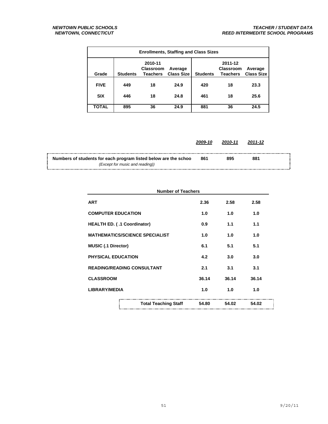| <b>Enrollments, Staffing and Class Sizes</b> |                 |                                                |                              |                 |                                                |                              |  |  |  |  |  |  |
|----------------------------------------------|-----------------|------------------------------------------------|------------------------------|-----------------|------------------------------------------------|------------------------------|--|--|--|--|--|--|
| Grade                                        | <b>Students</b> | 2010-11<br><b>Classroom</b><br><b>Teachers</b> | Average<br><b>Class Size</b> | <b>Students</b> | 2011-12<br><b>Classroom</b><br><b>Teachers</b> | Average<br><b>Class Size</b> |  |  |  |  |  |  |
| <b>FIVE</b>                                  | 449             | 18                                             | 24.9                         | 420             | 18                                             | 23.3                         |  |  |  |  |  |  |
| <b>SIX</b>                                   | 446             | 18                                             | 24.8                         | 461             | 18                                             | 25.6                         |  |  |  |  |  |  |
| <b>TOTAL</b>                                 | 895             | 36                                             | 24.9                         | 881             | 36                                             | 24.5                         |  |  |  |  |  |  |

|                                                                                                                  | 2009-10 | 2010-11 | 2011-12 |  |
|------------------------------------------------------------------------------------------------------------------|---------|---------|---------|--|
| $\frac{1}{2}$ Numbers of students for each program listed below are the schoo<br>(Except for music and reading)) | 861     | 895     | 881     |  |

| <b>Number of Teachers</b>             |       |       |       |
|---------------------------------------|-------|-------|-------|
| <b>ART</b>                            | 2.36  | 2.58  | 2.58  |
| <b>COMPUTER EDUCATION</b>             | 1.0   | 1.0   | 1.0   |
| HEALTH ED. (.1 Coordinator)           | 0.9   | 1.1   | 1.1   |
| <b>MATHEMATICS/SCIENCE SPECIALIST</b> | 1.0   | 1.0   | 1.0   |
| <b>MUSIC (.1 Director)</b>            | 6.1   | 5.1   | 5.1   |
| <b>PHYSICAL EDUCATION</b>             | 4.2   | 3.0   | 3.0   |
| <b>READING/READING CONSULTANT</b>     | 2.1   | 3.1   | 3.1   |
| <b>CLASSROOM</b>                      | 36.14 | 36.14 | 36.14 |
| <b>LIBRARY/MEDIA</b>                  | 1.0   | 1.0   | 1.0   |
| <b>Total Teaching Staff</b>           | 54.80 | 54.02 | 54.02 |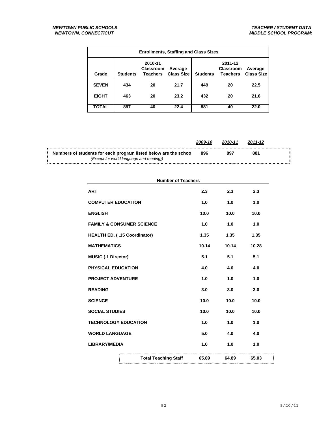| <b>Enrollments, Staffing and Class Sizes</b> |                 |                                                |                              |                 |                                                |                              |  |
|----------------------------------------------|-----------------|------------------------------------------------|------------------------------|-----------------|------------------------------------------------|------------------------------|--|
| Grade                                        | <b>Students</b> | 2010-11<br><b>Classroom</b><br><b>Teachers</b> | Average<br><b>Class Size</b> | <b>Students</b> | 2011-12<br><b>Classroom</b><br><b>Teachers</b> | Average<br><b>Class Size</b> |  |
| <b>SEVEN</b>                                 | 434             | 20                                             | 21.7                         | 449             | 20                                             | 22.5                         |  |
| <b>EIGHT</b>                                 | 463             | 20                                             | 23.2                         | 432             | 20                                             | 21.6                         |  |
| <b>TOTAL</b>                                 | 897             | 40                                             | 22.4                         | 881             | 40                                             | 22.0                         |  |

|                                                                                                             | 2009-10 | 2010-11 | 2011-12 |  |
|-------------------------------------------------------------------------------------------------------------|---------|---------|---------|--|
| Numbers of students for each program listed below are the schoo<br>(Except for world language and reading)) | 896     | 897     | 881     |  |
|                                                                                                             |         |         |         |  |

| <b>Number of Teachers</b>            |       |       |       |
|--------------------------------------|-------|-------|-------|
| <b>ART</b>                           | 2.3   | 2.3   | 2.3   |
| <b>COMPUTER EDUCATION</b>            | 1.0   | 1.0   | 1.0   |
| <b>ENGLISH</b>                       | 10.0  | 10.0  | 10.0  |
| <b>FAMILY &amp; CONSUMER SCIENCE</b> | 1.0   | 1.0   | 1.0   |
| HEALTH ED. (.15 Coordinator)         | 1.35  | 1.35  | 1.35  |
| <b>MATHEMATICS</b>                   | 10.14 | 10.14 | 10.28 |
| <b>MUSIC (.1 Director)</b>           | 5.1   | 5.1   | 5.1   |
| PHYSICAL EDUCATION                   | 4.0   | 4.0   | 4.0   |
| <b>PROJECT ADVENTURE</b>             | 1.0   | 1.0   | 1.0   |
| <b>READING</b>                       | 3.0   | 3.0   | 3.0   |
| <b>SCIENCE</b>                       | 10.0  | 10.0  | 10.0  |
| <b>SOCIAL STUDIES</b>                | 10.0  | 10.0  | 10.0  |
| <b>TECHNOLOGY EDUCATION</b>          | 1.0   | 1.0   | 1.0   |
| <b>WORLD LANGUAGE</b>                | 5.0   | 4.0   | 4.0   |
| <b>LIBRARY/MEDIA</b>                 | 1.0   | 1.0   | 1.0   |
| <b>Total Teaching Staff</b>          | 65.89 | 64.89 | 65.03 |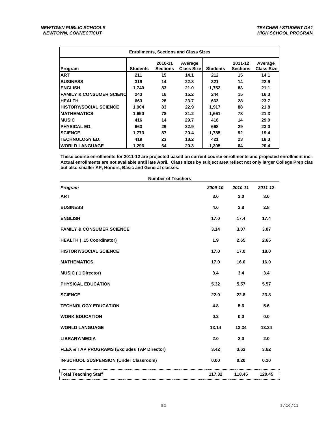| <b>Enrollments, Sections and Class Sizes</b> |                 |                            |                              |                 |                            |                              |
|----------------------------------------------|-----------------|----------------------------|------------------------------|-----------------|----------------------------|------------------------------|
| Program                                      | <b>Students</b> | 2010-11<br><b>Sections</b> | Average<br><b>Class Size</b> | <b>Students</b> | 2011-12<br><b>Sections</b> | Average<br><b>Class Size</b> |
| <b>ART</b>                                   | 211             | 15                         | 14.1                         | 212             | 15                         | 14.1                         |
| <b>BUSINESS</b>                              | 319             | 14                         | 22.8                         | 321             | 14                         | 22.9                         |
| <b>ENGLISH</b>                               | 1,740           | 83                         | 21.0                         | 1,752           | 83                         | 21.1                         |
| <b>IFAMILY &amp; CONSUMER SCIENC</b>         | 243             | 16                         | 15.2                         | 244             | 15                         | 16.3                         |
| <b>HEALTH</b>                                | 663             | 28                         | 23.7                         | 663             | 28                         | 23.7                         |
| <b>HISTORY/SOCIAL SCIENCE</b>                | 1,904           | 83                         | 22.9                         | 1,917           | 88                         | 21.8                         |
| <b>IMATHEMATICS</b>                          | 1,650           | 78                         | 21.2                         | 1,661           | 78                         | 21.3                         |
| <b>IMUSIC</b>                                | 416             | 14                         | 29.7                         | 418             | 14                         | 29.9                         |
| <b>IPHYSICAL ED.</b>                         | 663             | 29                         | 22.9                         | 668             | 29                         | 23.0                         |
| <b>SCIENCE</b>                               | 1,773           | 87                         | 20.4                         | 1,785           | 92                         | 19.4                         |
| <b>ITECHNOLOGY ED.</b>                       | 419             | 23                         | 18.2                         | 421             | 23                         | 18.3                         |
| <b>IWORLD LANGUAGE</b>                       | 1,296           | 64                         | 20.3                         | 1,305           | 64                         | 20.4                         |

**These course enrollments for 2011-12 are projected based on current course enrollments and projected enrollment incre Actual enrollments are not available until late April. Class sizes by subject area reflect not only larger College Prep clas but also smaller AP, Honors, Basic and General classes.**

| <b>Number of Teachers</b><br>Program        | 2009-10 | 2010-11 | 2011-12 |
|---------------------------------------------|---------|---------|---------|
| <b>ART</b>                                  | 3.0     | 3.0     | 3.0     |
| <b>BUSINESS</b>                             | 4.0     | 2.8     | 2.8     |
| <b>ENGLISH</b>                              | 17.0    | 17.4    | 17.4    |
| <b>FAMILY &amp; CONSUMER SCIENCE</b>        | 3.14    | 3.07    | 3.07    |
| HEALTH (.15 Coordinator)                    | 1.9     | 2.65    | 2.65    |
| <b>HISTORY/SOCIAL SCIENCE</b>               | 17.0    | 17.0    | 18.0    |
| <b>MATHEMATICS</b>                          | 17.0    | 16.0    | 16.0    |
| <b>MUSIC (.1 Director)</b>                  | 3.4     | 3.4     | 3.4     |
| PHYSICAL EDUCATION                          | 5.32    | 5.57    | 5.57    |
| <b>SCIENCE</b>                              | 22.0    | 22.8    | 23.8    |
| <b>TECHNOLOGY EDUCATION</b>                 | 4.8     | 5.6     | 5.6     |
| <b>WORK EDUCATION</b>                       | 0.2     | 0.0     | 0.0     |
| <b>WORLD LANGUAGE</b>                       | 13.14   | 13.34   | 13.34   |
| <b>LIBRARY/MEDIA</b>                        | 2.0     | 2.0     | 2.0     |
| FLEX & TAP PROGRAMS (Excludes TAP Director) | 3.42    | 3.62    | 3.62    |
| IN-SCHOOL SUSPENSION (Under Classroom)      | 0.00    | 0.20    | 0.20    |
| Total Teaching Staff                        | 117.32  | 118.45  | 120.45  |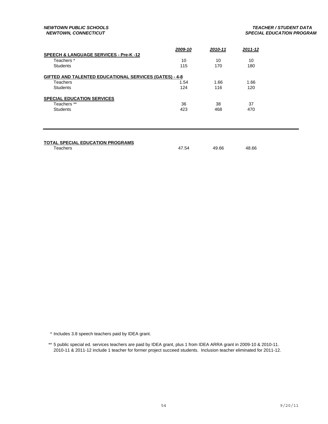|                                                               | 2009-10 | 2010-11 | $2011 - 12$ |  |
|---------------------------------------------------------------|---------|---------|-------------|--|
| <b>SPEECH &amp; LANGUAGE SERVICES - Pre-K -12</b>             |         |         |             |  |
| Teachers <sup>*</sup>                                         | 10      | 10      | 10          |  |
| <b>Students</b>                                               | 115     | 170     | 180         |  |
| <b>GIFTED AND TALENTED EDUCATIONAL SERVICES (GATES) - 4-8</b> |         |         |             |  |
| Teachers                                                      | 1.54    | 1.66    | 1.66        |  |
| <b>Students</b>                                               | 124     | 116     | 120         |  |
| <b>SPECIAL EDUCATION SERVICES</b>                             |         |         |             |  |
| Teachers **                                                   | 36      | 38      | 37          |  |
| <b>Students</b>                                               | 423     | 468     | 470         |  |
|                                                               |         |         |             |  |

#### **TOTAL SPECIAL EDUCATION PROGRAMS**

Teachers 47.54 49.66 48.66

\* Includes 3.8 speech teachers paid by IDEA grant.

<sup>\*\* 5</sup> public special ed. services teachers are paid by IDEA grant, plus 1 from IDEA ARRA grant in 2009-10 & 2010-11. 2010-11 & 2011-12 include 1 teacher for former project succeed students. Inclusion teacher eliminated for 2011-12.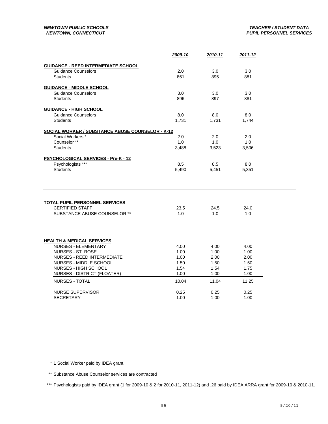|                                                            | 2009-10      | 2010-11      | 2011-12      |  |
|------------------------------------------------------------|--------------|--------------|--------------|--|
| <b>GUIDANCE - REED INTERMEDIATE SCHOOL</b>                 |              |              |              |  |
| <b>Guidance Counselors</b>                                 | 2.0          | 3.0          | 3.0          |  |
| <b>Students</b>                                            | 861          | 895          | 881          |  |
|                                                            |              |              |              |  |
| <b>GUIDANCE - MIDDLE SCHOOL</b>                            |              |              |              |  |
| <b>Guidance Counselors</b><br><b>Students</b>              | 3.0<br>896   | 3.0<br>897   | 3.0<br>881   |  |
|                                                            |              |              |              |  |
| <b>GUIDANCE - HIGH SCHOOL</b>                              |              |              |              |  |
| <b>Guidance Counselors</b>                                 | 8.0          | 8.0          | 8.0          |  |
| <b>Students</b>                                            | 1,731        | 1,731        | 1,744        |  |
| <b>SOCIAL WORKER / SUBSTANCE ABUSE COUNSELOR - K-12</b>    |              |              |              |  |
| Social Workers *                                           | 2.0          | 2.0          | 2.0          |  |
| Counselor **                                               | 1.0          | 1.0          | 1.0          |  |
| <b>Students</b>                                            | 3,488        | 3,523        | 3,506        |  |
|                                                            |              |              |              |  |
| PSYCHOLOGICAL SERVICES - Pre-K - 12<br>Psychologists ***   | 8.5          | 8.5          | 8.0          |  |
| <b>Students</b>                                            | 5,490        | 5,451        | 5,351        |  |
|                                                            |              |              |              |  |
|                                                            |              |              |              |  |
|                                                            |              |              |              |  |
|                                                            |              |              |              |  |
| <b>TOTAL PUPIL PERSONNEL SERVICES</b>                      |              |              |              |  |
| <b>CERTIFIED STAFF</b>                                     | 23.5         | 24.5         | 24.0         |  |
| SUBSTANCE ABUSE COUNSELOR **                               | 1.0          | 1.0          | 1.0          |  |
|                                                            |              |              |              |  |
|                                                            |              |              |              |  |
|                                                            |              |              |              |  |
| <b>HEALTH &amp; MEDICAL SERVICES</b>                       |              |              |              |  |
| <b>NURSES - ELEMENTARY</b>                                 | 4.00         | 4.00         | 4.00         |  |
| <b>NURSES - ST. ROSE</b>                                   | 1.00         | 1.00         | 1.00         |  |
| <b>NURSES - REED INTERMEDIATE</b>                          | 1.00         | 2.00         | 2.00         |  |
| NURSES - MIDDLE SCHOOL                                     | 1.50         | 1.50         | 1.50         |  |
| <b>NURSES - HIGH SCHOOL</b><br>NURSES - DISTRICT (FLOATER) | 1.54<br>1.00 | 1.54<br>1.00 | 1.75<br>1.00 |  |
|                                                            |              |              |              |  |
| <b>NURSES - TOTAL</b>                                      | 10.04        | 11.04        | 11.25        |  |
| <b>NURSE SUPERVISOR</b>                                    | 0.25         | 0.25         | 0.25         |  |
| <b>SECRETARY</b>                                           | 1.00         | 1.00         | 1.00         |  |
|                                                            |              |              |              |  |

\* 1 Social Worker paid by IDEA grant.

\*\* Substance Abuse Counselor services are contracted

\*\*\* Psychologists paid by IDEA grant (1 for 2009-10 & 2 for 2010-11, 2011-12) and .26 paid by IDEA ARRA grant for 2009-10 & 2010-11.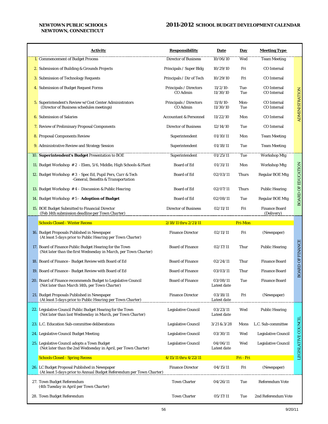## *NEWTOWN, CONNECTICUT*

| <b>Activity</b>                                                                                                            | <b>Responsibility</b>              | <b>Date</b>             | <b>Day</b>     | <b>Meeting Type</b>                      |                           |
|----------------------------------------------------------------------------------------------------------------------------|------------------------------------|-------------------------|----------------|------------------------------------------|---------------------------|
| 1. Commencement of Budget Process                                                                                          | <b>Director of Business</b>        | 10/06/10                | Wed            | <b>Team Meeting</b>                      |                           |
| 2. Submission of Building & Grounds Projects                                                                               | Principals / Super Bldg            | 10/29/10                | Fri            | <b>CO</b> Internal                       |                           |
| <b>3.</b> Submission of Technology Requests                                                                                | Principals / Dir of Tech           | 10/29/10                | Fri            | CO Internal                              |                           |
| 4. Submission of Budget Request Forms                                                                                      | Principals / Directors<br>CO Admin | $11/2/10-$<br>11/30/10  | Tue-<br>Tue    | <b>CO</b> Internal<br><b>CO</b> Internal |                           |
| <b>5.</b> Superintendent's Review w/Cost Center Administrators<br>(Director of Business schedules meetings)                | Principals / Directors<br>CO Admin | $11/8/10-$<br>11/30/10  | Mon-<br>Tue    | <b>CO</b> Internal<br><b>CO</b> Internal | ADMINISTRATION            |
| 6. Submission of Salaries                                                                                                  | <b>Accountant &amp; Personnel</b>  | 11/22/10                | Mon            | CO Internal                              |                           |
| <b>7.</b> Review of Preliminary Proposal Components                                                                        | <b>Director of Business</b>        | 12/14/10                | Tue            | <b>CO</b> Internal                       |                           |
| 8. Proposal Components Review                                                                                              | Superintendent                     | 01/10/11                | Mon            | <b>Team Meeting</b>                      |                           |
| 9. Administrative Review and Strategy Session                                                                              | Superintendent                     | 01/18/11                | Tue            | <b>Team Meeting</b>                      |                           |
| 10. Superintendent's Budget Presentation to BOE                                                                            | Superintendent                     | 01/25/11                | Tue            | <b>Workshop Mtg</b>                      |                           |
| 11. Budget Workshop $# 2$ - Elem, $5/6$ , Middle, High Schools & Plant                                                     | <b>Board of Ed</b>                 | 01/31/11                | Mon            | <b>Workshop Mtg</b>                      |                           |
| 12. Budget Workshop #3 - Spec Ed, Pupil Pers, Curr & Tech<br>-General, Benefits & Transportation                           | <b>Board of Ed</b>                 | 02/03/11                | <b>Thurs</b>   | <b>Regular BOE Mtg</b>                   | <b>BOARD OF EDUCATION</b> |
| 13. Budget Workshop $# 4$ - <i>Discussion &amp; Public Hearing</i>                                                         | <b>Board of Ed</b>                 | 02/07/11                | <b>Thurs</b>   | <b>Public Hearing</b>                    |                           |
| 14. Budget Workshop #5 - Adoption of Budget                                                                                | <b>Board of Ed</b>                 | 02/08/11                | Tue            | <b>Regular BOE Mtg</b>                   |                           |
| <b>15.</b> BOE Budget Submitted to Financial Director<br>(Feb 14th submission deadline per Town Charter)                   | <b>Director of Business</b>        | 02/11/11                | Fri            | <b>Finance Board</b><br>(Delivery)       |                           |
| Schools Closed - Winter Recess                                                                                             | 2/18/11 thru 2/21/11               |                         | <b>Fri-Mon</b> |                                          |                           |
| 16. Budget Proposals Published in Newspaper<br>(At least 5 days prior to Public Hearing per Town Charter)                  | <b>Finance Director</b>            | 02/11/11                | Fri            | (Newspaper)                              |                           |
| 17. Board of Finance Public Budget Hearing for the Town<br>(Not later than the first Wednesday in March, per Town Charter) | <b>Board of Finance</b>            | 02/17/11                | Thur           | <b>Public Hearing</b>                    | <b>BOARD OF FINANCE</b>   |
| 18. Board of Finance - Budget Review with Board of Ed                                                                      | <b>Board of Finance</b>            | 02/24/11                | Thur           | <b>Finance Board</b>                     |                           |
| 19. Board of Finance - Budget Review with Board of Ed                                                                      | <b>Board of Finance</b>            | 03/03/11                | Thur           | <b>Finance Board</b>                     |                           |
| 20. Board of Finance recommends Budget to Legislative Council<br>(Not later than March 14th, per Town Charter)             | <b>Board of Finance</b>            | 03/08/11<br>Latest date | Tue            | <b>Finance Board</b>                     |                           |
| 21. Budget Proposals Published in Newspaper<br>(At least 5 days prior to Public Hearing per Town Charter)                  | <b>Finance Director</b>            | 03/18/11<br>Latest date | Fri            | (Newspaper)                              |                           |
| 22. Legislative Council Public Budget Hearing for the Town<br>(Not later than last Wednesday in March, per Town Charter)   | <b>Legislative Council</b>         | 03/23/11<br>Latest date | Wed            | <b>Public Hearing</b>                    |                           |
| 23. L.C. Education Sub-committee deliberations                                                                             | Legislative Council                | 3/21 & 3/28             | Mons           | L.C. Sub-committee                       |                           |
| 24. Legislative Council Budget Meeting                                                                                     | Legislative Council                | 03/30/11                | Wed            | Legislative Council                      |                           |
| 25. Legislative Council adopts a Town Budget<br>(Not later than the 2nd Wednesday in April, per Town Charter)              | Legislative Council                | 04/06/11<br>Latest date | Wed            | Legislative Council                      | LEGISLATIVE COUNCIL       |
| <b>Schools Closed - Spring Recess</b>                                                                                      | 4/15/11 thru 4/22/11               |                         | Fri - Fri      |                                          |                           |
| 26. LC Budget Proposal Published in Newspaper<br>(At least 5 days prior to Annual Budget Referendum per Town Charter)      | <b>Finance Director</b>            | 04/15/11                | Fri            | (Newspaper)                              |                           |
| 27. Town Budget Referendum<br>(4th Tuesday in April per Town Charter)                                                      | <b>Town Charter</b>                | 04/26/11                | Tue            | <b>Referendum Vote</b>                   |                           |
| 28. Town Budget Referendum                                                                                                 | <b>Town Charter</b>                | 05/17/11                | Tue            | 2nd Referendum Vote                      |                           |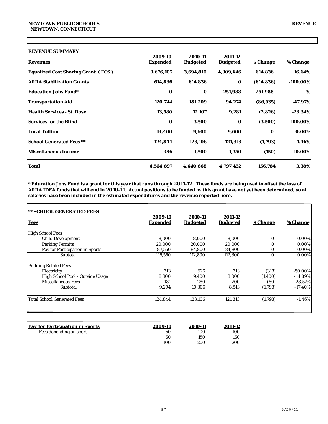| Total                                     | 4,564,897       | 4,640,668       | 4,797,452       | 156,784         | 3.38%           |
|-------------------------------------------|-----------------|-----------------|-----------------|-----------------|-----------------|
| <b>Miscellaneous Income</b>               | 386             | 1,500           | 1,350           | (150)           | $-10.00\%$      |
| <b>School Generated Fees **</b>           | 124,844         | 123,106         | 121,313         | (1,793)         | $-1.46%$        |
| <b>Local Tuition</b>                      | 14,400          | 9,600           | 9,600           | $\bf{0}$        | $0.00\%$        |
| <b>Services for the Blind</b>             | $\bf{0}$        | 3,500           | $\bf{0}$        | (3,500)         | $-100.00\%$     |
| <b>Health Services - St. Rose</b>         | 13,580          | 12,107          | 9,281           | (2,826)         | $-23.34\%$      |
| <b>Transportation Aid</b>                 | 120,744         | 181,209         | 94,274          | (86, 935)       | $-47.97\%$      |
| <b>Education Jobs Fund*</b>               | $\bf{0}$        | $\bf{0}$        | 251,988         | 251,988         | - %             |
| <b>ARRA Stabilization Grants</b>          | 614,836         | 614,836         | $\bf{0}$        | (614, 836)      | $-100.00\%$     |
| <b>Equalized Cost Sharing Grant (ECS)</b> | 3,676,107       | 3,694,810       | 4,309,646       | 614,836         | 16.64%          |
| <b>Revenues</b>                           | <b>Expended</b> | <b>Budgeted</b> | <b>Budgeted</b> | <b>S Change</b> | <u>% Change</u> |
| <b>REVENUE SUMMARY</b>                    | 2009-10         | 2010-11         | 2011-12         |                 |                 |

**\* Education Jobs Fund is a grant for this year that runs through 2011-12. These funds are being used to offset the loss of ARRA IDEA funds that will end in 2010-11. Actual positions to be funded by this grant have not yet been determined, so all salaries have been included in the estimated expenditures and the revenue reported here.**

| ** SCHOOL GENERATED FEES           |                     |                            |                            |             |            |
|------------------------------------|---------------------|----------------------------|----------------------------|-------------|------------|
| <b>Fees</b>                        | 2009-10<br>Expended | 2010-11<br><b>Budgeted</b> | 2011-12<br><b>Budgeted</b> | \$ Change   | % Change   |
| <b>High School Fees</b>            |                     |                            |                            |             |            |
| <b>Child Development</b>           | 8.000               | 8.000                      | 8.000                      | $\bf{0}$    | $0.00\%$   |
| <b>Parking Permits</b>             | 20,000              | 20,000                     | 20,000                     | $\bf{0}$    | 0.00%      |
| Pay for Participation in Sports    | 87,550              | 84,800                     | 84.800                     | 0           | 0.00%      |
| Subtotal                           | 115,550             | 112,800                    | 112,800                    | $\mathbf 0$ | $0.00\%$   |
| <b>Building Related Fees</b>       |                     |                            |                            |             |            |
| Electricity                        | 313                 | 626                        | 313                        | (313)       | $-50.00\%$ |
| High School Pool - Outside Usage   | 8.800               | 9,400                      | 8,000                      | (1,400)     | $-14.89%$  |
| <b>Miscellaneous Fees</b>          | 181                 | 280                        | 200                        | (80)        | $-28.57%$  |
| Subtotal                           | 9,294               | 10,306                     | 8,513                      | (1,793)     | $-17.40%$  |
| <b>Total School Generated Fees</b> | 124,844             | 123,106                    | 121,313                    | (1,793)     | $-1.46%$   |
|                                    |                     |                            |                            |             |            |

| <b>Pay for Participation in Sports</b> | 2009-10 | 2010-11 | 2011-12 |
|----------------------------------------|---------|---------|---------|
| Fees depending on sport                | 50      | 100     | 100     |
|                                        | 50      | 150     | 150     |
|                                        | 100     | 200     | 200     |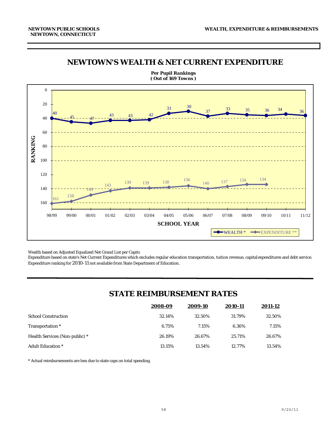### *NEWTOWN'S WEALTH & NET CURRENT EXPENDITURE*



*Per Pupil Rankings ( Out of 169 Towns )*

Wealth based on Adjusted Equalized Net Grand List per Capita

Expenditure based on state's Net Current Expenditures which excludes regular education transportation, tuition revenue, capital expenditures and debt service. Expenditure ranking for 2010-11 not available from State Department of Education.

## *STATE REIMBURSEMENT RATES*

|                                       | 2008-09 | 2009-10 | 2010-11 | 2011-12 |
|---------------------------------------|---------|---------|---------|---------|
| <b>School Construction</b>            | 32.14%  | 32.50%  | 31.79%  | 32.50%  |
| Transportation <sup>*</sup>           | 6.75%   | 7.15%   | 6.36%   | 7.15%   |
| <b>Health Services (Non-public)</b> * | 26.19%  | 26.67%  | 25.71%  | 26.67%  |
| <b>Adult Education</b> *              | 13.15%  | 13.54%  | 12.77%  | 13.54%  |

\* Actual reimbursements are less due to state caps on total spending.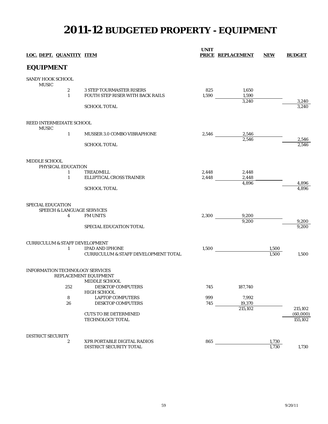# **2011-12 BUDGETED PROPERTY - EQUIPMENT**

| LOC. DEPT. QUANTITY ITEM                  |                                       |                                                                     | <b>UNIT</b>  | <b>PRICE REPLACEMENT</b> | <b>NEW</b> | <b>BUDGET</b>  |
|-------------------------------------------|---------------------------------------|---------------------------------------------------------------------|--------------|--------------------------|------------|----------------|
| <b>EQUIPMENT</b>                          |                                       |                                                                     |              |                          |            |                |
| SANDY HOOK SCHOOL<br><b>MUSIC</b>         |                                       |                                                                     |              |                          |            |                |
|                                           | $\boldsymbol{2}$<br>$\mathbf{1}$      | <b>3 STEP TOURMASTER RISERS</b><br>FOUTH STEP RISER WITH BACK RAILS | 825<br>1,590 | 1,650<br>1,590<br>3,240  |            |                |
|                                           |                                       | <b>SCHOOL TOTAL</b>                                                 |              |                          |            | 3,240<br>3.240 |
|                                           | REED INTERMEDIATE SCHOOL              |                                                                     |              |                          |            |                |
| <b>MUSIC</b>                              | $\mathbf{1}$                          | MUSSER 3.0 COMBO VIBRAPHONE                                         | 2,546        | 2,546<br>2,546           |            | 2,546          |
|                                           |                                       | <b>SCHOOL TOTAL</b>                                                 |              |                          |            | 2.546          |
| MIDDLE SCHOOL                             | PHYSICAL EDUCATION                    |                                                                     |              |                          |            |                |
|                                           | 1                                     | <b>TREADMILL</b>                                                    | 2,448        | 2,448                    |            |                |
|                                           | $\mathbf{1}$                          | ELLIPTICAL CROSS TRAINER                                            | 2,448        | 2,448                    |            |                |
|                                           |                                       |                                                                     |              | 4,896                    |            | 4,896          |
|                                           |                                       | <b>SCHOOL TOTAL</b>                                                 |              |                          |            | 4.896          |
| SPECIAL EDUCATION                         | <b>SPEECH &amp; LANGUAGE SERVICES</b> |                                                                     |              |                          |            |                |
|                                           | 4                                     | <b>FM UNITS</b>                                                     | 2,300        | 9,200                    |            |                |
|                                           |                                       |                                                                     |              | 9.200                    |            | 9,200          |
|                                           |                                       | <b>SPECIAL EDUCATION TOTAL</b>                                      |              |                          |            | 9,200          |
| <b>CURRICULUM &amp; STAFF DEVELOPMENT</b> |                                       |                                                                     |              |                          |            |                |
|                                           | 1                                     | <b>IPAD AND IPHONE</b>                                              | 1,500        |                          | 1,500      |                |
|                                           |                                       | <b>CURRICULUM &amp; STAFF DEVELOPMENT TOTAL</b>                     |              |                          | 1.500      | 1,500          |
|                                           |                                       | INFORMATION TECHNOLOGY SERVICES<br>REPLACEMENT EQUIPMENT            |              |                          |            |                |
|                                           |                                       | MIDDLE SCHOOL                                                       |              |                          |            |                |
|                                           | 252                                   | <b>DESKTOP COMPUTERS</b><br>HIGH SCHOOL                             | 745          | 187,740                  |            |                |
|                                           | ${\bf 8}$                             | <b>LAPTOP COMPUTERS</b>                                             | 999          | 7,992                    |            |                |
|                                           | 26                                    | <b>DESKTOP COMPUTERS</b>                                            | 745          | 19,370                   |            |                |
|                                           |                                       |                                                                     |              | 215,102                  |            | 215,102        |
|                                           |                                       | <b>CUTS TO BE DETERMINED</b>                                        |              |                          |            | (60,000)       |
|                                           |                                       | TECHNOLOGY TOTAL                                                    |              |                          |            | 155,102        |
| <b>DISTRICT SECURITY</b>                  |                                       |                                                                     |              |                          |            |                |
|                                           | 2                                     | XPR PORTABLE DIGITAL RADIOS                                         | 865          |                          | 1,730      |                |
|                                           |                                       | DISTRICT SECURITY TOTAL                                             |              |                          | 1,730      | 1,730          |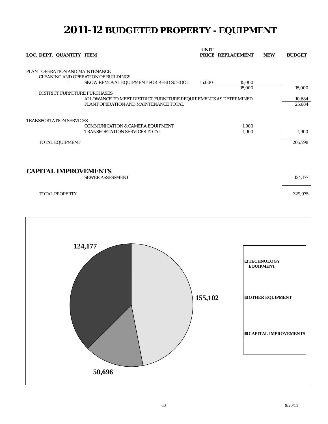# **2011-12 BUDGETED PROPERTY - EQUIPMENT**

| LOC. DEPT. QUANTITY ITEM                                                    |                                                                                                                                                                                                  | <b>UNIT</b> | PRICE REPLACEMENT | <b>NEW</b> | <b>BUDGET</b>              |
|-----------------------------------------------------------------------------|--------------------------------------------------------------------------------------------------------------------------------------------------------------------------------------------------|-------------|-------------------|------------|----------------------------|
| PLANT OPERATION AND MAINTENANCE<br>1<br><b>DISTRICT FURNITURE PURCHASES</b> | <b>CLEANING AND OPERATION OF BUILDINGS</b><br>SNOW REMOVAL EQUIPMENT FOR REED SCHOOL<br>ALLOWANCE TO MEET DISTRICT FURNITURE REQUIREMENTS AS DETERMINED<br>PLANT OPERATION AND MAINTENANCE TOTAL | 15,000      | 15,000<br>15,000  |            | 15,000<br>10,684<br>25,684 |
| <b>TRANSPORTATION SERVICES</b><br><b>TOTAL EQUIPMENT</b>                    | <b>COMMUNICATION &amp; CAMERA EQUIPMENT</b><br><b>TRANSPORTATION SERVICES TOTAL</b>                                                                                                              |             | 1,900<br>1,900    |            | 1,900<br>205,798           |
| <b>CAPITAL IMPROVEMENTS</b>                                                 | <b>SEWER ASSESSMENT</b>                                                                                                                                                                          |             |                   |            | 124,177                    |
| <b>TOTAL PROPERTY</b>                                                       |                                                                                                                                                                                                  |             |                   |            | 329,975                    |

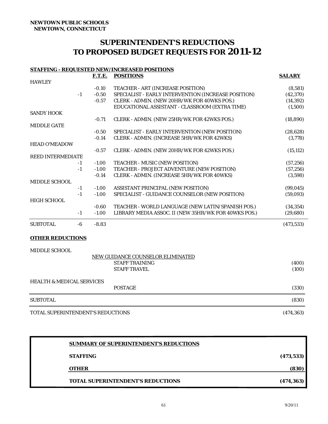## **SUPERINTENDENT'S REDUCTIONS TO PROPOSED BUDGET REQUESTS FOR 2011-12**

#### **STAFFING - REQUESTED NEW/INCREASED POSITIONS**

|                          | <b>F.T.E.</b> | <b>POSITIONS</b>                                     | <b>SALARY</b> |
|--------------------------|---------------|------------------------------------------------------|---------------|
| <b>HAWLEY</b>            |               |                                                      |               |
|                          | $-0.10$       | TEACHER - ART (INCREASE POSITION)                    | (8,581)       |
| $-1$                     | $-0.50$       | SPECIALIST - EARLY INTERVENTION (INCREASE POSITION)  | (42, 370)     |
|                          | $-0.57$       | CLERK - ADMIN. (NEW 20HR/WK FOR 40WKS POS.)          | (14, 392)     |
|                          |               | EDUCATIONAL ASSISTANT - CLASSROOM (EXTRA TIME)       | (1,500)       |
| <b>SANDY HOOK</b>        |               |                                                      |               |
|                          | $-0.71$       | CLERK - ADMIN. (NEW 25HR/WK FOR 42WKS POS.)          | (18, 890)     |
| <b>MIDDLE GATE</b>       |               |                                                      |               |
|                          | $-0.50$       | SPECIALIST - EARLY INTERVENTION (NEW POSITION)       | (28, 628)     |
|                          | $-0.14$       | CLERK - ADMIN. (INCREASE 5HR/WK FOR 42WKS)           | (3,778)       |
| <b>HEAD O'MEADOW</b>     |               |                                                      |               |
|                          | $-0.57$       | CLERK - ADMIN. (NEW 20HR/WK FOR 42WKS POS.)          | (15, 112)     |
| <b>REED INTERMEDIATE</b> |               |                                                      |               |
| $-1$                     | $-1.00$       | TEACHER - MUSIC (NEW POSITION)                       | (57, 256)     |
| $-1$                     | $-1.00$       | TEACHER - PROJECT ADVENTURE (NEW POSITION)           | (57, 256)     |
|                          | $-0.14$       | CLERK - ADMIN. (INCREASE 5HR/WK FOR 40WKS)           | (3,598)       |
| MIDDLE SCHOOL            |               |                                                      |               |
| $-1$                     | $-1.00$       | ASSISTANT PRINCIPAL (NEW POSITION)                   | (99, 045)     |
| $-1$                     | $-1.00$       | SPECIALIST - GUIDANCE COUNSELOR (NEW POSITION)       | (59,093)      |
| <b>HIGH SCHOOL</b>       |               |                                                      |               |
|                          | $-0.60$       | TEACHER - WORLD LANGUAGE (NEW LATIN/SPANISH POS.)    | (34, 354)     |
| $-1$                     | $-1.00$       | LIBRARY MEDIA ASSOC. II (NEW 35HR/WK FOR 40WKS POS.) | (29, 680)     |
| <b>SUBTOTAL</b><br>-6    | $-8.83$       |                                                      | (473, 533)    |
| <b>OTHER REDUCTIONS</b>  |               |                                                      |               |
| <b>MIDDLE SCHOOL</b>     |               |                                                      |               |

|                                                         | NEW GUIDANCE COUNSELOR ELIMINATED |                |
|---------------------------------------------------------|-----------------------------------|----------------|
|                                                         | <b>STAFF TRAINING</b>             | (400)          |
|                                                         | <b>STAFF TRAVEL</b>               | (100)          |
| <b>HEALTH &amp; MEDICAL SERVICES</b>                    |                                   |                |
|                                                         | <b>POSTAGE</b>                    | (330)          |
| <b>SUBTOTAL</b>                                         |                                   | (830)          |
| <b>MOBILE OF INDIAL IRIN IN DURING INDIAL LOBICALIC</b> |                                   | $(1 - \alpha)$ |

TOTAL SUPERINTENDENT'S REDUCTIONS (474,363)

| <b>TOTAL SUPERINTENDENT'S REDUCTIONS</b>      | (474, 363) |
|-----------------------------------------------|------------|
| <b>OTHER</b>                                  | (830)      |
| <b>STAFFING</b>                               | (473, 533) |
| <b>SUMMARY OF SUPERINTENDENT'S REDUCTIONS</b> |            |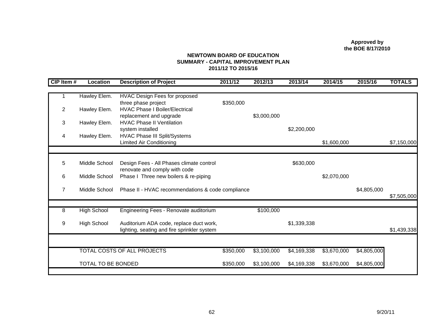**Approved by the BOE 8/17/2010**

#### **NEWTOWN BOARD OF EDUCATIONSUMMARY - CAPITAL IMPROVEMENT PLAN 2011/12 TO 2015/16**

| CIP Item #     | <b>Location</b>    | <b>Description of Project</b>                     | 2011/12   | 2012/13     | 2013/14     | 2014/15     | 2015/16     | <b>TOTALS</b> |
|----------------|--------------------|---------------------------------------------------|-----------|-------------|-------------|-------------|-------------|---------------|
|                |                    |                                                   |           |             |             |             |             |               |
|                | Hawley Elem.       | <b>HVAC Design Fees for proposed</b>              |           |             |             |             |             |               |
|                |                    | three phase project                               | \$350,000 |             |             |             |             |               |
| $\overline{2}$ | Hawley Elem.       | <b>HVAC Phase I Boiler/Electrical</b>             |           |             |             |             |             |               |
|                |                    | replacement and upgrade                           |           | \$3,000,000 |             |             |             |               |
| 3              | Hawley Elem.       | <b>HVAC Phase II Ventilation</b>                  |           |             |             |             |             |               |
|                |                    | system installed                                  |           |             | \$2,200,000 |             |             |               |
| 4              | Hawley Elem.       | <b>HVAC Phase III Split/Systems</b>               |           |             |             |             |             |               |
|                |                    | <b>Limited Air Conditioning</b>                   |           |             |             | \$1,600,000 |             | \$7,150,000   |
|                |                    |                                                   |           |             |             |             |             |               |
|                |                    |                                                   |           |             |             |             |             |               |
| 5              | Middle School      | Design Fees - All Phases climate control          |           |             | \$630,000   |             |             |               |
|                |                    | renovate and comply with code                     |           |             |             |             |             |               |
| 6              | Middle School      | Phase I Three new boilers & re-piping             |           |             |             | \$2,070,000 |             |               |
| $\overline{7}$ | Middle School      | Phase II - HVAC recommendations & code compliance |           |             |             |             | \$4,805,000 |               |
|                |                    |                                                   |           |             |             |             |             | \$7,505,000   |
|                |                    |                                                   |           |             |             |             |             |               |
| 8              | <b>High School</b> | Engineering Fees - Renovate auditorium            |           | \$100,000   |             |             |             |               |
|                |                    |                                                   |           |             |             |             |             |               |
| 9              | <b>High School</b> | Auditorium ADA code, replace duct work,           |           |             | \$1,339,338 |             |             |               |
|                |                    | lighting, seating and fire sprinkler system       |           |             |             |             |             | \$1,439,338   |
|                |                    |                                                   |           |             |             |             |             |               |
|                |                    |                                                   |           |             |             |             |             |               |
|                |                    | TOTAL COSTS OF ALL PROJECTS                       | \$350,000 | \$3,100,000 | \$4,169,338 | \$3,670,000 | \$4,805,000 |               |
|                |                    |                                                   |           |             |             |             |             |               |
|                | TOTAL TO BE BONDED |                                                   | \$350,000 | \$3,100,000 | \$4,169,338 | \$3,670,000 | \$4,805,000 |               |
|                |                    |                                                   |           |             |             |             |             |               |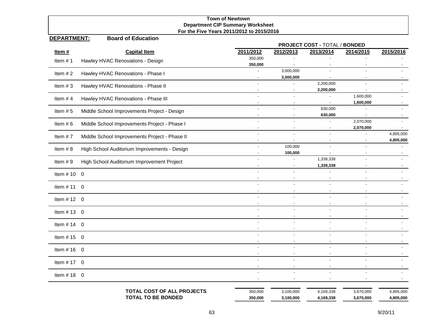## **Town of Newtown Department CIP Summary Worksheet For the Five Years 2011/2012 to 2015/2016**

#### **DEPARTMENT:Board of Education**

|               |                                               | PROJECT COST - TOTAL / BONDED |                                  |                                            |                                       |           |  |  |  |
|---------------|-----------------------------------------------|-------------------------------|----------------------------------|--------------------------------------------|---------------------------------------|-----------|--|--|--|
| Item#         | <b>Capital Item</b>                           | 2011/2012                     | 2012/2013                        | 2013/2014                                  | 2014/2015                             | 2015/2016 |  |  |  |
| Item $# 1$    | Hawley HVAC Renovations - Design              | 350,000                       |                                  |                                            |                                       |           |  |  |  |
|               |                                               | 350,000                       |                                  |                                            |                                       |           |  |  |  |
| Item $# 2$    | Hawley HVAC Renovations - Phase I             | $\overline{a}$                | 3,000,000<br>3,000,000           |                                            | $\overline{\phantom{a}}$              |           |  |  |  |
|               |                                               |                               |                                  | 2,200,000                                  |                                       |           |  |  |  |
| Item $#3$     | Hawley HVAC Renovations - Phase II            |                               | $\blacksquare$                   | 2,200,000                                  |                                       |           |  |  |  |
| Item $#4$     | Hawley HVAC Renovations - Phase III           |                               |                                  |                                            | 1,600,000                             |           |  |  |  |
|               |                                               |                               |                                  | $\overline{\phantom{a}}$                   | 1,600,000                             |           |  |  |  |
| Item $# 5$    | Middle School Improvements Project - Design   |                               |                                  | 630,000                                    |                                       |           |  |  |  |
|               |                                               | $\overline{\phantom{a}}$      | $\blacksquare$                   | 630,000                                    | $\overline{\phantom{a}}$<br>2,070,000 |           |  |  |  |
| Item $# 6$    | Middle School Improvements Project - Phase I  |                               |                                  |                                            | 2,070,000                             |           |  |  |  |
| Item $# 7$    | Middle School Improvements Project - Phase II |                               |                                  | $\overline{a}$                             |                                       | 4,805,000 |  |  |  |
|               |                                               |                               |                                  | $\overline{\phantom{a}}$                   | $\blacksquare$                        | 4,805,000 |  |  |  |
| Item $#8$     | High School Auditorium Improvements - Design  |                               | 100,000                          |                                            |                                       |           |  |  |  |
|               |                                               |                               | 100,000                          |                                            | $\overline{\phantom{a}}$              |           |  |  |  |
| Item $# 9$    | High School Auditorium Improvement Project    | $\blacksquare$                | ÷,<br>$\overline{\phantom{a}}$   | 1,339,338<br>1,339,338                     | $\blacksquare$                        |           |  |  |  |
|               |                                               |                               |                                  |                                            |                                       |           |  |  |  |
| Item #10 $0$  |                                               |                               |                                  |                                            |                                       |           |  |  |  |
| Item $# 11$ 0 |                                               |                               |                                  |                                            |                                       |           |  |  |  |
|               |                                               |                               |                                  |                                            |                                       |           |  |  |  |
| Item $# 12 0$ |                                               | $\overline{\phantom{a}}$      | $\blacksquare$                   | $\overline{a}$<br>$\overline{\phantom{a}}$ | $\sim$                                |           |  |  |  |
|               |                                               |                               |                                  |                                            |                                       |           |  |  |  |
| Item #13 $0$  |                                               |                               |                                  |                                            |                                       |           |  |  |  |
| Item $# 14$ 0 |                                               |                               |                                  |                                            |                                       |           |  |  |  |
|               |                                               |                               |                                  |                                            |                                       |           |  |  |  |
| Item $# 15$ 0 |                                               | $\overline{\phantom{a}}$      | $\blacksquare$                   | $\overline{a}$<br>$\blacksquare$           | $\overline{\phantom{a}}$              |           |  |  |  |
|               |                                               |                               |                                  |                                            |                                       |           |  |  |  |
| Item #16 $0$  |                                               | $\blacksquare$                | $\blacksquare$                   |                                            |                                       |           |  |  |  |
| Item $# 17$ 0 |                                               |                               |                                  |                                            |                                       |           |  |  |  |
|               |                                               |                               |                                  |                                            |                                       |           |  |  |  |
| Item #18 $0$  |                                               | $\overline{a}$                | $\overline{a}$<br>$\blacksquare$ | $\overline{a}$                             |                                       |           |  |  |  |
|               | TOTAL COST OF ALL PROJECTS                    | 350,000                       | 3,100,000                        | 4,169,338                                  | 3,670,000                             | 4,805,000 |  |  |  |
|               | <b>TOTAL TO BE BONDED</b>                     | 350,000                       | 3,100,000                        | 4,169,338                                  | 3,670,000                             | 4,805,000 |  |  |  |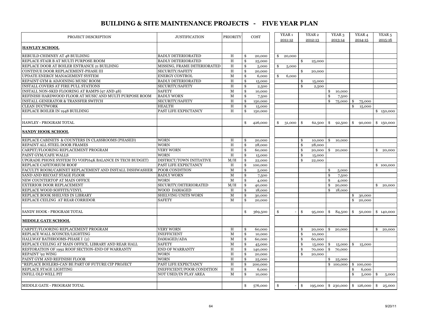#### **BUILDING & SITE MAINTENANCE PROJECTS - FIVE YEAR PLAN**

| PROJECT DESCRIPTION                                      | <b>JUSTIFICATION</b>        | PRIORITY       |               | COST    | YEAR <sub>1</sub><br>2011-12 |     | YEAR <sub>2</sub><br>2012-13 |               | YEAR <sub>3</sub><br>2013-14 |    | YEAR <sub>4</sub><br>2014-15 | YEAR <sub>5</sub><br>2015-16 |
|----------------------------------------------------------|-----------------------------|----------------|---------------|---------|------------------------------|-----|------------------------------|---------------|------------------------------|----|------------------------------|------------------------------|
|                                                          |                             |                |               |         |                              |     |                              |               |                              |    |                              |                              |
| <b>HAWLEY SCHOOL</b>                                     |                             |                |               |         |                              |     |                              |               |                              |    |                              |                              |
| REBUILD CHIMNEY AT 48 BUILDING                           | <b>BADLY DETERIORATED</b>   | H              | \$            | 20,000  | \$<br>20,000                 |     |                              |               |                              |    |                              |                              |
| REPLACE STAIR B AT MULTI PURPOSE ROOM                    | <b>BADLY DETERIORATED</b>   | H              | \$            | 25,000  |                              | \$  | 25,000                       |               |                              |    |                              |                              |
| REPLACE DOOR AT BOILER ENTRANCE 21 BUILDING              | MISSING, FRAME DETERIORATED | H              | \$            | 5,000   | \$<br>5,000                  |     |                              |               |                              |    |                              |                              |
| CONTINUE DOOR REPLACEMENT-PHASE III                      | <b>SECURITY/SAFETY</b>      | H              | \$            | 20,000  |                              | \$  | 20,000                       |               |                              |    |                              |                              |
| UPDATE ENERGY MANAGEMENT SYSTEM                          | <b>ENERGY CONTROL</b>       | $\mathbf M$    | \$            | 6,000   | \$<br>6,000                  |     |                              |               |                              |    |                              |                              |
| REPAINT GYM & ADJOINING MUSIC ROOM                       | <b>BADLY DETERIORATED</b>   | H              | \$            | 15,000  |                              | \$  | 15,000                       |               |                              |    |                              |                              |
| INSTALL COVERS AT FIRE PULL STATIONS                     | SECURITY/SAFETY             | H              | \$            | 2,500   |                              | \$  | 2,500                        |               |                              |    |                              |                              |
| INSTALL NON-SKID FLOORING AT RAMPS (97 AND 48)           | <b>SAFETY</b>               | М              | \$            | 10,000  |                              |     |                              | \$            | 10,000                       |    |                              |                              |
| REFINISH HARDWOOD FLOOR AT MUSIC AND MULTI PURPOSE ROOM  | <b>BADLY WORN</b>           | $\mathbf M$    | \$            | 7,500   |                              |     |                              | <sup>\$</sup> | 7,500                        |    |                              |                              |
| <b>INSTALL GENERATOR &amp; TRANSFER SWITCH</b>           | SECURITY/SAFETY             | H              | \$            | 150,000 |                              |     |                              | \$            | 75,000                       | S  | 75,000                       |                              |
| <b>CLEAN DUCTWORK</b>                                    | <b>HEALTH</b>               | H              | \$            | 15,000  |                              |     |                              |               |                              | \$ | 15,000                       |                              |
| REPLACE BOILER IN 1948 BUILDING                          | PAST LIFE EXPECTANCY        | H              | \$            | 150,000 |                              |     |                              |               |                              |    |                              | \$150,000                    |
|                                                          |                             |                |               |         |                              |     |                              |               |                              |    |                              |                              |
| <b>HAWLEY - PROGRAM TOTAL</b>                            |                             |                | \$            | 426,000 | \$<br>31,000                 | \$  | 62,500                       | \$            | 92,500                       | \$ | 90,000                       | \$150,000                    |
| <b>SANDY HOOK SCHOOL</b>                                 |                             |                |               |         |                              |     |                              |               |                              |    |                              |                              |
| REPLACE CABINETS & COUNTERS IN CLASSROOMS (PHASED)       | <b>WORN</b>                 | H              | \$            | 20,000  |                              | \$  | 10,000                       | \$            | 10,000                       |    |                              |                              |
| REPAINT ALL STEEL DOOR FRAMES                            | <b>WORN</b>                 | $\overline{H}$ | \$            | 28,000  |                              | \$  | 28,000                       |               |                              |    |                              |                              |
| CARPET/FLOORING REPLACEMENT PROGRAM                      | <b>VERY WORN</b>            | H              | \$            | 60,000  |                              | \$  | 20,000                       | \$            | 20,000                       |    |                              | \$<br>20,000                 |
| PAINT GYM/CAFE WALLS                                     | <b>WORN</b>                 | $\, {\rm H}$   | \$            | 15,000  |                              | \$  | 15,000                       |               |                              |    |                              |                              |
| UPGRADE PHONE SYSTEM TO VOIP(64K BALANCE IN TECH BUDGET) | DISTRICT/TOWN INITIATIVE    | M/H            | \$            | 22,000  |                              | -\$ | 22,000                       |               |                              |    |                              |                              |
| REPLACE CAFETORIUM ROOF                                  | PAST LIFE EXPECTANCY        | H              | \$            | 100,000 |                              |     |                              |               |                              |    |                              | \$100,000                    |
| FACULTY ROOM/CABINET REPLACEMENT AND INSTALL DISHWASHER  | POOR CONDITION              | М              | \$            | 5,000   |                              |     |                              | \$            | 5,000                        |    |                              |                              |
| SAND AND RECOAT STAGE FLOOR                              | <b>BADLY WORN</b>           | $\mathbf M$    | \$            | 7,500   |                              |     |                              | \$            | 7,500                        |    |                              |                              |
| NEW COUNTERTOP AT MAIN OFFICE                            | <b>WORN</b>                 | М              | \$            | 4,000   |                              |     |                              | \$            | 4,000                        |    |                              |                              |
| EXTERIOR DOOR REPLACEMENT                                | SECURITY/DETERIORATED       | M/H            | \$            | 40,000  |                              |     |                              | \$            | 20,000                       |    |                              | \$<br>20,000                 |
| REPLACE WOOD SOFFITS/VINYL                               | WOOD DAMAGED                | H              | \$            | 18,000  |                              |     |                              | \$            | 18,000                       |    |                              |                              |
| REPLACE BOOK SHELVES IN LIBRARY                          | <b>SHELVING UNITS WORN</b>  | М              | \$            | 30,000  |                              |     |                              |               |                              | \$ | 30,000                       |                              |
| REPLACE CEILING AT REAR CORRIDOR                         | <b>SAFETY</b>               | M              | \$            | 20,000  |                              |     |                              |               |                              | S  | 20,000                       |                              |
|                                                          |                             |                |               |         |                              |     |                              |               |                              |    |                              |                              |
| SANDY HOOK - PROGRAM TOTAL                               |                             |                | \$            | 369,500 | \$                           | Ŝ.  | 95,000                       | \$            | 84,500                       | \$ | 50,000                       | \$140,000                    |
| <b>MIDDLE GATE SCHOOL</b>                                |                             |                |               |         |                              |     |                              |               |                              |    |                              |                              |
| CARPET/FLOORING REPLACEMENT PROGRAM                      | <b>VERY WORN</b>            | H              | \$            | 60,000  |                              | \$  | 20,000                       | \$            | 20,000                       |    |                              | \$<br>20,000                 |
| REPLACE WALL SCONCES/LIGHTING                            | <b>INEFFICIENT</b>          | $\mathbf M$    | \$            | 10,000  |                              | \$  | 10,000                       |               |                              |    |                              |                              |
| HALLWAY BATHROOMS-PHASE I (2)                            | DAMAGED/ADA                 | $\mathbf{M}$   | \$            | 60,000  |                              | \$  | 60,000                       |               |                              |    |                              |                              |
| REPLACE CEILING AT MAIN OFFICE, LIBRARY AND REAR HALL    | <b>SAFETY</b>               | $\mathbf M$    | \$            | 45,000  |                              | \$  | 15,000                       | \$            | 15,000                       | \$ | 15,000                       |                              |
| RESTORATION OF 1992 ROOF SECTION-END OF WARRANTY         | END OF WARRANTY             | H              | \$            | 140,000 |                              | \$  | 70,000                       | \$            | 70,000                       |    |                              |                              |
| <b>REPAINT</b> '92 WING                                  | <b>WORN</b>                 | H              | \$            | 20,000  |                              | \$  | 20,000                       |               |                              |    |                              |                              |
| PAINT GYM AND REFINISH FLOOR                             | <b>WORN</b>                 | H              | $\mathbf{\$}$ | 25,000  |                              |     |                              | \$            | 25,000                       |    |                              |                              |
| *REPLACE BOILERS-CAN BE PART OF FUTURE CIP PROJECT       | PAST LIFE EXPECTANCY        | H              | \$            | 200,000 |                              |     |                              |               | \$100,000                    |    | \$100,000                    |                              |
| REPLACE STAGE LIGHTING                                   | INEFFICIENT/POOR CONDITION  | $\, {\rm H}$   | \$            | 6,000   |                              |     |                              |               |                              | \$ | 6,000                        |                              |
| <b>INFILL OLD WELL PIT</b>                               | NOT USED/IN PLAY AREA       | $\mathbf M$    | \$            | 10,000  |                              |     |                              |               |                              | \$ | 5,000                        | 5,000<br>- \$                |
|                                                          |                             |                |               |         |                              |     |                              |               |                              |    |                              |                              |
| MIDDLE GATE - PROGRAM TOTAL                              |                             |                | \$            | 576,000 | \$                           | \$  | 195,000                      |               | \$230,000                    |    | \$126,000                    | \$<br>25,000                 |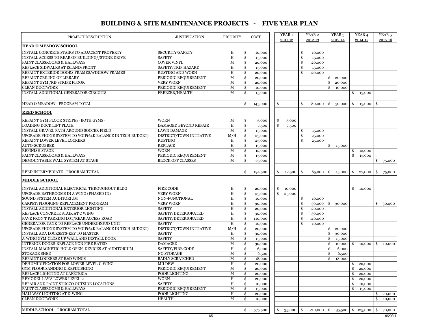## **BUILDING & SITE MAINTENANCE PROJECTS - FIVE YEAR PLAN**

| PROJECT DESCRIPTION                                      | <b>JUSTIFICATION</b>     | <b>PRIORITY</b> |     | COST             | YEAR 1       |          | YEAR 2  | YEAR 3                          |               | YEAR 4  | YEAR 5                  |
|----------------------------------------------------------|--------------------------|-----------------|-----|------------------|--------------|----------|---------|---------------------------------|---------------|---------|-------------------------|
|                                                          |                          |                 |     |                  | 2011-12      |          | 2012-13 | 2013-14                         |               | 2014-15 | 2015-16                 |
| <b>HEAD O'MEADOW SCHOOL</b>                              |                          |                 |     |                  |              |          |         |                                 |               |         |                         |
| INSTALL CONCRETE STAIRS TO ADJACENT PROPERTY             | SECURITY/SAFETY          | Η               | \$  | 10,000           |              | \$       | 10,000  |                                 |               |         |                         |
| INSTALL ACCESS TO REAR OF BUILDING//STONE DRIVE          | <b>SAFETY</b>            | H               | \$  | 15,000           |              | \$       | 15,000  |                                 |               |         |                         |
| PAINT CLASSROOMS & HALLWAYS                              | <b>COVER VINYL</b>       | $\mathbf M$     | \$  | 20,000           |              | \$       | 20,000  |                                 |               |         |                         |
| REPLACE SIDWALKS AT ISLAND/FRONT                         | SAFETY/TRIP HAZARD       | H               | \$  | 15,000           |              | \$       | 15,000  |                                 |               |         |                         |
| REPAINT EXTERIOR DOORS, FRAMES, WINDOW FRAMES            | <b>RUSTING AND WORN</b>  | $\,$ H          | \$  | 20,000           |              | \$       | 20,000  |                                 |               |         |                         |
| REPAINT CEILING OF LIBRARY                               | PERIODIC REQUIREMENT     | $\mathbf M$     | \$  | 20,000           |              |          |         | 20,000<br>\$                    |               |         |                         |
| REPAINT GYM / RE-STRIPE FLOOR                            | <b>VERY WORN</b>         | $\mathbf M$     | \$  | 20,000           |              |          |         | \$<br>20,000                    |               |         |                         |
| <b>CLEAN DUCTWORK</b>                                    | PERIODIC REQUIREMENT     | М               | \$  | 10,000           |              |          |         | \$<br>10,000                    |               |         |                         |
| INSTALL ADDITIONAL GENERATOR CIRCUITS                    | FREEZER/HEALTH           | М               | \$  | 15,000           |              |          |         |                                 | \$            | 15,000  |                         |
|                                                          |                          |                 |     |                  |              |          |         |                                 |               |         |                         |
| HEAD O'MEADOW - PROGRAM TOTAL                            |                          |                 | \$  | 145,000          | \$           | \$       | 80,000  | \$<br>50,000                    | \$            | 15,000  | \$                      |
| <b>REED SCHOOL</b>                                       |                          |                 |     |                  |              |          |         |                                 |               |         |                         |
| REPAINT GYM FLOOR STRIPES (BOTH GYMS)                    | <b>WORN</b>              | М               | \$  | 5,000            | \$<br>5,000  |          |         |                                 |               |         |                         |
| LOADING DOCK LIFT PLATE                                  | DAMAGED BEYOND REPAIR    | H               | \$  | 7,500            | \$<br>7,500  |          |         |                                 |               |         |                         |
| INSTALL GRAVEL PATH AROUND SOCCER FIELD                  | <b>LAWN DAMAGE</b>       | $\mathbf M$     | \$  | 15,000           |              | \$       | 15,000  |                                 |               |         |                         |
| UPGRADE PHONE SYSTEM TO VOIP(64K BALANCE IN TECH BUDGET) | DISTRICT/TOWN INITIATIVE | M/H             | \$  | 25,000           |              | \$       | 25,000  |                                 |               |         |                         |
| REPAINT LOWER LEVEL LOCKERS                              | <b>RUSTING</b>           | H               | \$  | 25,000           |              | \$       | 25,000  |                                 |               |         |                         |
| <b>AUTO-SCRUBBER</b>                                     | <b>REPLACE</b>           | $\rm H$         | \$  | 15,000           |              |          |         | \$<br>15,000                    |               |         |                         |
| REFINISH STAGE                                           | <b>WORN</b>              | $\mathbf M$     | \$  | 12,000           |              |          |         |                                 | \$            | 12,000  |                         |
| PAINT CLASSROOMS & HALLWAYS                              | PERIODIC REQUIREMENT     | $\mathbf M$     | \$  | 15,000           |              |          |         |                                 | \$            | 15,000  |                         |
| DEMOUNTABLE WALL SYSTEM AT STAGE                         | <b>BLOCK OFF CLASSES</b> | М               | \$  | 75,000           |              |          |         |                                 |               |         | \$<br>75,000            |
|                                                          |                          |                 |     |                  |              |          |         |                                 |               |         |                         |
| REED INTERMEDIATE - PROGRAM TOTAL                        |                          |                 | \$  |                  |              |          |         |                                 |               |         |                         |
|                                                          |                          |                 |     | 194,500          | \$<br>12,500 | \$       | 65,000  | -\$<br>15,000                   | $\frac{1}{2}$ | 27,000  | \$<br>75,000            |
| <b>MIDDLE SCHOOL</b>                                     |                          |                 |     |                  |              |          |         |                                 |               |         |                         |
| INSTALL ADDITIONAL ELECTRICAL THROUGHOUT BLDG            | <b>FIRE CODE</b>         | H               | \$  | 20,000           | \$<br>10,000 |          |         |                                 | \$            | 10,000  |                         |
| UPGRADE BATHROOMS IN A WING (PHASED IN)                  | VERY WORN                | H               | \$  | 25,000           | \$<br>25,000 |          |         |                                 |               |         |                         |
| SOUND SYSTEM AUDITORIUM                                  | NON-FUNCTIONAL           | H               | \$  | 10,000           |              | \$       | 10,000  |                                 |               |         |                         |
| CARPET/FLOORING REPLACEMENT PROGRAM                      | VERY WORN                | $\, {\rm H}$    | \$  | 90,000           |              | \$       | 30,000  | -\$<br>30,000                   |               |         | \$<br>30,000            |
| INSTALL ADDITIONAL EXTERIOR LIGHTING                     | <b>SAFETY</b>            | $\, {\rm H}$    | \$  | 20,000           |              | \$       | 20,000  |                                 |               |         |                         |
| REPLACE CONCRETE STAIR AT C WING                         | SAFETY/DETERIORATED      | H               | \$  | 30,000           |              | \$       | 30,000  |                                 |               |         |                         |
| PAVE FRON T PARKING LOT/REAR ACCESS ROAD                 | SAFETY/DETERIORATED      | H               | \$  | 110,000          |              | \$       | 110,000 |                                 |               |         |                         |
| GENERATOR TANK TO REPLACE UNDERGROUD UNIT                | <b>SAFETY</b>            | H               | \$  | 10,000           |              | \$       | 10,000  |                                 |               |         |                         |
| UPGRADE PHONE SYSTEM TO VOIP(64K BALANCE IN TECH BUDGET) | DISTRICT/TOWN INITIATIVE | M/H             | \$  | 20,000           |              |          |         | 20,000<br>\$                    |               |         |                         |
| INSTALL ADA LOCKSETS-KEY TO MASTER                       | <b>SAFETY</b>            | H               | \$  | 30,000           |              |          |         | \$<br>30,000                    |               |         |                         |
| A-WING GYM-CLOSE UP WALL AND INSTALL DOOR                | <b>SAFETY</b>            | М               | \$  | 15,000           |              |          |         | \$<br>15,000                    |               |         |                         |
| INTERIOR DOORS-REPLACE NON FIRE RATED                    | <b>DAMAGED</b>           | $\mathbf M$     | \$  | 30,000           |              |          |         | \$<br>10,000                    | \$            | 10,000  | \$<br>10,000            |
| INSTALL MAGNETIC HOLD OPEN DEVICES AT AUDITORIUM         | <b>SAFETY/FIRE CODE</b>  | H               | \$  | 6,000            |              |          |         | \$<br>6,000                     |               |         |                         |
| <b>STORAGE SHED</b>                                      | <b>NO STORAGE</b>        | M               | \$  | 6,500            |              |          |         | \$<br>6,500                     |               |         |                         |
| REPAINT LOCKERS AT B&D WINGS                             | <b>BADLY SCRATCHED</b>   | $\mathbf M$     | \$  | 18,000           |              |          |         | \$<br>18,000                    |               |         |                         |
| DEHUMIDIFICATION FOR LOWER LEVEL-C-WING                  | MILDEW                   | H               | \$  | 20,000           |              |          |         |                                 | \$            | 20,000  |                         |
| <b>GYM FLOOR SANDING &amp; REFINISHING</b>               | PERIODIC REQUIREMENT     | $\mathbf M$     | \$  | 20,000           |              |          |         |                                 | \$            | 20,000  |                         |
| REPLACE LIGHTING AT CAFÉTERIA                            | POOR LIGHTING            | М               | -\$ |                  |              |          |         |                                 | \$            | 20,000  |                         |
| REMODEL LAV'S LOWER LEVEL-2                              | <b>WORN</b>              | H               | \$  | 20,000<br>20,000 |              |          |         |                                 | \$            | 20,000  |                         |
| REPAIR AND PAINT STUCCO OUTSIDE LOCATIONS                | <b>SAFETY</b>            | H               | \$  |                  |              |          |         |                                 | \$            |         |                         |
| PAINT CLASSROOMS & HALLWAYS                              | PERIODIC REQUIREMENT     | М               |     | 10,000           |              |          |         |                                 |               | 10,000  |                         |
| HALLWAY LIGHTING AT D-WING                               | POOR LIGHTING            | H               | \$  | 15,000           |              |          |         |                                 | \$            | 15,000  | \$                      |
| <b>CLEAN DUCTWORK</b>                                    | <b>HEALTH</b>            |                 | \$  | 20,000           |              |          |         |                                 |               |         | 20,000                  |
|                                                          |                          | М               | \$  | 10,000           |              |          |         |                                 |               |         | \$<br>10,000            |
| MIDDLE SCHOOL - PROGRAM TOTAL                            |                          |                 | \$  | 575,500          | \$35,000     | <b>S</b> |         | $210,000$ \$ 135,500 \$ 125,000 |               |         | $\frac{1}{2}$<br>70,000 |
|                                                          |                          |                 |     |                  |              |          |         |                                 |               |         |                         |